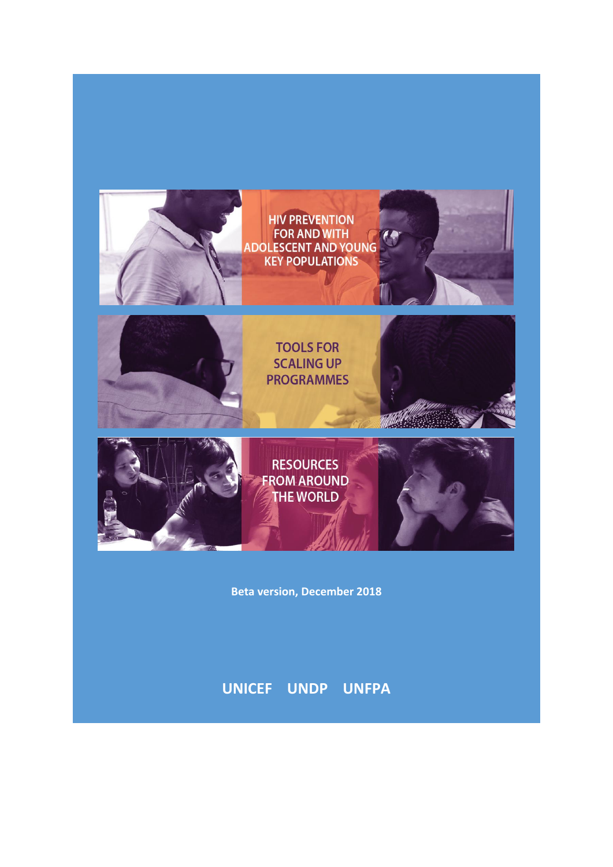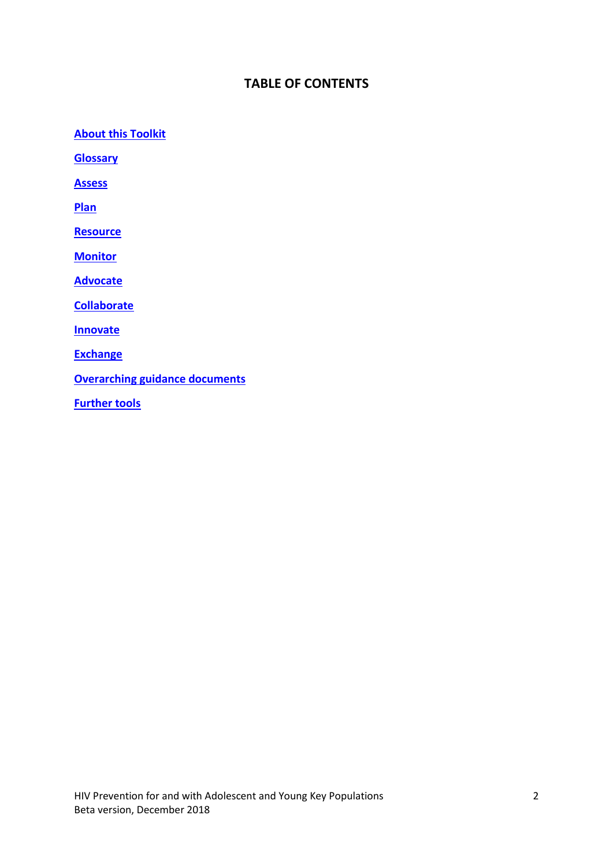# **TABLE OF CONTENTS**

**[About this Toolkit](#page-2-0)**

**[Glossary](#page-5-0)**

**[Assess](#page-6-0)**

**[Plan](#page-9-0)**

**[Resource](#page-17-0)**

**[Monitor](#page-21-0)**

**[Advocate](#page-23-0)**

**[Collaborate](#page-28-0)**

**[Innovate](#page-30-0)**

**[Exchange](#page-34-0)**

**[Overarching guidance documents](#page-40-0)**

**[Further tools](#page-43-0)**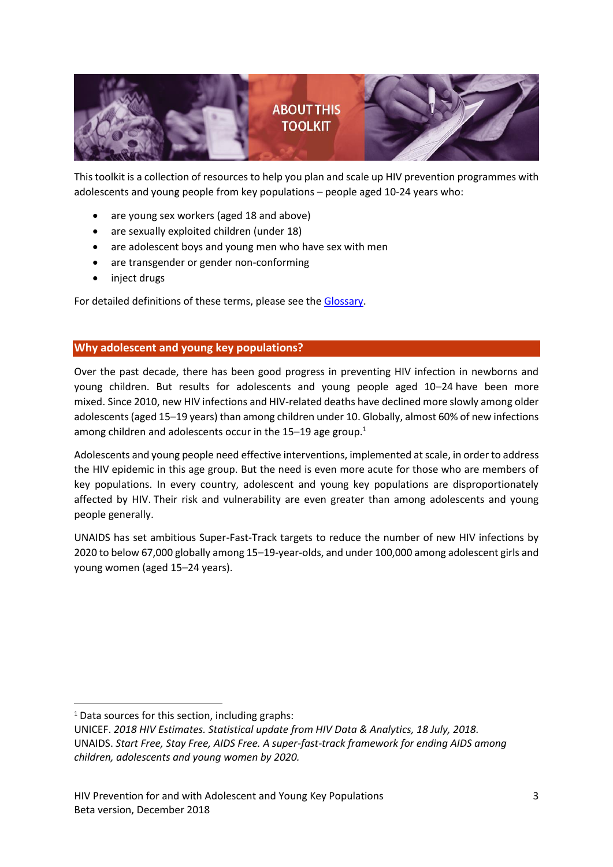

<span id="page-2-0"></span>This toolkit is a collection of resources to help you plan and scale up HIV prevention programmes with adolescents and young people from key populations – people aged 10-24 years who:

- are young sex workers (aged 18 and above)
- are sexually exploited children (under 18)
- are adolescent boys and young men who have sex with men
- are transgender or gender non-conforming
- inject drugs

For detailed definitions of these terms, please see the [Glossary.](#page-5-0)

# **Why adolescent and young key populations?**

Over the past decade, there has been good progress in preventing HIV infection in newborns and young children. But results for adolescents and young people aged 10–24 have been more mixed. Since 2010, new HIV infections and HIV-related deaths have declined more slowly among older adolescents (aged 15–19 years) than among children under 10. Globally, almost 60% of new infections among children and adolescents occur in the  $15-19$  age group.<sup>1</sup>

Adolescents and young people need effective interventions, implemented at scale, in order to address the HIV epidemic in this age group. But the need is even more acute for those who are members of key populations. In every country, adolescent and young key populations are disproportionately affected by HIV. Their risk and vulnerability are even greater than among adolescents and young people generally.

UNAIDS has set ambitious Super-Fast-Track targets to reduce the number of new HIV infections by 2020 to below 67,000 globally among 15–19-year-olds, and under 100,000 among adolescent girls and young women (aged 15–24 years).

1

 $1$  Data sources for this section, including graphs:

UNICEF. *2018 HIV Estimates. Statistical update from HIV Data & Analytics, 18 July, 2018.* UNAIDS. *Start Free, Stay Free, AIDS Free. A super-fast-track framework for ending AIDS among children, adolescents and young women by 2020.*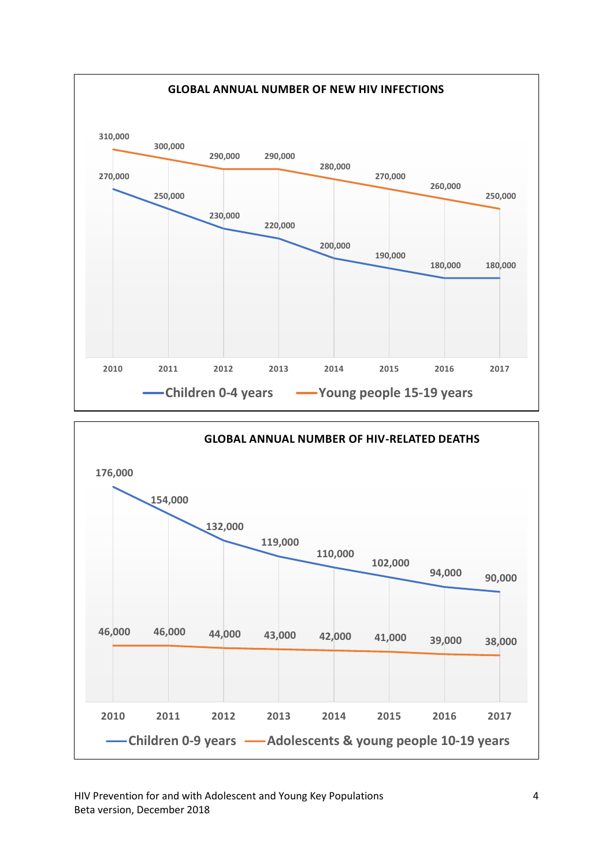

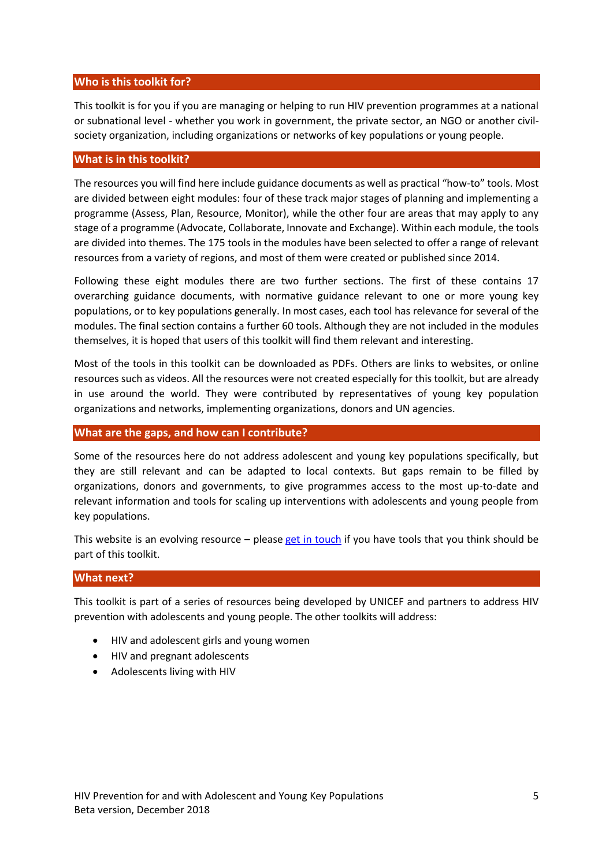# **Who is this toolkit for?**

This toolkit is for you if you are managing or helping to run HIV prevention programmes at a national or subnational level - whether you work in government, the private sector, an NGO or another civilsociety organization, including organizations or networks of key populations or young people.

# **What is in this toolkit?**

The resources you will find here include guidance documents as well as practical "how-to" tools. Most are divided between eight modules: four of these track major stages of planning and implementing a programme (Assess, Plan, Resource, Monitor), while the other four are areas that may apply to any stage of a programme (Advocate, Collaborate, Innovate and Exchange). Within each module, the tools are divided into themes. The 175 tools in the modules have been selected to offer a range of relevant resources from a variety of regions, and most of them were created or published since 2014.

Following these eight modules there are two further sections. The first of these contains 17 overarching guidance documents, with normative guidance relevant to one or more young key populations, or to key populations generally. In most cases, each tool has relevance for several of the modules. The final section contains a further 60 tools. Although they are not included in the modules themselves, it is hoped that users of this toolkit will find them relevant and interesting.

Most of the tools in this toolkit can be downloaded as PDFs. Others are links to websites, or online resources such as videos. All the resources were not created especially for this toolkit, but are already in use around the world. They were contributed by representatives of young key population organizations and networks, implementing organizations, donors and UN agencies.

### **What are the gaps, and how can I contribute?**

Some of the resources here do not address adolescent and young key populations specifically, but they are still relevant and can be adapted to local contexts. But gaps remain to be filled by organizations, donors and governments, to give programmes access to the most up-to-date and relevant information and tools for scaling up interventions with adolescents and young people from key populations.

This website is an evolving resource – please [get in touch](http://childrenandaids.org/node/884) if you have tools that you think should be part of this toolkit.

### **What next?**

This toolkit is part of a series of resources being developed by UNICEF and partners to address HIV prevention with adolescents and young people. The other toolkits will address:

- HIV and adolescent girls and young women
- HIV and pregnant adolescents
- Adolescents living with HIV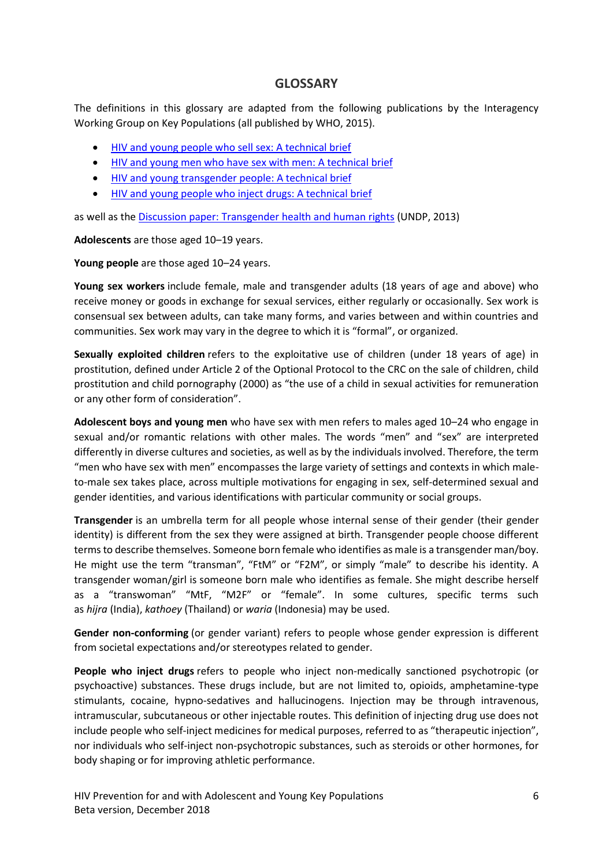# **GLOSSARY**

<span id="page-5-0"></span>The definitions in this glossary are adapted from the following publications by the Interagency Working Group on Key Populations (all published by WHO, 2015).

- [HIV and young people who sell sex: A technical brief](http://childrenandaids.org/node/782)
- [HIV and young men who have sex with men: A technical brief](http://childrenandaids.org/node/783)
- [HIV and young transgender people: A technical brief](http://childrenandaids.org/node/784)
- [HIV and young people who inject drugs: A technical brief](http://childrenandaids.org/node/785)

as well as the [Discussion paper: Transgender health and human rights](http://www.undp.org/content/undp/en/home/librarypage/hiv-aids/discussion-paper-on-transgender-health---human-rights.html) (UNDP, 2013)

**Adolescents** are those aged 10–19 years.

**Young people** are those aged 10–24 years.

**Young sex workers** include female, male and transgender adults (18 years of age and above) who receive money or goods in exchange for sexual services, either regularly or occasionally. Sex work is consensual sex between adults, can take many forms, and varies between and within countries and communities. Sex work may vary in the degree to which it is "formal", or organized.

**Sexually exploited children** refers to the exploitative use of children (under 18 years of age) in prostitution, defined under Article 2 of the Optional Protocol to the CRC on the sale of children, child prostitution and child pornography (2000) as "the use of a child in sexual activities for remuneration or any other form of consideration".

**Adolescent boys and young men** who have sex with men refers to males aged 10–24 who engage in sexual and/or romantic relations with other males. The words "men" and "sex" are interpreted differently in diverse cultures and societies, as well as by the individuals involved. Therefore, the term "men who have sex with men" encompasses the large variety of settings and contexts in which maleto-male sex takes place, across multiple motivations for engaging in sex, self-determined sexual and gender identities, and various identifications with particular community or social groups.

**Transgender** is an umbrella term for all people whose internal sense of their gender (their gender identity) is different from the sex they were assigned at birth. Transgender people choose different terms to describe themselves. Someone born female who identifies as male is a transgender man/boy. He might use the term "transman", "FtM" or "F2M", or simply "male" to describe his identity. A transgender woman/girl is someone born male who identifies as female. She might describe herself as a "transwoman" "MtF, "M2F" or "female". In some cultures, specific terms such as *hijra* (India), *kathoey* (Thailand) or *waria* (Indonesia) may be used.

**Gender non-conforming** (or gender variant) refers to people whose gender expression is different from societal expectations and/or stereotypes related to gender.

**People who inject drugs** refers to people who inject non-medically sanctioned psychotropic (or psychoactive) substances. These drugs include, but are not limited to, opioids, amphetamine-type stimulants, cocaine, hypno-sedatives and hallucinogens. Injection may be through intravenous, intramuscular, subcutaneous or other injectable routes. This definition of injecting drug use does not include people who self-inject medicines for medical purposes, referred to as "therapeutic injection", nor individuals who self-inject non-psychotropic substances, such as steroids or other hormones, for body shaping or for improving athletic performance.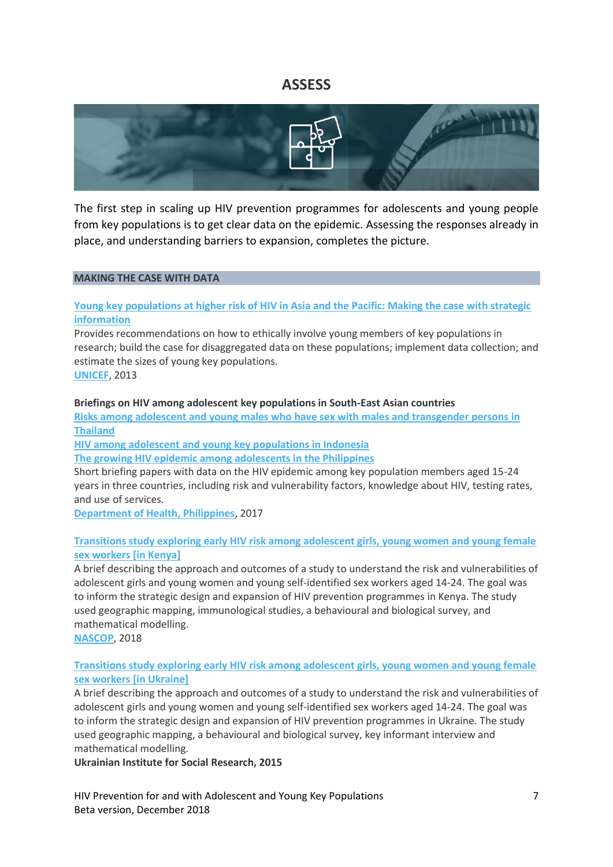# **ASSESS**

<span id="page-6-0"></span>

The first step in scaling up HIV prevention programmes for adolescents and young people from key populations is to get clear data on the epidemic. Assessing the responses already in place, and understanding barriers to expansion, completes the picture.

### **MAKING THE CASE WITH DATA**

# **[Young key populations at higher risk of HIV in Asia and the Pacific: Making the case with strategic](http://childrenandaids.org/sites/default/files/2018-11/Young%20key%20populations%20at%20higher%20risk%20of%20HIV%20in%20Asia%20and%20the%20Pacific%20-%20Making%20the%20case%20with%20strategic%20information.pdf)  [information](http://childrenandaids.org/sites/default/files/2018-11/Young%20key%20populations%20at%20higher%20risk%20of%20HIV%20in%20Asia%20and%20the%20Pacific%20-%20Making%20the%20case%20with%20strategic%20information.pdf)**

Provides recommendations on how to ethically involve young members of key populations in research; build the case for disaggregated data on these populations; implement data collection; and estimate the sizes of young key populations. **[UNICEF](http://www.unicef.org/)**, 2013

#### **Briefings on HIV among adolescent key populations in South-East Asian countries**

**Risks among adolescent and young males who [have sex with males and transgender persons in](http://childrenandaids.org/sites/default/files/2018-11/Risks%20among%20adolescent%20and%20young%20males%20who%20have%20sex%20with%20males%20and%20transgender%20persons%20in%20Thailand.pdf)  [Thailand](http://childrenandaids.org/sites/default/files/2018-11/Risks%20among%20adolescent%20and%20young%20males%20who%20have%20sex%20with%20males%20and%20transgender%20persons%20in%20Thailand.pdf)**

**[HIV among adolescent and young key populations in Indonesia](http://childrenandaids.org/sites/default/files/2018-11/HIV%20among%20adolescent%20and%20young%20key%20populations%20in%20Indonesia.pdf)**

**[The growing HIV epidemic among adolescents in the Philippines](http://childrenandaids.org/sites/default/files/2018-11/The%20growing%20HIV%20epidemic%20among%20adolescents%20in%20the%20Philippines.pdf)**

Short briefing papers with data on the HIV epidemic among key population members aged 15-24 years in three countries, including risk and vulnerability factors, knowledge about HIV, testing rates, and use of services.

**[Department of Health, Philippines](https://www.doh.gov.ph/)**, 2017

## **[Transitions study exploring early HIV risk among adolescent girls, young women and young female](http://childrenandaids.org/sites/default/files/2018-11/Transitions%20study%20in%20Kenya%20-%20Exploring%20early%20HIV%20risk%20among%20adolescent%20girls%2C%20young%20women%20and%20young%20female%20sex%20workers.pdf)  [sex workers \[in Kenya\]](http://childrenandaids.org/sites/default/files/2018-11/Transitions%20study%20in%20Kenya%20-%20Exploring%20early%20HIV%20risk%20among%20adolescent%20girls%2C%20young%20women%20and%20young%20female%20sex%20workers.pdf)**

A brief describing the approach and outcomes of a study to understand the risk and vulnerabilities of adolescent girls and young women and young self-identified sex workers aged 14-24. The goal was to inform the strategic design and expansion of HIV prevention programmes in Kenya. The study used geographic mapping, immunological studies, a behavioural and biological survey, and mathematical modelling.

**[NASCOP](https://www.nascop.or.ke/)**, 2018

# **[Transitions study exploring early HIV risk among adolescent girls, young women and young female](http://childrenandaids.org/sites/default/files/2018-11/Transitions%20study%20in%20Ukraine%20-%20Exploring%20early%20HIV%20risk%20among%20adolescent%20girls%2C%20young%20women%20and%20young%20female%20sex%20workers.pdf)  [sex workers \[in Ukraine\]](http://childrenandaids.org/sites/default/files/2018-11/Transitions%20study%20in%20Ukraine%20-%20Exploring%20early%20HIV%20risk%20among%20adolescent%20girls%2C%20young%20women%20and%20young%20female%20sex%20workers.pdf)**

A brief describing the approach and outcomes of a study to understand the risk and vulnerabilities of adolescent girls and young women and young self-identified sex workers aged 14-24. The goal was to inform the strategic design and expansion of HIV prevention programmes in Ukraine. The study used geographic mapping, a behavioural and biological survey, key informant interview and mathematical modelling.

**Ukrainian Institute for Social Research, 2015**

HIV Prevention for and with Adolescent and Young Key Populations 7 Beta version, December 2018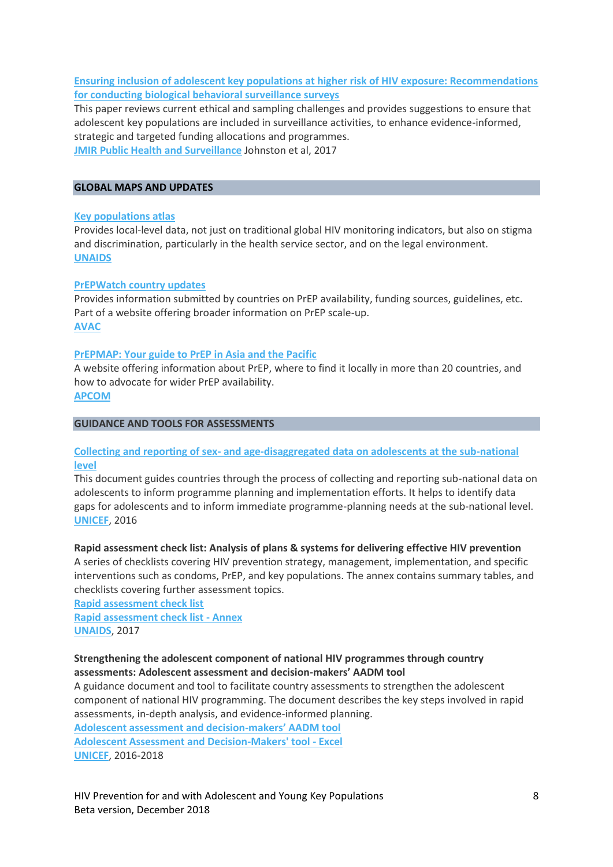# **[Ensuring inclusion of adolescent key populations at higher risk of HIV exposure: Recommendations](http://childrenandaids.org/sites/default/files/2018-11/Ensuring%20inclusion%20of%20adolescent%20key%20populations%20at%20higher%20risk%20of%20HIV%20exposure%20-%20Recommendations%20for%20conducting%20biological%20behavioral%20surveillance%20surveys.pdf)  [for conducting biological behavioral surveillance surveys](http://childrenandaids.org/sites/default/files/2018-11/Ensuring%20inclusion%20of%20adolescent%20key%20populations%20at%20higher%20risk%20of%20HIV%20exposure%20-%20Recommendations%20for%20conducting%20biological%20behavioral%20surveillance%20surveys.pdf)**

This paper reviews current ethical and sampling challenges and provides suggestions to ensure that adolescent key populations are included in surveillance activities, to enhance evidence-informed, strategic and targeted funding allocations and programmes. **[JMIR Public Health and Surveillance](https://publichealth.jmir.org/)** Johnston et al, 2017

### **GLOBAL MAPS AND UPDATES**

### **[Key populations atlas](http://www.aidsinfoonline.org/kpatlas/#/home)**

Provides local-level data, not just on traditional global HIV monitoring indicators, but also on stigma and discrimination, particularly in the health service sector, and on the legal environment. **[UNAIDS](http://www.unaids.org/)**

### **[PrEPWatch country updates](https://www.prepwatch.org/country-updates/)**

Provides information submitted by countries on PrEP availability, funding sources, guidelines, etc. Part of a website offering broader information on PrEP scale-up. **[AVAC](https://avac.org/)**

### **[PrEPMAP: Your guide to PrEP in Asia and the Pacific](https://www.prepmap.org/)**

A website offering information about PrEP, where to find it locally in more than 20 countries, and how to advocate for wider PrEP availability. **[APCOM](https://apcom.org/)**

### **GUIDANCE AND TOOLS FOR ASSESSMENTS**

# **Collecting and reporting of sex- [and age-disaggregated data on adolescents at the sub-national](http://childrenandaids.org/sites/default/files/2018-11/Collecting%20and%20reporting%20of%20sex-%20and%20age-disaggregated%20data%20on%20adolescents%20at%20the%20sub-national%20level.pdf)  [level](http://childrenandaids.org/sites/default/files/2018-11/Collecting%20and%20reporting%20of%20sex-%20and%20age-disaggregated%20data%20on%20adolescents%20at%20the%20sub-national%20level.pdf)**

This document guides countries through the process of collecting and reporting sub-national data on adolescents to inform programme planning and implementation efforts. It helps to identify data gaps for adolescents and to inform immediate programme-planning needs at the sub-national level. **[UNICEF](http://www.unicef.org/)**, 2016

### **Rapid assessment check list: Analysis of plans & systems for delivering effective HIV prevention**

A series of checklists covering HIV prevention strategy, management, implementation, and specific interventions such as condoms, PrEP, and key populations. The annex contains summary tables, and checklists covering further assessment topics.

**[Rapid assessment check list](http://childrenandaids.org/sites/default/files/2018-11/Rapid%20assessment%20check%20list.pdf) [Rapid assessment check list -](http://childrenandaids.org/sites/default/files/2018-11/Rapid%20assessment%20check%20list%20-%20Annex.pdf) Annex [UNAIDS](http://www.unaids.org/)**, 2017

# **Strengthening the adolescent component of national HIV programmes through country assessments: Adolescent assessment and decision-makers' AADM tool**

A guidance document and tool to facilitate country assessments to strengthen the adolescent component of national HIV programming. The document describes the key steps involved in rapid assessments, in-depth analysis, and evidence-informed planning.

**[Adolescent assessment and decision-](http://childrenandaids.org/sites/default/files/2018-11/Adolescent%20Assessment%20and%20Decision-Makers%27%20tool%20-%20guidance%20document.pdf)makers' AADM tool [Adolescent Assessment and Decision-Makers' tool -](http://childrenandaids.org/sites/default/files/2018-12/Adolescent%20Assessment%20and%20Decision-Makers%27%20tool%20-%20Excel.xlsx) Excel [UNICEF](http://www.unicef.org/)**, 2016-2018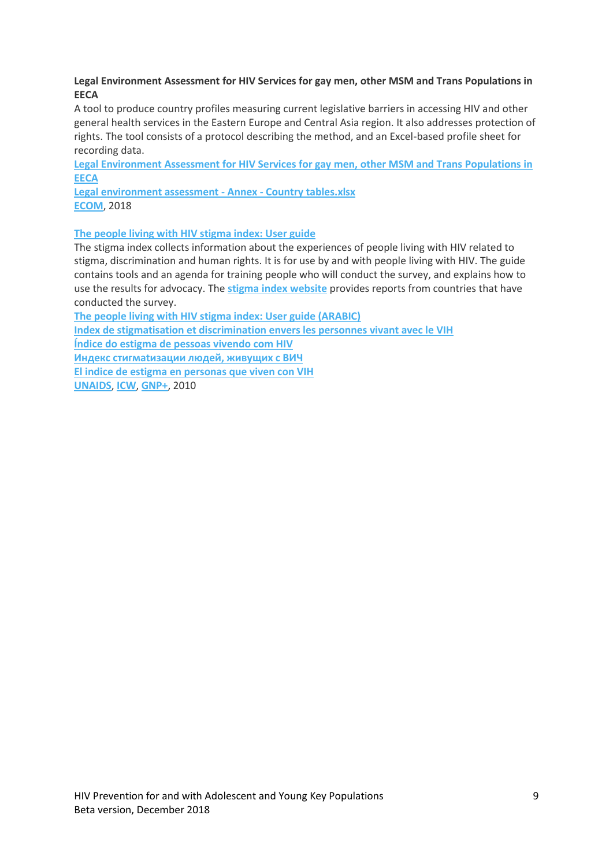# **Legal Environment Assessment for HIV Services for gay men, other MSM and Trans Populations in EECA**

A tool to produce country profiles measuring current legislative barriers in accessing HIV and other general health services in the Eastern Europe and Central Asia region. It also addresses protection of rights. The tool consists of a protocol describing the method, and an Excel-based profile sheet for recording data.

**[Legal Environment Assessment for HIV Services for gay men, other MSM and Trans Populations in](http://childrenandaids.org/sites/default/files/2018-11/Legal%20environment%20assessment%20for%20HIV%20services%20for%20gay%20men%2C%20other%20MSM%20and%20trans%20populations%20in%20CEECA.pdf)  [EECA](http://childrenandaids.org/sites/default/files/2018-11/Legal%20environment%20assessment%20for%20HIV%20services%20for%20gay%20men%2C%20other%20MSM%20and%20trans%20populations%20in%20CEECA.pdf)**

**[Legal environment assessment -](http://childrenandaids.org/sites/default/files/2018-11/Legal%20environment%20assessment%20-%20Annex%20-%20Country%20tables.xlsx) Annex - Country tables.xlsx [ECOM](https://ecom.ngo/en/)**, 2018

# **[The people living with HIV stigma index: User guide](http://childrenandaids.org/sites/default/files/2018-11/The%20people%20living%20with%20HIV%20stigma%20index%20-%20User%20guide.pdf)**

The stigma index collects information about the experiences of people living with HIV related to stigma, discrimination and human rights. It is for use by and with people living with HIV. The guide contains tools and an agenda for training people who will conduct the survey, and explains how to use the results for advocacy. The **[stigma index website](http://www.stigmaindex.org/)** provides reports from countries that have conducted the survey.

**[The people living with HIV stigma index: User guide \(ARABIC\)](http://childrenandaids.org/sites/default/files/2018-11/The%20people%20living%20with%20HIV%20stigma%20index%20-%20User%20guide%20ARABIC.pdf)**

**[Index de stigmatisation et discrimination envers les personnes vivant avec le VIH](http://childrenandaids.org/sites/default/files/2018-11/Index%20de%20stigmatisation%20et%20discrimination%20envers%20les%20personnes%20vivant%20avec%20le%20VIH%20-%20Guide%20de%20l%27utilisateur.pdf)**

**[Índice do estigma de pessoas vivendo com HIV](http://childrenandaids.org/sites/default/files/2018-11/%C3%8Dndice%20do%20estigma%20de%20pessoas%20vivendo%20com%20HIV%20-%20Guia%20do%20utilizador.pdf)**

**[Индекс стигмatизации людей, живущих с ВИЧ](http://childrenandaids.org/sites/default/files/2018-11/%D0%98%D0%9D%D0%94%D0%95%D0%9A%D0%A1%20%D0%A1%D0%A2%D0%98%D0%93%D0%9CAT%D0%98%D0%97%D0%90%D0%A6%D0%98%D0%98%20%D0%9B%D0%AE%D0%94%D0%95%D0%99%2C%20%D0%96%D0%98%D0%92%D0%A3%D0%A9%D0%98%D0%A5%20%D0%A1%20%D0%92%D0%98%D0%A7%20%E2%80%93%20%D0%A0%D0%A3%D0%9A%D0%9E%D0%92%D0%9E%D0%94%D0%A1%D0%A2%D0%92%D0%9E%20%D0%9F%D0%9E%D0%9B%D0%AC%D0%97%D0%9E%D0%92%D0%90%D0%A2%D0%95%D0%9B%D0%AF.pdf)**

**[El indice de estigma en personas que viven con VIH](http://childrenandaids.org/sites/default/files/2018-11/El%20indice%20de%20estigma%20en%20personas%20que%20viven%20con%20VIH%20-%20Guia%20del%20usuario.pdf)**

**[UNAIDS](http://www.unaids.org/)**, **[ICW](http://www.icwglobal.org/)**, **[GNP+](https://www.gnpplus.net/)**, 2010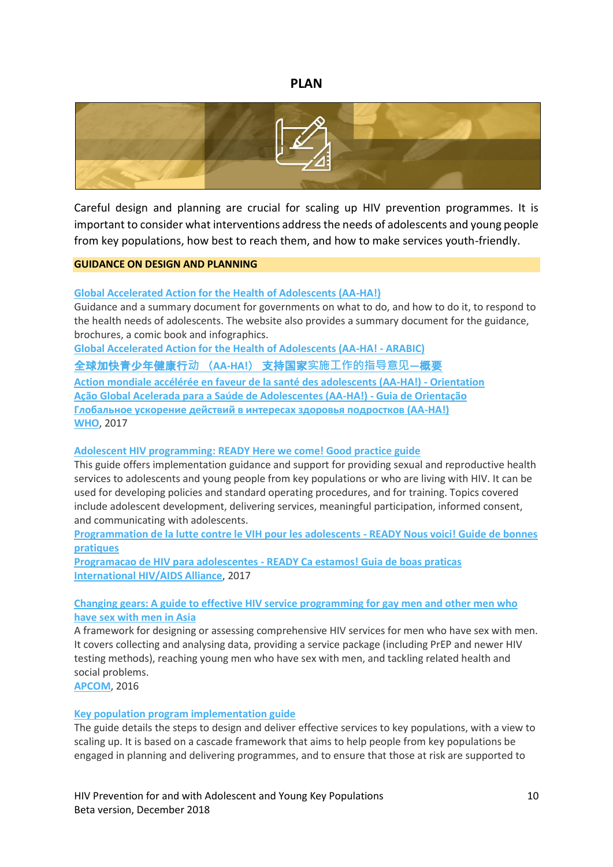# **PLAN**

<span id="page-9-0"></span>

Careful design and planning are crucial for scaling up HIV prevention programmes. It is important to consider what interventions address the needs of adolescents and young people from key populations, how best to reach them, and how to make services youth-friendly.

### **GUIDANCE ON DESIGN AND PLANNING**

### **[Global Accelerated Action for the Health of Adolescents \(AA-HA!\)](http://childrenandaids.org/sites/default/files/2018-11/Global%20Accelerated%20Action%20for%20the%20Health%20of%20Adolescents%20%28AA-HA%21%29%20-%20Guidance.pdf)**

Guidance and a summary document for governments on what to do, and how to do it, to respond to the health needs of adolescents. The website also provides a summary document for the guidance, brochures, a comic book and infographics.

**[Global Accelerated Action for the Health of Adolescents \(AA-HA! -](http://childrenandaids.org/sites/default/files/2018-11/Global%20Accelerated%20Action%20for%20the%20Health%20of%20Adolescents%20%28AA-HA%21%29%20-%20Summary%20ARABIC.pdf) ARABIC)**

[全球加快青少年健康行](http://childrenandaids.org/sites/default/files/2018-11/%E5%85%A8%E7%90%83%E5%8A%A0%E5%BF%AB%E9%9D%92%E5%B0%91%E5%B9%B4%E5%81%A5%E5%BA%B7%E8%A1%8C%E5%8A%A8%20%EF%BC%88AA-HA%21%EF%BC%89%20%E6%94%AF%E6%8C%81%E5%9B%BD%E5%AE%B6%E5%AE%9E%E6%96%BD%E5%B7%A5%E4%BD%9C%E7%9A%84%E6%8C%87%E5%AF%BC%E6%84%8F%E8%A7%81%E2%80%94%E6%A6%82%E8%A6%81.pdf)**动** (**AA-HA!**) 支持国家**实施工作的指导意见—**概要

**[Action mondiale accélérée en faveur de la santé des adolescents \(AA-HA!\) -](http://childrenandaids.org/sites/default/files/2018-11/Action%20mondiale%20acc%C3%A9l%C3%A9r%C3%A9e%20en%20faveur%20de%20la%20sant%C3%A9%20des%20adolescents%20%28AA-HA%21%29%20-%20Orientations.pdf) Orientation [Ação Global Acelerada para a Saúde de Adolescentes \(AA-HA!\) -](http://childrenandaids.org/sites/default/files/2018-11/A%C3%A7%C3%A3o%20Global%20Acelerada%20para%20a%20Sa%C3%BAde%20de%20Adolescentes%20%28AA-HA%21%29%20-%20Guia%20de%20Orienta%C3%A7%C3%A3o.pdf) Guia de Orientação [Глобальное ускорение действий в интересах здоровья подростков \(АА](http://childrenandaids.org/sites/default/files/2018-11/%D0%93%D0%BB%D0%BE%D0%B1%D0%B0%D0%BB%D1%8C%D0%BD%D0%BE%D0%B5%20%D1%83%D1%81%D0%BA%D0%BE%D1%80%D0%B5%D0%BD%D0%B8%D0%B5%20%D0%B4%D0%B5%D0%B9%D1%81%D1%82%D0%B2%D0%B8%D0%B9%20%D0%B2%20%D0%B8%D0%BD%D1%82%D0%B5%D1%80%D0%B5%D1%81%D0%B0%D1%85%20%D0%B7%D0%B4%D0%BE%D1%80%D0%BE%D0%B2%D1%8C%D1%8F%20%D0%BF%D0%BE%D0%B4%D1%80%D0%BE%D1%81%D1%82%D0%BA%D0%BE%D0%B2%20%28%D0%90%D0%90-HA%21%29%20-%20%D0%A0%D0%B5%D0%B7%D1%8E%D0%BC%D0%B5.pdf)-HA!) [WHO](https://www.who.int/maternal_child_adolescent/topics/adolescence/framework-accelerated-action/en/)**, 2017

### **Adolescent HIV programming: [READY Here we come! Good practice guide](http://childrenandaids.org/sites/default/files/2018-11/Adolescent%20HIV%20programming%20-%20READY%20Here%20we%20come%21%20Good%20practice%20guide.pdf)**

This guide offers implementation guidance and support for providing sexual and reproductive health services to adolescents and young people from key populations or who are living with HIV. It can be used for developing policies and standard operating procedures, and for training. Topics covered include adolescent development, delivering services, meaningful participation, informed consent, and communicating with adolescents.

**[Programmation de la lutte contre le VIH pour les adolescents -](http://childrenandaids.org/sites/default/files/2018-11/Programmation%20de%20la%20lutte%20contre%20le%20VIH%20pour%20les%20adolescents%20-%20READY%20Nous%20voici%21%20Guide%20de%20bonnes%20pratiques.pdf) READY Nous voici! Guide de bonnes [pratiques](http://childrenandaids.org/sites/default/files/2018-11/Programmation%20de%20la%20lutte%20contre%20le%20VIH%20pour%20les%20adolescents%20-%20READY%20Nous%20voici%21%20Guide%20de%20bonnes%20pratiques.pdf)**

**Programacao de HIV para adolescentes - [READY Ca estamos! Guia de boas praticas](http://childrenandaids.org/sites/default/files/2018-11/Programacao%20de%20HIV%20para%20adolescentes%20-%20READY%20Ca%20estamos%21%20Guia%20de%20boas%20praticas.pdf) [International HIV/AIDS Alliance](http://www.aidsalliance.org/)**, 2017

# **[Changing gears: A guide to effective HIV service programming for gay men and other men who](http://childrenandaids.org/sites/default/files/2018-11/Changing%20gears%20-%20A%20guide%20to%20effective%20HIV%20service%20programming%20for%20gay%20men%20and%20other%20men%20who%20have%20sex%20with%20men%20in%20Asia.pdf)  [have sex with men in Asia](http://childrenandaids.org/sites/default/files/2018-11/Changing%20gears%20-%20A%20guide%20to%20effective%20HIV%20service%20programming%20for%20gay%20men%20and%20other%20men%20who%20have%20sex%20with%20men%20in%20Asia.pdf)**

A framework for designing or assessing comprehensive HIV services for men who have sex with men. It covers collecting and analysing data, providing a service package (including PrEP and newer HIV testing methods), reaching young men who have sex with men, and tackling related health and social problems.

**[APCOM](https://apcom.org/)**, 2016

### **[Key population program implementation guide](http://childrenandaids.org/sites/default/files/2018-11/Key%20population%20program%20implementation%20guide.pdf)**

The guide details the steps to design and deliver effective services to key populations, with a view to scaling up. It is based on a cascade framework that aims to help people from key populations be engaged in planning and delivering programmes, and to ensure that those at risk are supported to

HIV Prevention for and with Adolescent and Young Key Populations 10 Beta version, December 2018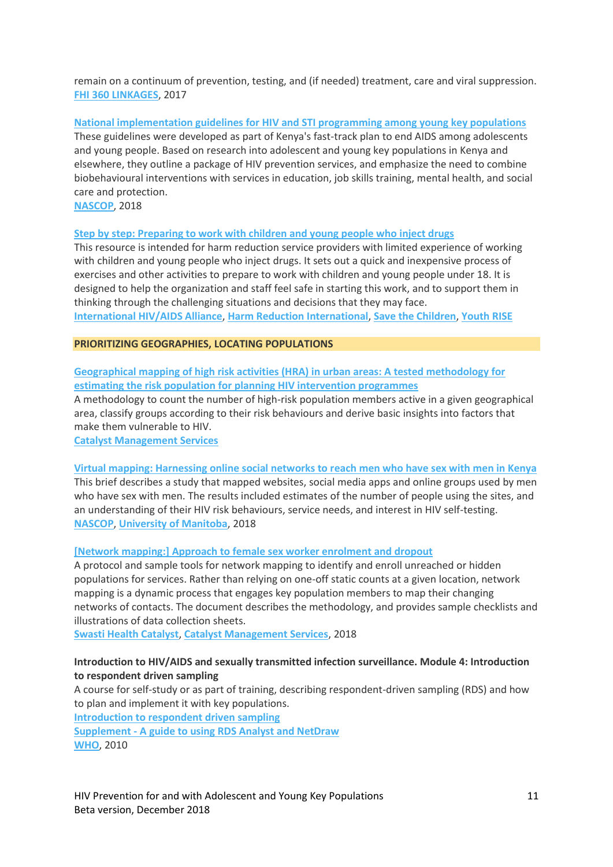remain on a continuum of prevention, testing, and (if needed) treatment, care and viral suppression. **[FHI 360 LINKAGES](https://www.fhi360.org/projects/linkages-across-continuum-hiv-services-key-populations-affected-hiv-linkages)**, 2017

**[National implementation guidelines for HIV and STI programming among young key populations](http://childrenandaids.org/sites/default/files/2018-12/National%20Implementation%20Guidelines%20for%20HIV%20and%20STI%20Programming%20%20Among%20You....pdf)** These guidelines were developed as part of Kenya's fast-track plan to end AIDS among adolescents and young people. Based on research into adolescent and young key populations in Kenya and elsewhere, they outline a package of HIV prevention services, and emphasize the need to combine biobehavioural interventions with services in education, job skills training, mental health, and social care and protection.

**[NASCOP](http://www.nascop.or.ke/)**, 2018

**[Step by step: Preparing to work with children and young people who inject drugs](http://childrenandaids.org/sites/default/files/2018-11/Step%20by%20step%20-%20Preparing%20to%20work%20with%20children%20and%20young%20people%20who%20inject%20drugs.pdf)**

This resource is intended for harm reduction service providers with limited experience of working with children and young people who inject drugs. It sets out a quick and inexpensive process of exercises and other activities to prepare to work with children and young people under 18. It is designed to help the organization and staff feel safe in starting this work, and to support them in thinking through the challenging situations and decisions that they may face. **[International HIV/AIDS Alliance](http://www.aidsalliance.org/)**, **[Harm Reduction International](https://www.hri.global/)**, **[Save the Children](https://www.savethechildren.net/)**, **[Youth RISE](https://youthrise.org/)**

### **PRIORITIZING GEOGRAPHIES, LOCATING POPULATIONS**

**[Geographical mapping of high risk activities \(HRA\) in urban areas: A tested methodology for](http://childrenandaids.org/sites/default/files/2018-11/Geographical%20mapping%20of%20high%20risk%20activities%20%28HRA%29%20in%20urban%20areas%20-%20A%20tested%20methodology%20for%20estimating%20the%20risk%20population%20for%20planning%20HIV%20intervention%20programmes.pdf)  [estimating the risk population for planning HIV intervention programmes](http://childrenandaids.org/sites/default/files/2018-11/Geographical%20mapping%20of%20high%20risk%20activities%20%28HRA%29%20in%20urban%20areas%20-%20A%20tested%20methodology%20for%20estimating%20the%20risk%20population%20for%20planning%20HIV%20intervention%20programmes.pdf)**

A methodology to count the number of high-risk population members active in a given geographical area, classify groups according to their risk behaviours and derive basic insights into factors that make them vulnerable to HIV.

**[Catalyst Management Services](http://cms.org.in/)**

**[Virtual mapping: Harnessing online social networks to reach men who have sex with men in Kenya](http://childrenandaids.org/sites/default/files/2018-11/Virtual%20mapping%20-%20Harnessing%20online%20social%20networks%20to%20reach%20men%20who%20have%20sex%20with%20men%20in%20Kenya.pdf)** This brief describes a study that mapped websites, social media apps and online groups used by men who have sex with men. The results included estimates of the number of people using the sites, and an understanding of their HIV risk behaviours, service needs, and interest in HIV self-testing. **[NASCOP](https://www.nascop.or.ke/)**, **[University of Manitoba](http://www.phdaf.org/)**, 2018

**[\[Network mapping:\] Approach to female sex worker enrolment and dropout](http://childrenandaids.org/sites/default/files/2018-11/%5BNetwork%20mapping%5D%20-%20Approach%20to%20female%20sex%20worker%20enrolment%20and%20dropout.pdf)**

A protocol and sample tools for network mapping to identify and enroll unreached or hidden populations for services. Rather than relying on one-off static counts at a given location, network mapping is a dynamic process that engages key population members to map their changing networks of contacts. The document describes the methodology, and provides sample checklists and illustrations of data collection sheets.

**[Swasti Health Catalyst](http://swasti.org/)**, **[Catalyst Management Services](http://cms.org.in/)**, 2018

# **Introduction to HIV/AIDS and sexually transmitted infection surveillance. Module 4: Introduction to respondent driven sampling**

A course for self-study or as part of training, describing respondent-driven sampling (RDS) and how to plan and implement it with key populations.

**[Introduction to respondent driven sampling](http://childrenandaids.org/sites/default/files/2018-11/Introduction%20to%20HIV%20AIDS%20and%20sexually%20transmitted%20infection%20surveillance.%20Module%204%20-%20Introduction%20to%20respondent%20driven%20sampling.pdf)**

**Supplement - [A guide to using RDS Analyst and NetDraw](http://childrenandaids.org/sites/default/files/2018-11/Introduction%20to%20HIV%20AIDS%20and%20sexually%20transmitted%20infection%20surveillance.%20Module%204%20-%20Supplement%20-%20A%20guide%20to%20using%20RDS%20Analyst%20and%20NetDraw.pdf) [WHO](http://www.who.org/)**, 2010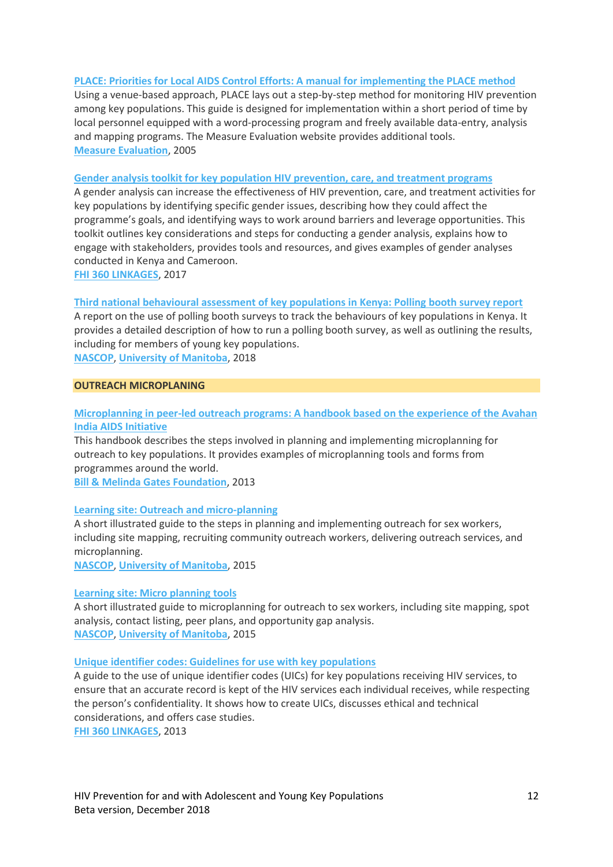### **[PLACE: Priorities for Local AIDS Control Efforts: A manual for](http://childrenandaids.org/sites/default/files/2018-11/PLACE%20Priorities%20for%20Local%20AIDS%20Control%20Efforts%20-%20A%20manual%20for%20implementing%20the%20PLACE%20method.pdf) implementing the PLACE method**

Using a venue-based approach, PLACE lays out a step-by-step method for monitoring HIV prevention among key populations. This guide is designed for implementation within a short period of time by local personnel equipped with a word-processing program and freely available data-entry, analysis and mapping programs. The Measure Evaluation website provides additional tools. **[Measure Evaluation](https://www.measureevaluation.org/resources/tools/hiv-aids/place)**, 2005

### **[Gender analysis toolkit for key population HIV prevention, care, and](http://childrenandaids.org/sites/default/files/2018-11/Gender%20analysis%20toolkit%20for%20key%20population%20HIV%20prevention%2C%20care%2C%20and%20treatment%20programs.pdf) treatment programs**

A gender analysis can increase the effectiveness of HIV prevention, care, and treatment activities for key populations by identifying specific gender issues, describing how they could affect the programme's goals, and identifying ways to work around barriers and leverage opportunities. This toolkit outlines key considerations and steps for conducting a gender analysis, explains how to engage with stakeholders, provides tools and resources, and gives examples of gender analyses conducted in Kenya and Cameroon.

**[FHI 360 LINKAGES](https://www.fhi360.org/projects/linkages-across-continuum-hiv-services-key-populations-affected-hiv-linkages)**, 2017

### **[Third national behavioural assessment of key populations in Kenya: Polling booth survey report](http://childrenandaids.org/sites/default/files/2018-11/Polling%20booth%20survey%20report.pdf)**

A report on the use of polling booth surveys to track the behaviours of key populations in Kenya. It provides a detailed description of how to run a polling booth survey, as well as outlining the results, including for members of young key populations.

**[NASCOP](https://www.nascop.or.ke/)**, **[University of Manitoba](http://www.phdaf.org/)**, 2018

### **OUTREACH MICROPLANING**

# **[Microplanning in peer-led outreach programs: A handbook based on the experience of the Avahan](http://childrenandaids.org/sites/default/files/2018-11/Microplanning%20in%20peer-led%20outreach%20programs%20-%20A%20handbook%20based%20on%20the%20experience%20of%20the%20Avahan%20India%20AIDS%20Initiative.pdf)  [India AIDS Initiative](http://childrenandaids.org/sites/default/files/2018-11/Microplanning%20in%20peer-led%20outreach%20programs%20-%20A%20handbook%20based%20on%20the%20experience%20of%20the%20Avahan%20India%20AIDS%20Initiative.pdf)**

This handbook describes the steps involved in planning and implementing microplanning for outreach to key populations. It provides examples of microplanning tools and forms from programmes around the world.

**[Bill & Melinda Gates Foundation](https://www.gatesfoundation.org/)**, 2013

### **[Learning site: Outreach and micro-planning](http://childrenandaids.org/sites/default/files/2018-11/Learning%20site%20-%20Outreach%20and%20Micro-planning.pdf)**

A short illustrated guide to the steps in planning and implementing outreach for sex workers, including site mapping, recruiting community outreach workers, delivering outreach services, and microplanning.

**[NASCOP](https://www.nascop.or.ke/)**, **[University of Manitoba](http://www.phdaf.org/)**, 2015

#### **[Learning site: Micro planning tools](http://childrenandaids.org/sites/default/files/2018-11/Learning%20site%20-%20Micro%20planning%20tools.pdf)**

A short illustrated guide to microplanning for outreach to sex workers, including site mapping, spot analysis, contact listing, peer plans, and opportunity gap analysis. **[NASCOP](https://www.nascop.or.ke/)**, **[University of Manitoba](http://www.phdaf.org/)**, 2015

#### **[Unique identifier codes: Guidelines for use with key populations](http://childrenandaids.org/sites/default/files/2018-11/Unique%20identifier%20codes%20-%20Guidelines%20for%20use%20with%20key%20populations.pdf)**

A guide to the use of unique identifier codes (UICs) for key populations receiving HIV services, to ensure that an accurate record is kept of the HIV services each individual receives, while respecting the person's confidentiality. It shows how to create UICs, discusses ethical and technical considerations, and offers case studies.

**[FHI 360 LINKAGES](https://www.fhi360.org/projects/linkages-across-continuum-hiv-services-key-populations-affected-hiv-linkages)**, 2013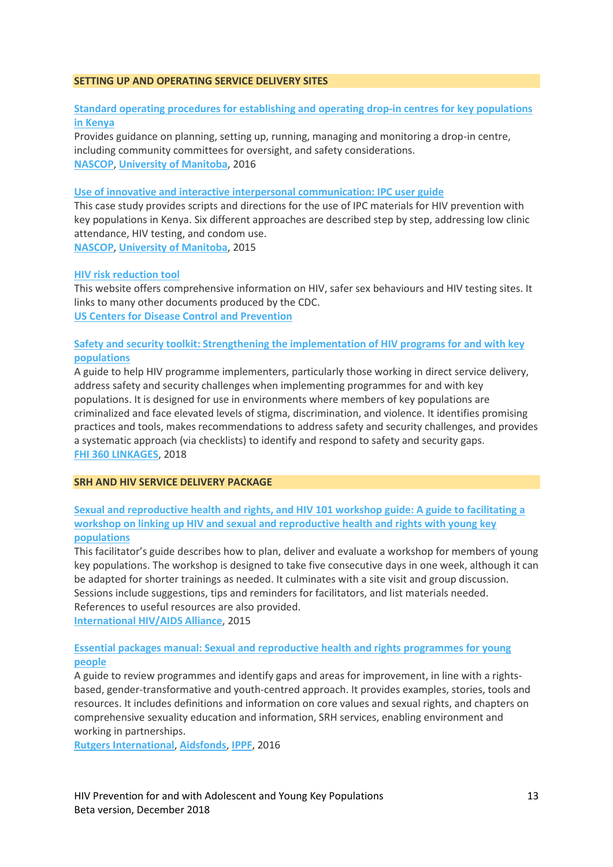#### **SETTING UP AND OPERATING SERVICE DELIVERY SITES**

# **[Standard operating procedures for establishing and operating drop-in centres for key populations](http://childrenandaids.org/sites/default/files/2018-11/Standard%20operating%20procedures%20for%20establishing%20and%20operating%20drop-in%20centres%20for%20key%20populations%20in%20Kenya.pdf)  [in Kenya](http://childrenandaids.org/sites/default/files/2018-11/Standard%20operating%20procedures%20for%20establishing%20and%20operating%20drop-in%20centres%20for%20key%20populations%20in%20Kenya.pdf)**

Provides guidance on planning, setting up, running, managing and monitoring a drop-in centre, including community committees for oversight, and safety considerations. **[NASCOP](https://www.nascop.or.ke/)**, **[University of Manitoba](http://www.phdaf.org/)**, 2016

### **[Use of innovative and interactive interpersonal communication: IPC user guide](http://childrenandaids.org/sites/default/files/2018-11/Use%20of%20innovative%20and%20interactive%20interpersonal%20communication%20-%20IPC%20user%20guide.pdf)**

This case study provides scripts and directions for the use of IPC materials for HIV prevention with key populations in Kenya. Six different approaches are described step by step, addressing low clinic attendance, HIV testing, and condom use.

**[NASCOP](https://www.nascop.or.ke/)**, **[University of Manitoba](http://www.phdaf.org/)**, 2015

### **[HIV risk reduction tool](https://wwwn.cdc.gov/hivrisk/)**

This website offers comprehensive information on HIV, safer sex behaviours and HIV testing sites. It links to many other documents produced by the CDC. **[US Centers for Disease Control and Prevention](http://www.cdc.gov/)**

# **[Safety and security toolkit: Strengthening the implementation of HIV programs for and with key](http://childrenandaids.org/sites/default/files/2018-11/Safety%20and%20security%20toolkit%20-%20Strengthening%20the%20implementation%20of%20HIV%20programs%20for%20and%20with%20key%20populations.pdf)  [populations](http://childrenandaids.org/sites/default/files/2018-11/Safety%20and%20security%20toolkit%20-%20Strengthening%20the%20implementation%20of%20HIV%20programs%20for%20and%20with%20key%20populations.pdf)**

A guide to help HIV programme implementers, particularly those working in direct service delivery, address safety and security challenges when implementing programmes for and with key populations. It is designed for use in environments where members of key populations are criminalized and face elevated levels of stigma, discrimination, and violence. It identifies promising practices and tools, makes recommendations to address safety and security challenges, and provides a systematic approach (via checklists) to identify and respond to safety and security gaps. **[FHI 360 LINKAGES](https://www.fhi360.org/projects/linkages-across-continuum-hiv-services-key-populations-affected-hiv-linkages)**, 2018

#### **SRH AND HIV SERVICE DELIVERY PACKAGE**

# **[Sexual and reproductive health and rights, and HIV 101 workshop guide: A guide to facilitating a](http://childrenandaids.org/sites/default/files/2018-11/Sexual%20and%20reproductive%20health%20and%20rights%2C%20and%20HIV%20101%20workshop%20guide.pdf)  [workshop on linking up HIV and sexual and reproductive health and rights with young key](http://childrenandaids.org/sites/default/files/2018-11/Sexual%20and%20reproductive%20health%20and%20rights%2C%20and%20HIV%20101%20workshop%20guide.pdf)  [populations](http://childrenandaids.org/sites/default/files/2018-11/Sexual%20and%20reproductive%20health%20and%20rights%2C%20and%20HIV%20101%20workshop%20guide.pdf)**

This facilitator's guide describes how to plan, deliver and evaluate a workshop for members of young key populations. The workshop is designed to take five consecutive days in one week, although it can be adapted for shorter trainings as needed. It culminates with a site visit and group discussion. Sessions include suggestions, tips and reminders for facilitators, and list materials needed. References to useful resources are also provided.

**[International HIV/AIDS Alliance](http://www.aidsalliance.org/)**, 2015

# **[Essential packages manual: Sexual and reproductive health and rights programmes for young](http://childrenandaids.org/sites/default/files/2018-11/Essential%20packages%20manual%20-%20Sexual%20and%20reproductive%20health%20and%20rights%20programmes%20for%20young%20people.pdf)  [people](http://childrenandaids.org/sites/default/files/2018-11/Essential%20packages%20manual%20-%20Sexual%20and%20reproductive%20health%20and%20rights%20programmes%20for%20young%20people.pdf)**

A guide to review programmes and identify gaps and areas for improvement, in line with a rightsbased, gender-transformative and youth-centred approach. It provides examples, stories, tools and resources. It includes definitions and information on core values and sexual rights, and chapters on comprehensive sexuality education and information, SRH services, enabling environment and working in partnerships.

**[Rutgers International](https://www.rutgers.international/)**, **[Aidsfonds](https://aidsfonds.org/about-aidsfonds)**, **[IPPF](https://www.ippf.org/)**, 2016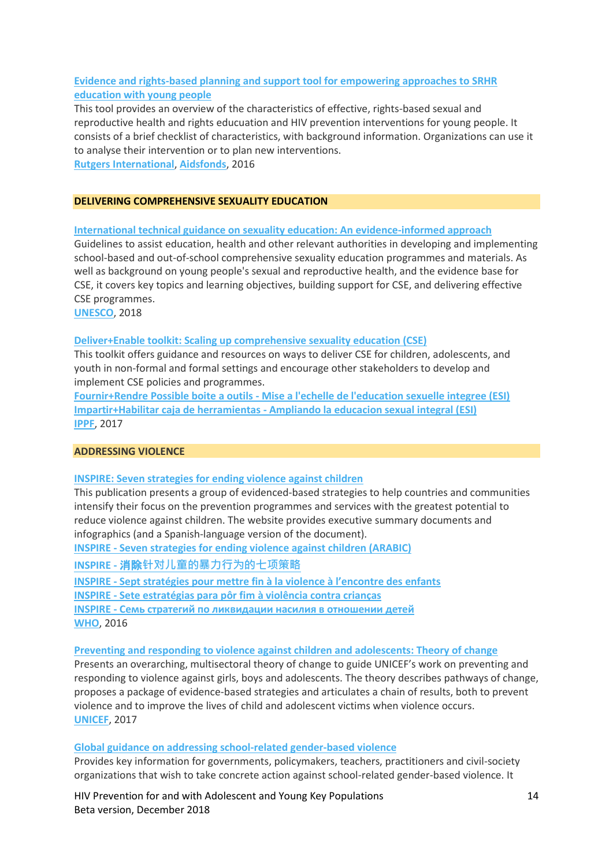# **[Evidence and rights-based planning and support tool for empowering approaches to SRHR](http://childrenandaids.org/sites/default/files/2018-11/Evidence%20and%20rights-based%20planning%20and%20support%20tool%20for%20empowering%20approaches%20to%20SRHR%20education%20with%20young%20people.pdf)  [education with young people](http://childrenandaids.org/sites/default/files/2018-11/Evidence%20and%20rights-based%20planning%20and%20support%20tool%20for%20empowering%20approaches%20to%20SRHR%20education%20with%20young%20people.pdf)**

This tool provides an overview of the characteristics of effective, rights-based sexual and reproductive health and rights educuation and HIV prevention interventions for young people. It consists of a brief checklist of characteristics, with background information. Organizations can use it to analyse their intervention or to plan new interventions. **[Rutgers International](https://www.rutgers.international/)**, **[Aidsfonds](https://aidsfonds.org/about-aidsfonds)**, 2016

#### **DELIVERING COMPREHENSIVE SEXUALITY EDUCATION**

**[International technical guidance on sexuality education: An evidence-informed](http://childrenandaids.org/sites/default/files/2018-11/International%20technical%20guidance%20on%20sexuality%20education%20-%20An%20evidence-informed%20approach.pdf) approach**

Guidelines to assist education, health and other relevant authorities in developing and implementing school-based and out-of-school comprehensive sexuality education programmes and materials. As well as background on young people's sexual and reproductive health, and the evidence base for CSE, it covers key topics and learning objectives, building support for CSE, and delivering effective CSE programmes.

**[UNESCO](http://www.unesco.org/)**, 2018

#### **[Deliver+Enable toolkit: Scaling up comprehensive sexuality education \(CSE\)](http://childrenandaids.org/sites/default/files/2018-11/Deliver%2BEnable%20toolkit%20-%20Scaling%20up%20comprehensive%20sexuality%20education%20%28CSE%29.pdf)**

This toolkit offers guidance and resources on ways to deliver CSE for children, adolescents, and youth in non-formal and formal settings and encourage other stakeholders to develop and implement CSE policies and programmes.

**Fournir+Rendre Possible boite a outils - [Mise a l'echelle de l'education sexuelle integree \(ESI\)](http://childrenandaids.org/sites/default/files/2018-11/Fournir%2BRendre%20Possible%20boite%20a%20outils%20-%20Mise%20a%20l%27echelle%20de%20l%27education%20sexuelle%20integree%20%28ESI%29.pdf) Impartir+Habilitar caja de herramientas - [Ampliando la educacion sexual integral \(ESI\)](http://childrenandaids.org/sites/default/files/2018-11/Impartir%2BHabilitar%20caja%20de%20herramientas%20-%20Ampliando%20la%20educacion%20sexual%20integral%20%28ESI%29.pdf) [IPPF](https://www.ippf.org/)**, 2017

#### **ADDRESSING VIOLENCE**

#### **[INSPIRE: Seven strategies for ending violence against children](http://childrenandaids.org/sites/default/files/2018-11/INSPIRE%20-%20Seven%20strategies%20for%20ending%20violence%20against%20children.pdf)**

This publication presents a group of evidenced-based strategies to help countries and communities intensify their focus on the prevention programmes and services with the greatest potential to reduce violence against children. The website provides executive summary documents and infographics (and a Spanish-language version of the document).

**INSPIRE - [Seven strategies for ending violence against children \(ARABIC\)](http://childrenandaids.org/sites/default/files/2018-11/INSPIRE%20-%20Seven%20strategies%20for%20ending%20violence%20against%20children%20ARABIC.pdf)**

**INSPIRE -** 消除**[针对儿童的暴力行为的七项策略](http://childrenandaids.org/sites/default/files/2018-11/INSPIRE%20-%20%E6%B6%88%E9%99%A4%E9%92%88%E5%AF%B9%E5%84%BF%E7%AB%A5%E7%9A%84%E6%9A%B4%E5%8A%9B%E8%A1%8C%E4%B8%BA%E7%9A%84%E4%B8%83%E9%A1%B9%E7%AD%96%E7%95%A5.pdf)**

**INSPIRE - [Sept stratégies pour mettre fin à la violen](http://childrenandaids.org/sites/default/files/2018-11/INSPIRE%20-%20Sept%20strat%C3%A9gies%20pour%20mettre%20fin%20%C3%A0%20la%20violence%20%C3%A0%20l%E2%80%99encontre%20des%20enfants.pdf)ce à l'encontre des enfants**

**INSPIRE - [Sete estratégias para pôr fim à violência contra crianças](http://childrenandaids.org/sites/default/files/2018-11/INSPIRE%20-%20Sete%20Estrat%C3%A9gias%20para%20P%C3%B4r%20Fim%20%C3%A0%20Viol%C3%AAncia%20Contra%20Crian%C3%A7as.pdf)**

**INSPIRE - [Семь стратегий по ликвидации насилия в отношении детей](http://childrenandaids.org/sites/default/files/2018-11/INSPIRE%20-%20%D0%A1%D0%B5%D0%BC%D1%8C%20%D1%81%D1%82%D1%80%D0%B0%D1%82%D0%B5%D0%B3%D0%B8%D0%B9%20%D0%BF%D0%BE%20%D0%BB%D0%B8%D0%BA%D0%B2%D0%B8%D0%B4%D0%B0%D1%86%D0%B8%D0%B8%20%D0%BD%D0%B0%D1%81%D0%B8%D0%BB%D0%B8%D1%8F%20%D0%B2%20%D0%BE%D1%82%D0%BD%D0%BE%D1%88%D0%B5%D0%BD%D0%B8%D0%B8%20%D0%B4%D0%B5%D1%82%D0%B5%D0%B9.pdf)**

**[WHO](https://www.who.int/violence_injury_prevention/violence/inspire/en/)**, 2016

**[Preventing and responding to violence against children and adolescents: Theory of change](http://childrenandaids.org/sites/default/files/2018-11/Preventing%20and%20responding%20to%20violence%20against%20children%20and%20adolescents%20-%20Theory%20of%20change.pdf)**

Presents an overarching, multisectoral theory of change to guide UNICEF's work on preventing and responding to violence against girls, boys and adolescents. The theory describes pathways of change, proposes a package of evidence-based strategies and articulates a chain of results, both to prevent violence and to improve the lives of child and adolescent victims when violence occurs. **[UNICEF](http://www.unicef.org/)**, 2017

#### **[Global guidance on addressing school-related gender-based violence](http://childrenandaids.org/sites/default/files/2018-11/Global%20guidance%20on%20addressing%20school-related%20gender-based%20violence.pdf)**

Provides key information for governments, policymakers, teachers, practitioners and civil-society organizations that wish to take concrete action against school-related gender-based violence. It

HIV Prevention for and with Adolescent and Young Key Populations 14 Beta version, December 2018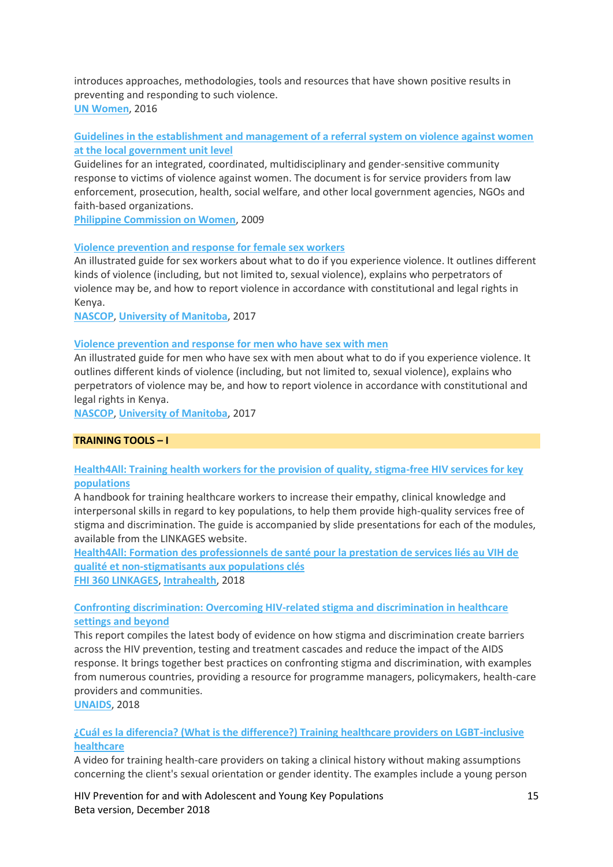introduces approaches, methodologies, tools and resources that have shown positive results in preventing and responding to such violence. **[UN Women](http://www.unwomen.org/)**, 2016

### **[Guidelines in the establishment and management of a referral system on violence against women](http://childrenandaids.org/sites/default/files/2018-11/Guidelines%20in%20the%20establishment%20and%20management%20of%20a%20referral%20system%20on%20violence%20against%20women%20at%20the%20local%20government%20unit%20level.pdf)  [at the local government unit level](http://childrenandaids.org/sites/default/files/2018-11/Guidelines%20in%20the%20establishment%20and%20management%20of%20a%20referral%20system%20on%20violence%20against%20women%20at%20the%20local%20government%20unit%20level.pdf)**

Guidelines for an integrated, coordinated, multidisciplinary and gender-sensitive community response to victims of violence against women. The document is for service providers from law enforcement, prosecution, health, social welfare, and other local government agencies, NGOs and faith-based organizations.

**[Philippine Commission on Women](https://www.pcw.gov.ph/)**, 2009

### **[Violence prevention and response for female sex workers](http://childrenandaids.org/sites/default/files/2018-11/Violence%20prevention%20and%20response%20for%20female%20sex%20workers.pdf)**

An illustrated guide for sex workers about what to do if you experience violence. It outlines different kinds of violence (including, but not limited to, sexual violence), explains who perpetrators of violence may be, and how to report violence in accordance with constitutional and legal rights in Kenya.

**[NASCOP](https://www.nascop.or.ke/)**, **[University of Manitoba](http://www.phdaf.org/)**, 2017

### **[Violence prevention and response for men who have sex with men](http://childrenandaids.org/sites/default/files/2018-11/Violence%20prevention%20and%20response%20for%20men%20who%20have%20sex%20with%20men.pdf)**

An illustrated guide for men who have sex with men about what to do if you experience violence. It outlines different kinds of violence (including, but not limited to, sexual violence), explains who perpetrators of violence may be, and how to report violence in accordance with constitutional and legal rights in Kenya.

**[NASCOP](https://www.nascop.or.ke/)**, **[University of Manitoba](http://www.phdaf.org/)**, 2017

### **TRAINING TOOLS – I**

# **Health4All: [Training health workers for the provision of quality, stigma-free HIV services for key](http://childrenandaids.org/sites/default/files/2018-11/Health4All%20-%20Training%20health%20workers%20for%20the%20provision%20of%20quality%2C%20stigma-free%20HIV%20services%20for%20key%20populations.pdf)  [populations](http://childrenandaids.org/sites/default/files/2018-11/Health4All%20-%20Training%20health%20workers%20for%20the%20provision%20of%20quality%2C%20stigma-free%20HIV%20services%20for%20key%20populations.pdf)**

A handbook for training healthcare workers to increase their empathy, clinical knowledge and interpersonal skills in regard to key populations, to help them provide high-quality services free of stigma and discrimination. The guide is accompanied by slide presentations for each of the modules, available from the LINKAGES website.

**Health4All: [Formation des professionnels de santé pour la prestation de services liés au VIH de](http://childrenandaids.org/sites/default/files/2018-11/Health4All%20-%20Formation%20des%20professionnels%20de%20sant%C3%A9%20pour%20la%20prestation%20de%20services%20li%C3%A9s%20au%20VIH%20de%20qualit%C3%A9%20et%20non-stigmatisants%20aux%20populations%20cl%C3%A9s.pdf)  [qualité et non-stigmatisants aux populations clés](http://childrenandaids.org/sites/default/files/2018-11/Health4All%20-%20Formation%20des%20professionnels%20de%20sant%C3%A9%20pour%20la%20prestation%20de%20services%20li%C3%A9s%20au%20VIH%20de%20qualit%C3%A9%20et%20non-stigmatisants%20aux%20populations%20cl%C3%A9s.pdf) [FHI 360 LINKAGES](https://www.fhi360.org/resource/health4all)**, **[Intrahealth](https://www.intrahealth.org/)**, 2018

# **[Confronting discrimination: Overcoming HIV-related stigma and discrimination in healthcare](http://childrenandaids.org/sites/default/files/2018-11/Confronting%20discrimination%20-%20Overcoming%20HIV-related%20stigma%20and%20discrimination%20in%20healthcare%20settings%20and%20beyond.pdf)  [settings and beyond](http://childrenandaids.org/sites/default/files/2018-11/Confronting%20discrimination%20-%20Overcoming%20HIV-related%20stigma%20and%20discrimination%20in%20healthcare%20settings%20and%20beyond.pdf)**

This report compiles the latest body of evidence on how stigma and discrimination create barriers across the HIV prevention, testing and treatment cascades and reduce the impact of the AIDS response. It brings together best practices on confronting stigma and discrimination, with examples from numerous countries, providing a resource for programme managers, policymakers, health-care providers and communities.

**[UNAIDS](http://www.unaids.org/)**, 2018

# **[¿Cuál es la diferencia? \(What is the difference?\) Training healthcare providers on LGBT-inclusive](https://www.youtube.com/watch?v=2asPSMg0HDk)  [healthcare](https://www.youtube.com/watch?v=2asPSMg0HDk)**

A video for training health-care providers on taking a clinical history without making assumptions concerning the client's sexual orientation or gender identity. The examples include a young person

HIV Prevention for and with Adolescent and Young Key Populations 15 Beta version, December 2018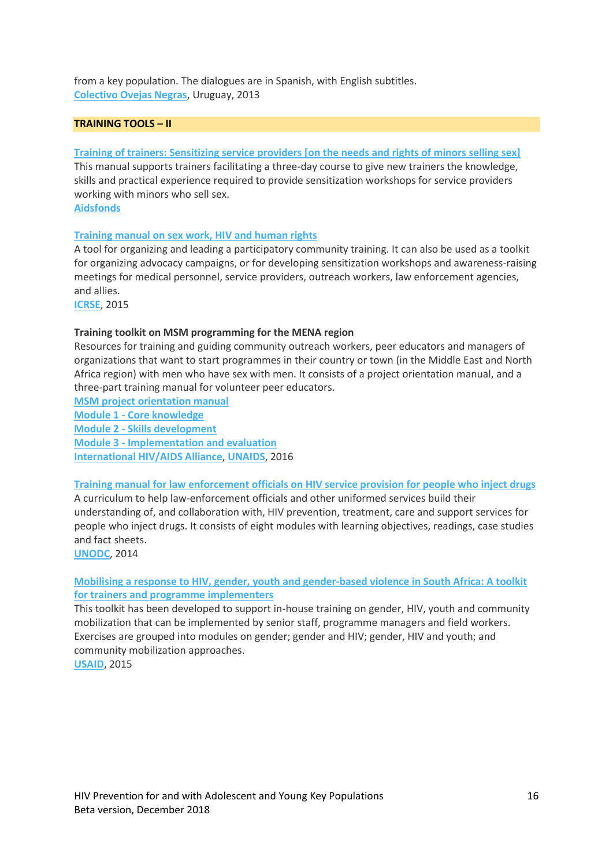from a key population. The dialogues are in Spanish, with English subtitles. **[Colectivo Ovejas Negras](http://ovejasnegras.org/es/)**, Uruguay, 2013

### **TRAINING TOOLS – II**

#### **[Training of trainers: Sensitizing service providers \[on the needs and rights of minors selling sex\]](http://childrenandaids.org/sites/default/files/2018-11/Training%20of%20trainers%20-%20Sensitizing%20service%20providers%20on%20the%20needs%20and%20rights%20of%20minors%20selling%20sex.pdf)**

This manual supports trainers facilitating a three-day course to give new trainers the knowledge, skills and practical experience required to provide sensitization workshops for service providers working with minors who sell sex.

**[Aidsfonds](http://www.aidsfonds.org/)**

#### **[Training manual on sex work, HIV and human rights](http://childrenandaids.org/sites/default/files/2018-11/Training%20manual%20on%20sex%20work%20-%20HIV%20and%20human%20rights.pdf)**

A tool for organizing and leading a participatory community training. It can also be used as a toolkit for organizing advocacy campaigns, or for developing sensitization workshops and awareness-raising meetings for medical personnel, service providers, outreach workers, law enforcement agencies, and allies.

**[ICRSE](http://www.sexworkeurope.org/)**, 2015

#### **Training toolkit on MSM programming for the MENA region**

Resources for training and guiding community outreach workers, peer educators and managers of organizations that want to start programmes in their country or town (in the Middle East and North Africa region) with men who have sex with men. It consists of a project orientation manual, and a three-part training manual for volunteer peer educators.

**[MSM project orientation manual](http://childrenandaids.org/sites/default/files/2018-11/Training%20toolkit%20on%20MSM%20programming%20for%20the%20MENA%20region%20-%20MSM%20project%20orientation%20manual.pdf)**

**Module 1 - [Core knowledge](http://childrenandaids.org/sites/default/files/2018-11/Module%201%20-%20Core%20knowledge.pdf)**

**Module 2 - [Skills development](http://childrenandaids.org/sites/default/files/2018-11/Module%202%20-%20Skills%20development.pdf)**

**Module 3 - [Implementation and evaluation](http://childrenandaids.org/sites/default/files/2018-11/Module%203%20-%20Implementation%20and%20evaluation.pdf)**

**[International HIV/AIDS Alliance](http://www.aidsalliance.org/)**, **[UNAIDS](http://www.unaids.org/)**, 2016

**[Training manual for law enforcement officials on HIV service provision for people who inject drugs](http://childrenandaids.org/sites/default/files/2018-11/Training%20manual%20for%20law%20enforcement%20officials%20on%20HIV%20service%20provision%20for%20people%20who%20inject%20drugs.pdf)**

A curriculum to help law-enforcement officials and other uniformed services build their understanding of, and collaboration with, HIV prevention, treatment, care and support services for people who inject drugs. It consists of eight modules with learning objectives, readings, case studies and fact sheets.

**[UNODC](http://www.unodc.org/)**, 2014

# **[Mobilising a response to HIV, gender, youth and gender-based violence in South Africa: A toolkit](http://childrenandaids.org/sites/default/files/2018-11/Mobilising%20a%20response%20to%20HIV%2C%20gender%2C%20youth%20and%20gender-based%20violence%20in%20South%20Africa%20-%20A%20toolkit%20for%20trainers%20and%20programme%20implementers.pdf)  [for trainers and programme implementers](http://childrenandaids.org/sites/default/files/2018-11/Mobilising%20a%20response%20to%20HIV%2C%20gender%2C%20youth%20and%20gender-based%20violence%20in%20South%20Africa%20-%20A%20toolkit%20for%20trainers%20and%20programme%20implementers.pdf)**

This toolkit has been developed to support in-house training on gender, HIV, youth and community mobilization that can be implemented by senior staff, programme managers and field workers. Exercises are grouped into modules on gender; gender and HIV; gender, HIV and youth; and community mobilization approaches. **[USAID](http://www.usaid.gov/)**, 2015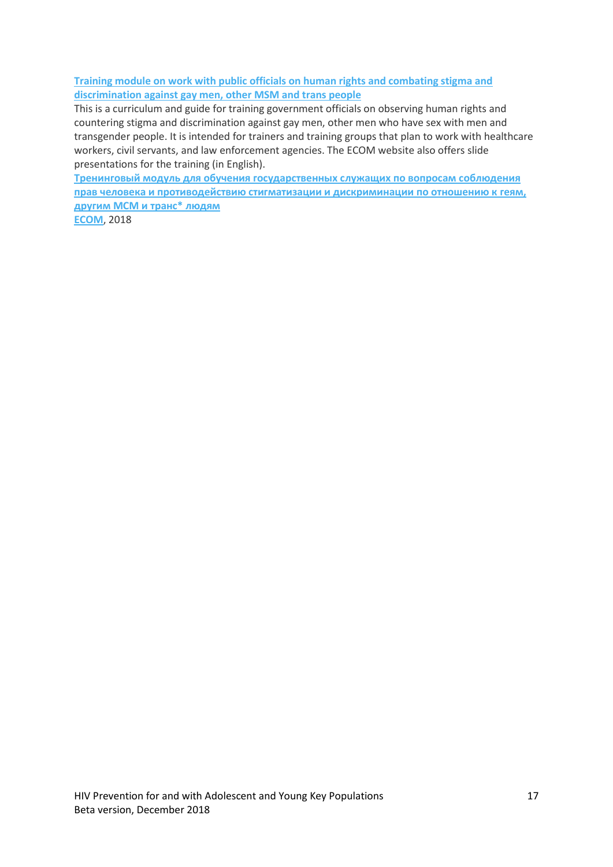**[Training module on work with public officials on human rights and combating stigma and](http://childrenandaids.org/sites/default/files/2018-11/Training%20module%20on%20work%20with%20public%20officials%20on%20human%20rights%20and%20combating%20stigma%20and%20discrimination%20against%20gay%20men%2C%20other%20MSM%20and%20trans%20people.pdf)  [discrimination against gay men, other MSM and trans people](http://childrenandaids.org/sites/default/files/2018-11/Training%20module%20on%20work%20with%20public%20officials%20on%20human%20rights%20and%20combating%20stigma%20and%20discrimination%20against%20gay%20men%2C%20other%20MSM%20and%20trans%20people.pdf)**

This is a curriculum and guide for training government officials on observing human rights and countering stigma and discrimination against gay men, other men who have sex with men and transgender people. It is intended for trainers and training groups that plan to work with healthcare workers, civil servants, and law enforcement agencies. The ECOM website also offers slide presentations for the training (in English).

**[Тренинговый модуль для обучения государственных служащих по вопросам соблюдения](http://childrenandaids.org/sites/default/files/2018-11/%D0%A2%D0%A0%D0%95%D0%9D%D0%98%D0%9D%D0%93%D0%9E%D0%92%D0%AB%D0%99%20%D0%9C%D0%9E%D0%94%D0%A3%D0%9B%D0%AC%20%D0%94%D0%9B%D0%AF%20%D0%9E%D0%91%D0%A3%D0%A7%D0%95%D0%9D%D0%98%D0%AF%20%D0%93%D0%9E%D0%A1%D0%A3%D0%94%D0%90%D0%A0%D0%A1%D0%A2%D0%92%D0%95%D0%9D%D0%9D%D0%AB%D0%A5%20%D0%A1%D0%9B%D0%A3%D0%96%D0%90%D0%A9%D0%98%D0%A5.pdf)  [прав человека и противодействию стигматизации и дискриминации по отношению к геям,](http://childrenandaids.org/sites/default/files/2018-11/%D0%A2%D0%A0%D0%95%D0%9D%D0%98%D0%9D%D0%93%D0%9E%D0%92%D0%AB%D0%99%20%D0%9C%D0%9E%D0%94%D0%A3%D0%9B%D0%AC%20%D0%94%D0%9B%D0%AF%20%D0%9E%D0%91%D0%A3%D0%A7%D0%95%D0%9D%D0%98%D0%AF%20%D0%93%D0%9E%D0%A1%D0%A3%D0%94%D0%90%D0%A0%D0%A1%D0%A2%D0%92%D0%95%D0%9D%D0%9D%D0%AB%D0%A5%20%D0%A1%D0%9B%D0%A3%D0%96%D0%90%D0%A9%D0%98%D0%A5.pdf)  [другим МСМ и транс\\* людям](http://childrenandaids.org/sites/default/files/2018-11/%D0%A2%D0%A0%D0%95%D0%9D%D0%98%D0%9D%D0%93%D0%9E%D0%92%D0%AB%D0%99%20%D0%9C%D0%9E%D0%94%D0%A3%D0%9B%D0%AC%20%D0%94%D0%9B%D0%AF%20%D0%9E%D0%91%D0%A3%D0%A7%D0%95%D0%9D%D0%98%D0%AF%20%D0%93%D0%9E%D0%A1%D0%A3%D0%94%D0%90%D0%A0%D0%A1%D0%A2%D0%92%D0%95%D0%9D%D0%9D%D0%AB%D0%A5%20%D0%A1%D0%9B%D0%A3%D0%96%D0%90%D0%A9%D0%98%D0%A5.pdf) [ECOM](https://ecom.ngo/en/training_module_stigma-and-discrimination/)**, 2018

HIV Prevention for and with Adolescent and Young Key Populations 17 Beta version, December 2018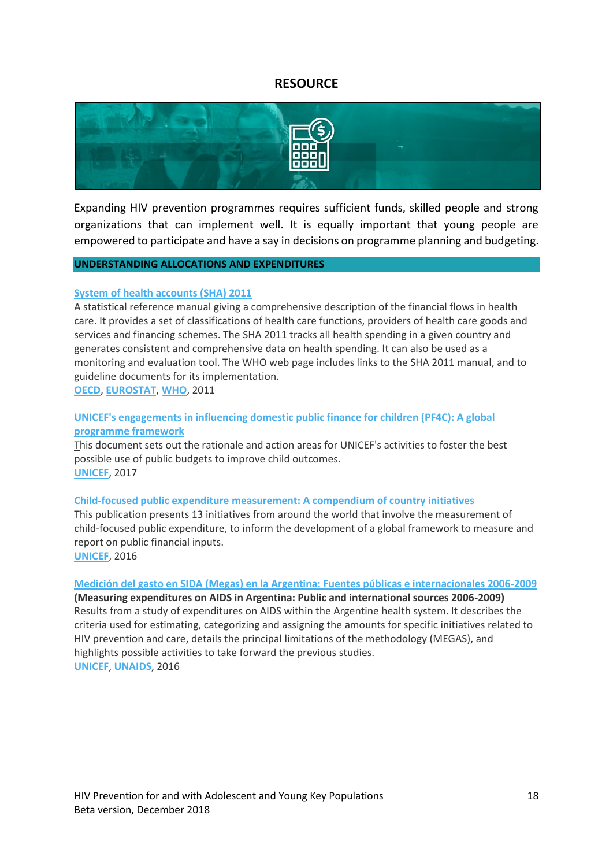# **RESOURCE**

<span id="page-17-0"></span>

Expanding HIV prevention programmes requires sufficient funds, skilled people and strong organizations that can implement well. It is equally important that young people are empowered to participate and have a say in decisions on programme planning and budgeting.

### **UNDERSTANDING ALLOCATIONS AND EXPENDITURES**

### **[System of health accounts \(SHA\) 2011](http://childrenandaids.org/sites/default/files/2018-11/A%20system%20of%20health%20accounts%20%28SHA%29%202011%20edition.pdf)**

A statistical reference manual giving a comprehensive description of the financial flows in health care. It provides a set of classifications of health care functions, providers of health care goods and services and financing schemes. The SHA 2011 tracks all health spending in a given country and generates consistent and comprehensive data on health spending. It can also be used as a monitoring and evaluation tool. The WHO web page includes links to the SHA 2011 manual, and to guideline documents for its implementation.

**[OECD](http://www.oecd.org/)**, **[EUROSTAT](https://ec.europa.eu/eurostat)**, **[WHO](http://http/www.who.int/health-accounts/methodology/en/)**, 2011

# **[UNICEF's engagements in influencing domestic public finance for children \(PF4C\): A global](http://childrenandaids.org/sites/default/files/2018-11/UNICEF%27s%20engagements%20in%20influencing%20domestic%20public%20finance%20for%20children%20%28PF4C%29%20-%20A%20global%20programme%20framework.pdf)  [programme framework](http://childrenandaids.org/sites/default/files/2018-11/UNICEF%27s%20engagements%20in%20influencing%20domestic%20public%20finance%20for%20children%20%28PF4C%29%20-%20A%20global%20programme%20framework.pdf)**

This document sets out the rationale and action areas for UNICEF's activities to foster the best possible use of public budgets to improve child outcomes. **[UNICEF](http://www.unicef.org/)**, 2017

#### **[Child-focused public expenditure measurement: A compendium of country initiatives](http://childrenandaids.org/sites/default/files/2018-11/Child-focused%20public%20expenditure%20measurement%20-%20A%20compendium%20of%20country%20initiatives.pdf)**

This publication presents 13 initiatives from around the world that involve the measurement of child-focused public expenditure, to inform the development of a global framework to measure and report on public financial inputs.

**[UNICEF](http://www.unicef.org/)**, 2016

### **[Medición del gasto en SIDA \(Megas\) en la Argentina:](http://childrenandaids.org/sites/default/files/2018-11/Medici%C3%B3n%20del%20gasto%20en%20SIDA%20%28Megas%29%20en%20la%20Argentina%20-%20Fuentes%20p%C3%BAblicas%20e%20internacionales%202006%20-%202009.pdf) Fuentes públicas e internacionales 2006-2009**

**(Measuring expenditures on AIDS in Argentina: Public and international sources 2006-2009)** Results from a study of expenditures on AIDS within the Argentine health system. It describes the criteria used for estimating, categorizing and assigning the amounts for specific initiatives related to HIV prevention and care, details the principal limitations of the methodology (MEGAS), and highlights possible activities to take forward the previous studies. **[UNICEF](http://www.unicef.org/)**, **[UNAIDS](http://unaids.org/)**, 2016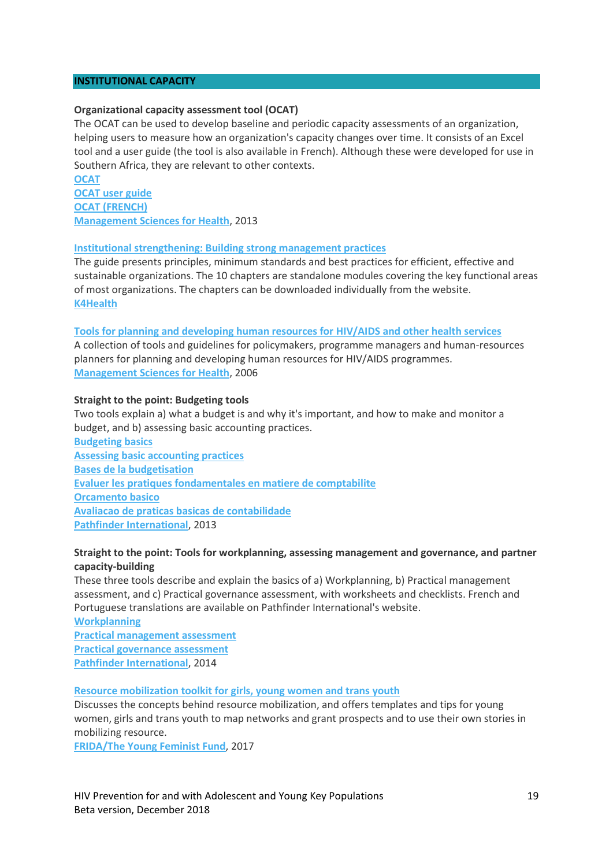# **INSTITUTIONAL CAPACITY**

#### **Organizational capacity assessment tool (OCAT)**

The OCAT can be used to develop baseline and periodic capacity assessments of an organization, helping users to measure how an organization's capacity changes over time. It consists of an Excel tool and a user guide (the tool is also available in French). Although these were developed for use in Southern Africa, they are relevant to other contexts.

**[OCAT](http://childrenandaids.org/sites/default/files/2018-11/Organizational%20capacity%20assessment%20tool%20-%20English_0.xls) [OCAT user guide](http://childrenandaids.org/sites/default/files/2018-11/OCAT-User-Guide-English_0.pdf) [OCAT \(FRENCH\)](http://childrenandaids.org/sites/default/files/2018-11/Organizational%20capacity%20assessment%20tool%20-%20French.xlsm) [Management Sciences for Health](http://www.msh.org/)**, 2013

### **[Institutional strengthening: Building strong management practices](https://www.k4health.org/toolkits/leadershipmgmt/institutional-strengthening-building-strong-management-practices)**

The guide presents principles, minimum standards and best practices for efficient, effective and sustainable organizations. The 10 chapters are standalone modules covering the key functional areas of most organizations. The chapters can be downloaded individually from the website. **[K4Health](http://www.k4health.org/)**

#### **[Tools for planning and developing human resources for](http://childrenandaids.org/sites/default/files/2018-11/Tools%20for%20planning%20and%20developing%20human%20resources%20for%20HIV-AIDS%20and%20other%20health%20services.pdf) HIV/AIDS and other health services**

A collection of tools and guidelines for policymakers, programme managers and human-resources planners for planning and developing human resources for HIV/AIDS programmes. **[Management Sciences for Health](http://childrenandaids.org/msh.org)**, 2006

### **Straight to the point: Budgeting tools**

Two tools explain a) what a budget is and why it's important, and how to make and monitor a budget, and b) assessing basic accounting practices.

**[Budgeting basics](http://childrenandaids.org/sites/default/files/2018-11/Straight%20to%20the%20Point%20-%20Budgeting%20basics.pdf) [Assessing basic accounting practices](http://childrenandaids.org/sites/default/files/2018-11/Straight%20to%20the%20Point%20-%20Assessing%20basic%20accounting%20practices.pdf) [Bases de la budgetisation](http://childrenandaids.org/sites/default/files/2018-11/Straight%20to%20the%20Point%20-%20Bases%20de%20la%20budgetisation.pdf) [Evaluer les pratiques fondamentales en matiere de comptabilite](http://childrenandaids.org/sites/default/files/2018-11/Straight%20to%20the%20Point%20-%20Evaluer%20les%20pratiques%20fondamentales%20en%20matiere%20de%20comptabilite.pdf) [Orcamento basico](http://childrenandaids.org/sites/default/files/2018-11/Straight%20to%20the%20Point%20-%20Orcamento%20basico.pdf) [Avaliacao de praticas basicas de contabilidade](http://childrenandaids.org/sites/default/files/2018-11/Straight%20to%20the%20Point%20-%20Avaliacao%20de%20praticas%20basicas%20de%20contabilidade.pdf) [Pathfinder International](https://www.pathfinder.org/publication-series/straight-to-the-point-capacity-building-tools/)**, 2013

# **Straight to the point: Tools for workplanning, assessing management and governance, and partner capacity-building**

These three tools describe and explain the basics of a) Workplanning, b) Practical management assessment, and c) Practical governance assessment, with worksheets and checklists. French and Portuguese translations are available on Pathfinder International's website.

```
Workplanning
Practical management assessment
Practical governance assessment
Pathfinder International, 2014
```
**[Resource mobilization toolkit for girls, young women and trans youth](http://childrenandaids.org/sites/default/files/2018-11/Resource%20mobilization%20toolkit%20for%20girls%2C%20young%20women%20and%20trans%20youth.pdf)**

Discusses the concepts behind resource mobilization, and offers templates and tips for young women, girls and trans youth to map networks and grant prospects and to use their own stories in mobilizing resource.

**[FRIDA/The Young Feminist](http://youngfeministfund.org/) Fund**, 2017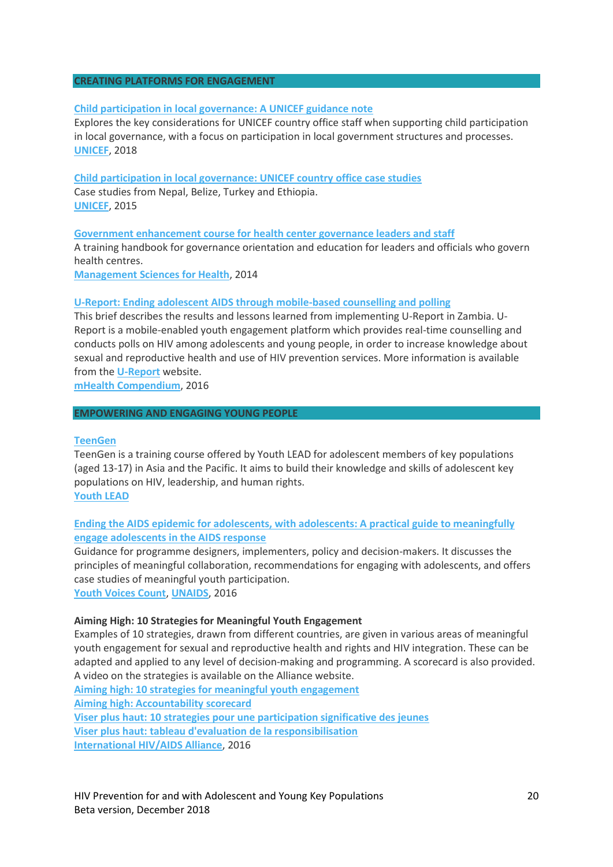### **CREATING PLATFORMS FOR ENGAGEMENT**

### **[Child participation in local governance: A UNICEF guidance note](http://childrenandaids.org/sites/default/files/2018-11/Child%20participation%20in%20local%20governance%20-%20A%20UNICEF%20guidance%20note.pdf)**

Explores the key considerations for UNICEF country office staff when supporting child participation in local governance, with a focus on participation in local government structures and processes. **[UNICEF](http://unicef.org/)**, 2018

**[Child participation in local governance: UNICEF country office case studies](http://childrenandaids.org/sites/default/files/2018-11/Child%20participation%20in%20local%20governance%20-%20UNICEF%20country%20office%20case%20studies.pdf)** Case studies from Nepal, Belize, Turkey and Ethiopia. **[UNICEF](http://unicef.org/)**, 2015

**[Government enhancement course for health center governance leaders and staff](http://childrenandaids.org/sites/default/files/2018-11/Government%20enhancement%20course%20for%20health%20center%20governance%20leaders%20and%20staff.pdf)** A training handbook for governance orientation and education for leaders and officials who govern health centres. **[Management Sciences for Health](http://www.msh.org/)**, 2014

### **[U-Report: Ending adolescent AIDS through mobile-based counselling and polling](http://childrenandaids.org/sites/default/files/2018-11/U-Report%20-%20Ending%20adolescent%20AIDS%20through%20mobile-based%20counselling%20and%20polling.pdf)**

This brief describes the results and lessons learned from implementing U-Report in Zambia. U-Report is a mobile-enabled youth engagement platform which provides real-time counselling and conducts polls on HIV among adolescents and young people, in order to increase knowledge about sexual and reproductive health and use of HIV prevention services. More information is available from the **[U-Report](http://www.ureport.ug/)** website.

**[mHealth Compendium](https://www.mhealthknowledge.org/resources/mhealth-compendium-database)**, 2016

#### **EMPOWERING AND ENGAGING YOUNG PEOPLE**

#### **[TeenGen](http://youth-lead.org/teengen/)**

TeenGen is a training course offered by Youth LEAD for adolescent members of key populations (aged 13-17) in Asia and the Pacific. It aims to build their knowledge and skills of adolescent key populations on HIV, leadership, and human rights.

**[Youth LEAD](http://youth-lead.org/)**

# **[Ending the AIDS epidemic for adolescents, with adolescents: A practical guide to meaningfully](http://childrenandaids.org/sites/default/files/2018-11/Ending%20the%20AIDS%20epidemic%20for%20adolescents%2C%20with%C2%A0adolescents%20-%20A%20practical%20guide%20to%20meaningfully%20engage%20adolescents%20in%20the%20AIDS%20response.pdf)  [engage adolescents in the AIDS response](http://childrenandaids.org/sites/default/files/2018-11/Ending%20the%20AIDS%20epidemic%20for%20adolescents%2C%20with%C2%A0adolescents%20-%20A%20practical%20guide%20to%20meaningfully%20engage%20adolescents%20in%20the%20AIDS%20response.pdf)**

Guidance for programme designers, implementers, policy and decision-makers. It discusses the principles of meaningful collaboration, recommendations for engaging with adolescents, and offers case studies of meaningful youth participation.

**[Youth Voices Count](http://www.youthvoicescount.org/)**, **[UNAIDS](http://unaids.org/)**, 2016

### **Aiming High: 10 Strategies for Meaningful Youth Engagement**

Examples of 10 strategies, drawn from different countries, are given in various areas of meaningful youth engagement for sexual and reproductive health and rights and HIV integration. These can be adapted and applied to any level of decision-making and programming. A scorecard is also provided. A video on the strategies is available on the Alliance website.

**[Aiming high: 10 strategies for meaningful youth engagement](http://childrenandaids.org/sites/default/files/2018-11/Aiming%20high%20-%2010%20strategies%20for%20meaningful%20youth%20engagement.pdf) Aiming high: [Accountability scorecard](http://childrenandaids.org/sites/default/files/2018-11/Aiming%20high%20-%20Accountability%20scorecard.pdf) Viser plus haut: [10 strategies pour une participation significative des jeunes](http://childrenandaids.org/sites/default/files/2018-11/Viser%20plus%20haut%20-%2010%20strategies%20pour%20une%20participation%20significative%20des%20jeunes.pdf) Viser plus haut: [tableau d'evaluation de la responsibilisation](http://childrenandaids.org/sites/default/files/2018-11/Viser%20plus%20haut%20-%20tableau%20d%27evaluation%20de%20la%20responsibilisation.pdf) [International HIV/AIDS Alliance](http://www.aidsalliance.org/resources/744-aiming-high-10-strategies-for-meaningful-youth-engagement)**, 2016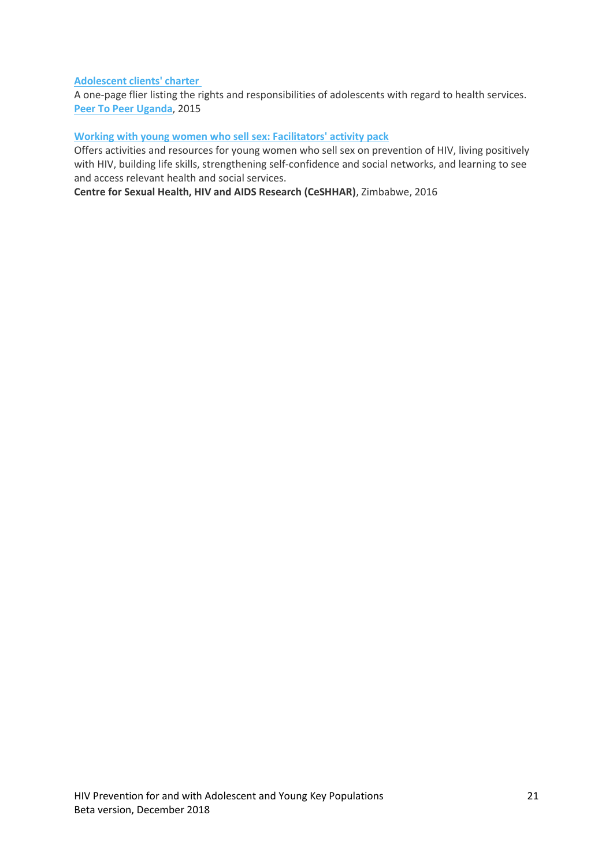# **[Adolescent clients' charter](http://childrenandaids.org/sites/default/files/2018-11/Adolescent%20clients%27%20charter.pdf)**

A one-page flier listing the rights and responsibilities of adolescents with regard to health services. **[Peer To Peer Uganda](http://www.peertopeeruganda.org/)**, 2015

# **Working [with young women who sell sex: Facilitators' activity pack](http://childrenandaids.org/sites/default/files/2018-11/Working%20with%20young%20women%20who%20sell%20sex%20-%20Facilitators%27%20activity%20pack.pdf)**

Offers activities and resources for young women who sell sex on prevention of HIV, living positively with HIV, building life skills, strengthening self-confidence and social networks, and learning to see and access relevant health and social services.

**Centre for Sexual Health, HIV and AIDS Research (CeSHHAR)**, Zimbabwe, 2016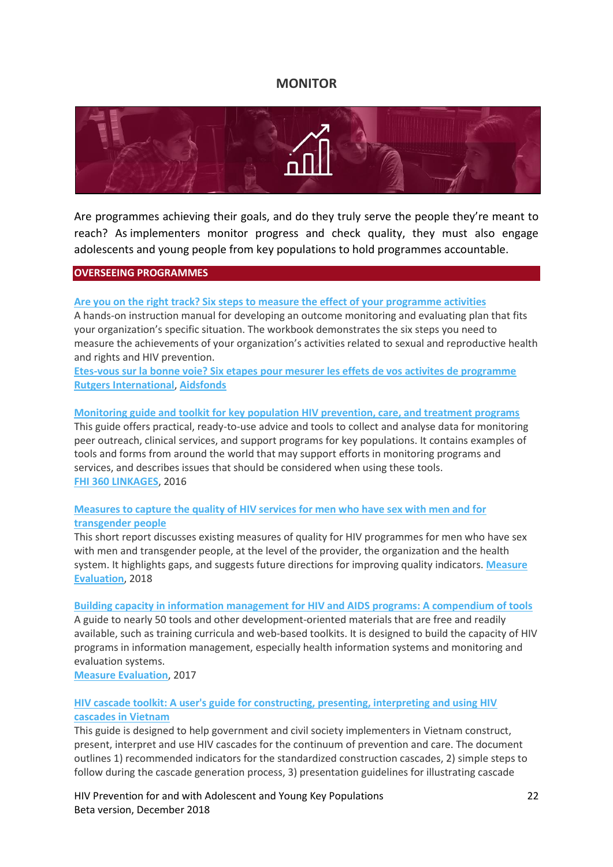# **MONITOR**

<span id="page-21-0"></span>

Are programmes achieving their goals, and do they truly serve the people they're meant to reach? As implementers monitor progress and check quality, they must also engage adolescents and young people from key populations to hold programmes accountable.

### **OVERSEEING PROGRAMMES**

# **[Are you on the right track? Six steps to measure the effect of your programme activities](http://childrenandaids.org/sites/default/files/2018-11/Are%20you%20on%20the%20right%20track%20-%20Six%20steps%20to%20measure%20the%20effect%20of%20your%20programme%20activities.pdf)**

A hands-on instruction manual for developing an outcome monitoring and evaluating plan that fits your organization's specific situation. The workbook demonstrates the six steps you need to measure the achievements of your organization's activities related to sexual and reproductive health and rights and HIV prevention.

**[Etes-vous sur la bonne voie? Six etapes pour mesurer les effets de vos activites de programme](http://childrenandaids.org/sites/default/files/2018-11/Etes-vous%20sur%20la%20bonne%20voie%20-%20Six%20etapes%20pour%20mesurer%20les%20effets%20de%20vos%20activites%20de%20programme.pdf) [Rutgers International](https://www.rutgers.international/)**, **[Aidsfonds](http://www.aidsfonds.org/)**

### **[Monitoring guide and toolkit for key population HIV prevention, care, and treatment programs](http://childrenandaids.org/sites/default/files/2018-11/Monitoring%20guide%20and%20toolkit%20for%20key%20population%20HIV%20prevention.pdf)**

This guide offers practical, ready-to-use advice and tools to collect and analyse data for monitoring peer outreach, clinical services, and support programs for key populations. It contains examples of tools and forms from around the world that may support efforts in monitoring programs and services, and describes issues that should be considered when using these tools. **[FHI 360 LINKAGES](https://www.fhi360.org/projects/linkages-across-continuum-hiv-services-key-populations-affected-hiv-linkages)**, 2016

# **[Measures to capture the quality of HIV services for men who have sex with men and for](http://childrenandaids.org/sites/default/files/2018-11/Quality%20of%20services%20measures%20for%20MSMTG%20Measure-2018.pdf)  [transgender people](http://childrenandaids.org/sites/default/files/2018-11/Quality%20of%20services%20measures%20for%20MSMTG%20Measure-2018.pdf)**

This short report discusses existing measures of quality for HIV programmes for men who have sex with men and transgender people, at the level of the provider, the organization and the health system. It highlights gaps, and suggests future directions for improving quality indicators. **[Measure](https://www.measureevaluation.org/)  [Evaluation](https://www.measureevaluation.org/)**, 2018

### **[Building capacity in information management for HIV and AIDS programs: A compendium of tools](http://childrenandaids.org/sites/default/files/2018-11/Building%20capacity%20in%20information%20management%20for%20HIV%20and%20AIDS%20programs%20-%20A%20compendium%20of%20tools.pdf)**

A guide to nearly 50 tools and other development-oriented materials that are free and readily available, such as training curricula and web-based toolkits. It is designed to build the capacity of HIV programs in information management, especially health information systems and monitoring and evaluation systems.

**[Measure Evaluation](http://www.measureevaluation.org/)**, 2017

# **[HIV cascade toolkit: A user's guide for constructing, presenting, interpreting and using HIV](http://childrenandaids.org/sites/default/files/2018-12/HIV%20cascade%20toolkit%20-%20A%20user%27s%20guide.pdf)  [cascades in Vietnam](http://childrenandaids.org/sites/default/files/2018-12/HIV%20cascade%20toolkit%20-%20A%20user%27s%20guide.pdf)**

This guide is designed to help government and civil society implementers in Vietnam construct, present, interpret and use HIV cascades for the continuum of prevention and care. The document outlines 1) recommended indicators for the standardized construction cascades, 2) simple steps to follow during the cascade generation process, 3) presentation guidelines for illustrating cascade

HIV Prevention for and with Adolescent and Young Key Populations 22 Beta version, December 2018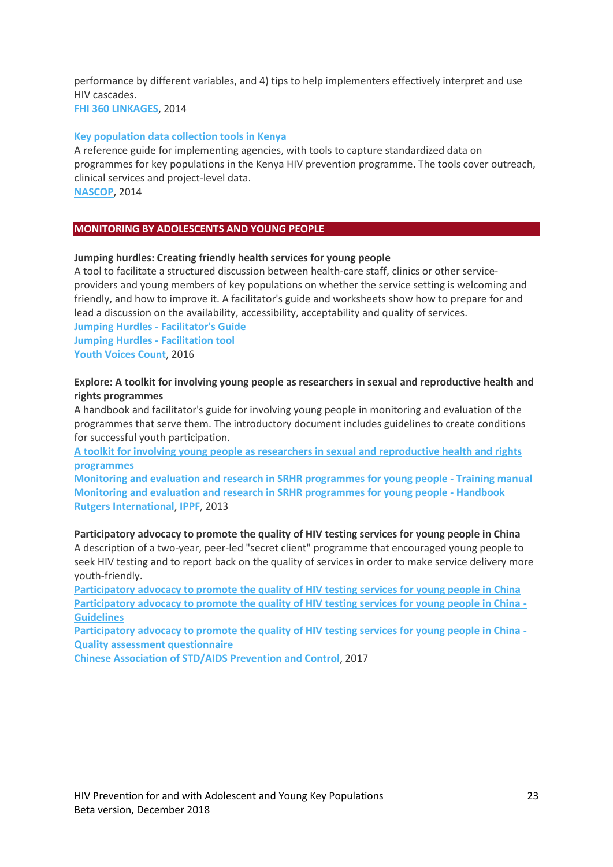performance by different variables, and 4) tips to help implementers effectively interpret and use HIV cascades.

**[FHI 360 LINKAGES](https://www.fhi360.org/projects/linkages-across-continuum-hiv-services-key-populations-affected-hiv-linkages)**, 2014

### **[Key population data collection tools in Kenya](http://childrenandaids.org/sites/default/files/2018-11/Key%20population%20data%20collection%20tools%20in%20Kenya.pdf)**

A reference guide for implementing agencies, with tools to capture standardized data on programmes for key populations in the Kenya HIV prevention programme. The tools cover outreach, clinical services and project-level data. **[NASCOP](http://www.nascop.or.ke/)**, 2014

# **MONITORING BY ADOLESCENTS AND YOUNG PEOPLE**

### **Jumping hurdles: Creating friendly health services for young people**

A tool to facilitate a structured discussion between health-care staff, clinics or other serviceproviders and young members of key populations on whether the service setting is welcoming and friendly, and how to improve it. A facilitator's guide and worksheets show how to prepare for and lead a discussion on the availability, accessibility, acceptability and quality of services.

**Jumping Hurdles - [Facilitator's Guide](http://childrenandaids.org/sites/default/files/2018-11/Jumping%20Hurdles%20%E2%80%93%20Facilitator%27s%20guide.pdf) [Jumping Hurdles -](http://childrenandaids.org/sites/default/files/2018-11/Jumping%20Hurdles%20Facilitation%20Tool.xlsx) Facilitation tool [Youth Voices Count](http://www.youthvoicescount.org/)**, 2016

# **Explore: A toolkit for involving young people as researchers in sexual and reproductive health and rights programmes**

A handbook and facilitator's guide for involving young people in monitoring and evaluation of the programmes that serve them. The introductory document includes guidelines to create conditions for successful youth participation.

**[A toolkit for involving young people as researchers in sexual and reproductive health and rights](http://childrenandaids.org/sites/default/files/2018-11/Explore%20-%20A%20toolkit%20for%20involving%20young%20people%20as%20researchers%20in%20sexual%20and%20reproductive%20health%20and%20rights%20programmes.pdf)  [programmes](http://childrenandaids.org/sites/default/files/2018-11/Explore%20-%20A%20toolkit%20for%20involving%20young%20people%20as%20researchers%20in%20sexual%20and%20reproductive%20health%20and%20rights%20programmes.pdf)**

**[Monitoring and evaluation and research in SRHR programmes for young people -](http://childrenandaids.org/sites/default/files/2018-11/EXPLORE%20-%20Monitoring%20and%20evaluation%20and%20research%20in%20SRHR%20programmes%20for%20young%20people%20-%20Training%20manual.pdf) Training manual [Monitoring and evaluation and research in SRHR programmes for young people -](http://childrenandaids.org/sites/default/files/2018-11/EXPLORE%20-%20Monitoring%20and%20evaluation%20and%20research%20in%20SRHR%20programmes%20for%20young%20people%20-%20Handbook.pdf) Handbook [Rutgers International](https://www.rutgers.international/)**, **[IPPF](http://www.ippf.org/)**, 2013

**Participatory advocacy to promote the quality of HIV testing services for young people in China** A description of a two-year, peer-led "secret client" programme that encouraged young people to

seek HIV testing and to report back on the quality of services in order to make service delivery more youth-friendly.

**[Participatory advocacy to promote the quality of HIV testing services for young people in China](http://childrenandaids.org/sites/default/files/2018-11/Participatory%20advocacy%20to%20promote%20the%20quality%20of%20HIV%20testing%20services%20for%20young%20people%20in%20China.pdf) [Participatory advocacy to promote the quality of HIV testing services for young people in China -](http://childrenandaids.org/sites/default/files/2018-11/Participatory%20advocacy%20to%20promote%20the%20quality%20of%20HIV%20testing%20services%20for%20young%20people%20in%20China%20-%20Guidelines.pdf) [Guidelines](http://childrenandaids.org/sites/default/files/2018-11/Participatory%20advocacy%20to%20promote%20the%20quality%20of%20HIV%20testing%20services%20for%20young%20people%20in%20China%20-%20Guidelines.pdf)**

**[Participatory advocacy to promote the quality of HIV testing services for young people in China -](http://childrenandaids.org/sites/default/files/2018-11/Participatory%20advocacy%20to%20promote%20the%20quality%20of%20HIV%20testing%20services%20for%20young%20people%20in%20China%20-%20Quality%20assessment%20questionnaire.pdf) [Quality assessment questionnaire](http://childrenandaids.org/sites/default/files/2018-11/Participatory%20advocacy%20to%20promote%20the%20quality%20of%20HIV%20testing%20services%20for%20young%20people%20in%20China%20-%20Quality%20assessment%20questionnaire.pdf)**

**[Chinese Association of STD/AIDS Prevention and Control](http://www.aids.org.cn/)**, 2017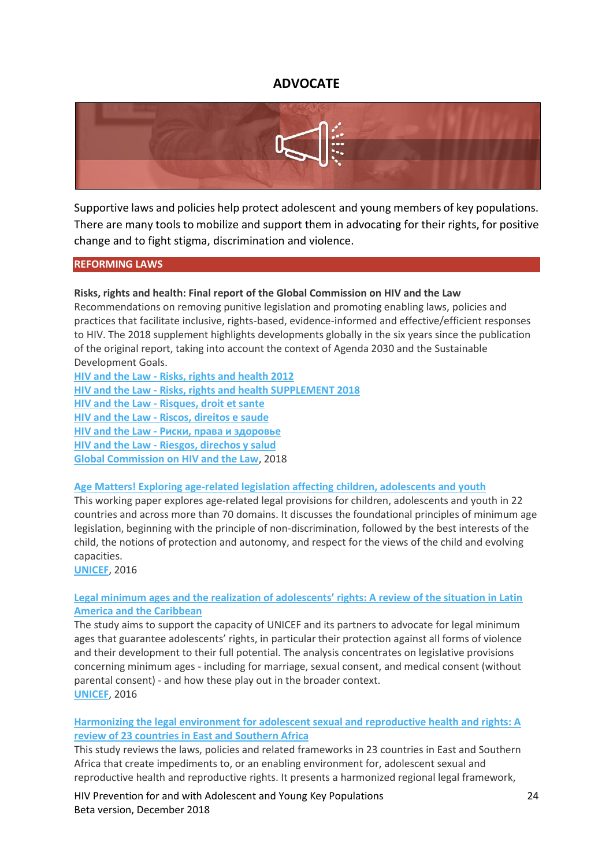# **ADVOCATE**

<span id="page-23-0"></span>

Supportive laws and policies help protect adolescent and young members of key populations. There are many tools to mobilize and support them in advocating for their rights, for positive change and to fight stigma, discrimination and violence.

### **REFORMING LAWS**

### **Risks, rights and health: Final report of the Global Commission on HIV and the Law**

Recommendations on removing punitive legislation and promoting enabling laws, policies and practices that facilitate inclusive, rights-based, evidence-informed and effective/efficient responses to HIV. The 2018 supplement highlights developments globally in the six years since the publication of the original report, taking into account the context of Agenda 2030 and the Sustainable Development Goals.

**HIV and the Law - [Risks, rights and health 2012](http://childrenandaids.org/sites/default/files/2018-11/HIV%20and%20the%20Law%20-%20Risks%2C%20rights%20and%20health%202012.pdf) HIV and the Law - [Risks, rights and health SUPPLEMENT 2018](http://childrenandaids.org/sites/default/files/2018-11/HIV%20and%20the%20Law%20-%20Risks%2C%20rights%20and%20health%20SUPPLEMENT%202018.pdf) HIV and the Law - [Risques, droit et sante](http://childrenandaids.org/sites/default/files/2018-11/HIV%20and%20the%20Law%20-%20Risques%2C%20droit%20et%20sante.pdf) HIV and the Law - [Riscos, direitos e saude](http://childrenandaids.org/sites/default/files/2018-11/HIV%20and%20the%20Law%20-%20Riscos%2C%20direitos%20e%20saude.pdf) HIV and the Law - [Риски, права и здоровье](http://childrenandaids.org/sites/default/files/2018-11/HIV%20and%20the%20Law%20-%20%D0%A0%D0%B8%D1%81%D0%BA%D0%B8%2C%20%D0%BF%D1%80%D0%B0%D0%B2%D0%B0%20%D0%B8%20%D0%B7%D0%B4%D0%BE%D1%80%D0%BE%D0%B2%D1%8C%D0%B5.pdf) HIV and the Law - [Riesgos, direchos y salud](http://childrenandaids.org/sites/default/files/2018-11/HIV%20and%20the%20Law%20-%20Riesgos%2C%20direchos%20y%20salud.pdf) [Global Commission on HIV and the Law](http://hivlawcommission.org/)**, 2018

#### **[Age Matters! Exploring age-related legislation affecting children, adolescents and youth](http://childrenandaids.org/sites/default/files/2018-11/Age%20Matters%20-%20Exploring%20age-related%20legislation%20affecting%20children%2C%20adolescents%20and%20youth.pdf)**

This working paper explores age-related legal provisions for children, adolescents and youth in 22 countries and across more than 70 domains. It discusses the foundational principles of minimum age legislation, beginning with the principle of non-discrimination, followed by the best interests of the child, the notions of protection and autonomy, and respect for the views of the child and evolving capacities.

**[UNICEF](http://www.unicef.org/)**, 2016

### **Legal mi[nimum ages and the realization of adolescents' rights: A review of the situation in Latin](http://childrenandaids.org/sites/default/files/2018-11/Legal%20minimum%20ages%20and%20the%20realization%20of%20adolescents%27%20rights%20-%20A%20review.pdf)  [America and the Caribbean](http://childrenandaids.org/sites/default/files/2018-11/Legal%20minimum%20ages%20and%20the%20realization%20of%20adolescents%27%20rights%20-%20A%20review.pdf)**

The study aims to support the capacity of UNICEF and its partners to advocate for legal minimum ages that guarantee adolescents' rights, in particular their protection against all forms of violence and their development to their full potential. The analysis concentrates on legislative provisions concerning minimum ages - including for marriage, sexual consent, and medical consent (without parental consent) - and how these play out in the broader context. **[UNICEF](http://www.unicef.org/)**, 2016

# **[Harmonizing the legal environment for adolescent sexual and reproductive health and rights: A](http://childrenandaids.org/sites/default/files/2018-11/Harmonizing%20the%20legal%20environment%20for%20adolescent%20sexual%20and%20reproductive%20health%20and%20rights%20-%20A%20review.pdf)  [review of 23 countries in East and Southern Africa](http://childrenandaids.org/sites/default/files/2018-11/Harmonizing%20the%20legal%20environment%20for%20adolescent%20sexual%20and%20reproductive%20health%20and%20rights%20-%20A%20review.pdf)**

This study reviews the laws, policies and related frameworks in 23 countries in East and Southern Africa that create impediments to, or an enabling environment for, adolescent sexual and reproductive health and reproductive rights. It presents a harmonized regional legal framework,

HIV Prevention for and with Adolescent and Young Key Populations 24 Beta version, December 2018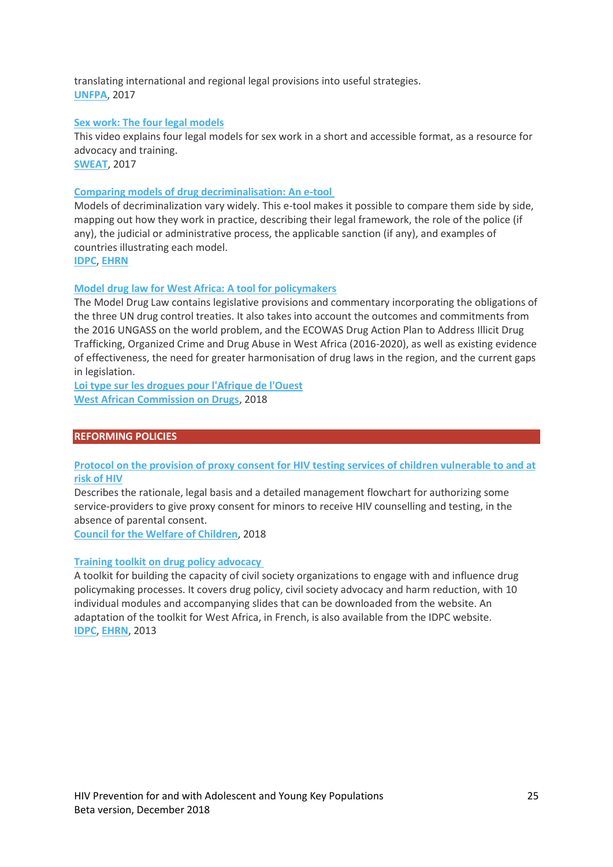translating international and regional legal provisions into useful strategies. **[UNFPA](http://www.unfpa.org/)**, 2017

### **[Sex work: The four legal models](https://www.youtube.com/watch?v=dg4l3X9rJHw)**

This video explains four legal models for sex work in a short and accessible format, as a resource for advocacy and training.

**[SWEAT](http://www.sweat.org.za/)**, 2017

### **[Comparing models of drug decriminalisation: An e-tool](http://decrim.idpc.net/)**

Models of decriminalization vary widely. This e-tool makes it possible to compare them side by side, mapping out how they work in practice, describing their legal framework, the role of the police (if any), the judicial or administrative process, the applicable sanction (if any), and examples of countries illustrating each model.

**[IDPC](https://idpc.net/)**, **[EHRN](https://www.harm-reduction.org/)**

### **[Model drug law for West Africa: A tool for policymakers](http://childrenandaids.org/sites/default/files/2018-11/Model%20drug%20law%20for%20West%20Africa.pdf)**

The Model Drug Law contains legislative provisions and commentary incorporating the obligations of the three UN drug control treaties. It also takes into account the outcomes and commitments from the 2016 UNGASS on the world problem, and the ECOWAS Drug Action Plan to Address Illicit Drug Trafficking, Organized Crime and Drug Abuse in West Africa (2016-2020), as well as existing evidence of effectiveness, the need for greater harmonisation of drug laws in the region, and the current gaps in legislation.

**[Loi type sur les drogues pour l'Afrique de l'Ouest](http://childrenandaids.org/sites/default/files/2018-11/Loi%20type%20sur%20les%20drogues%20pour%20l%27Afrique%20de%20l%27Ouest.pdf) [West African Commission on Drugs](http://www.wacommissionondrugs.org/)**, 2018

### **REFORMING POLICIES**

# **[Protocol on the provision of proxy consent for HIV testing services of children vulnerable to and at](http://childrenandaids.org/sites/default/files/2018-11/Protocol%20for%20the%20provision%20of%20proxy%20consent%20for%20HIV%20testing%20services%20-%20Philippines.pdf)  [risk of HIV](http://childrenandaids.org/sites/default/files/2018-11/Protocol%20for%20the%20provision%20of%20proxy%20consent%20for%20HIV%20testing%20services%20-%20Philippines.pdf)**

Describes the rationale, legal basis and a detailed management flowchart for authorizing some service-providers to give proxy consent for minors to receive HIV counselling and testing, in the absence of parental consent.

**[Council for the Welfare of Children](https://cwc.gov.ph/)**, 2018

### **[Training toolkit on drug policy advocacy](https://idpc.net/publications/2013/06/training-toolkit-on-drug-policy-advocacy)**

A toolkit for building the capacity of civil society organizations to engage with and influence drug policymaking processes. It covers drug policy, civil society advocacy and harm reduction, with 10 individual modules and accompanying slides that can be downloaded from the website. An adaptation of the toolkit for West Africa, in French, is also available from the IDPC website. **[IDPC](https://idpc.net/publications/2013/06/training-toolkit-on-drug-policy-advocacy)**, **[EHRN](https://www.harm-reduction.org/)**, 2013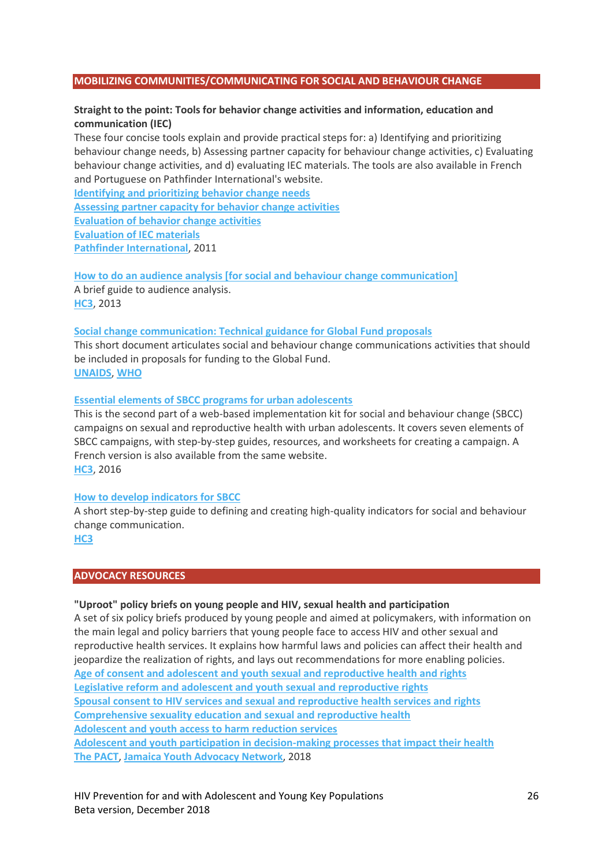### **MOBILIZING COMMUNITIES/COMMUNICATING FOR SOCIAL AND BEHAVIOUR CHANGE**

# **Straight to the point: Tools for behavior change activities and information, education and communication (IEC)**

These four concise tools explain and provide practical steps for: a) Identifying and prioritizing behaviour change needs, b) Assessing partner capacity for behaviour change activities, c) Evaluating behaviour change activities, and d) evaluating IEC materials. The tools are also available in French and Portuguese on Pathfinder International's website.

**[Identifying and prioritizing behavior change needs](http://childrenandaids.org/sites/default/files/2018-11/Straight%20to%20the%20Point%20-%20Identifying%20and%20prioritizing%20behavior%20change%20needs.pdf) [Assessing partner capacity for behavior change activities](http://childrenandaids.org/sites/default/files/2018-11/Straight%20to%20Point%20-%20Assessing%20partner%20capacity%20for%20behavior%20change%20activities.pdf) [Evaluation of behavior change activities](http://childrenandaids.org/sites/default/files/2018-11/Straight%20to%20the%20Point%20-%20Evaluation%20of%20behavior%20change%20activities.pdf) [Evaluation of IEC materials](http://childrenandaids.org/sites/default/files/2018-11/Straight%20to%20Point%20-%20Evaluation%20of%20IEC%20materials.pdf) [Pathfinder International](https://www.pathfinder.org/publication-series/straight-to-the-point-capacity-building-tools/)**, 2011

**[How to do an audience analysis \[for social and behaviour change communication\]](http://childrenandaids.org/sites/default/files/2018-11/How%20to%20do%20an%20audience%20analysis.pdf)** A brief guide to audience analysis. **[HC3](https://healthcommcapacity.org/)**, 2013

### **[Social change communication: Technical guidance for Global Fund proposals](http://childrenandaids.org/sites/default/files/2018-11/Social%20change%20communiction%20-%20Technical%20guidance%20for%20Global%20Fund%20proposals.pdf)**

This short document articulates social and behaviour change communications activities that should be included in proposals for funding to the Global Fund. **[UNAIDS](http://www.unaids.org/)**, **[WHO](http://www.who.org/)**

### **[Essential elements of SBCC programs for urban adolescents](https://sbccimplementationkits.org/urban-youth/courses/urban-adolescent-sbcc-implementation-kit/Essential%20elements%20of%20SBCC%20programs%20for%20urban%20adolescents)**

This is the second part of a web-based implementation kit for social and behaviour change (SBCC) campaigns on sexual and reproductive health with urban adolescents. It covers seven elements of SBCC campaigns, with step-by-step guides, resources, and worksheets for creating a campaign. A French version is also available from the same website. **[HC3](https://healthcommcapacity.org/)**, 2016

#### **[How to develop indicators for SBCC](http://childrenandaids.org/sites/default/files/2018-11/How%20to%20develop%20indicators%20%5Bfor%20SBCC%5D.pdf)**

A short step-by-step guide to defining and creating high-quality indicators for social and behaviour change communication.

**[HC3](https://healthcommcapacity.org/)**

### **ADVOCACY RESOURCES**

#### **"Uproot" policy briefs on young people and HIV, sexual health and participation**

A set of six policy briefs produced by young people and aimed at policymakers, with information on the main legal and policy barriers that young people face to access HIV and other sexual and reproductive health services. It explains how harmful laws and policies can affect their health and jeopardize the realization of rights, and lays out recommendations for more enabling policies. **[Age of consent and adolescent and youth sexual and reproductive health and rights](http://childrenandaids.org/sites/default/files/2018-11/Age%20of%20consent%20and%20adolescent%20and%20youth%20sexual%20and%20reproductive%20health%20and%20rights.pdf) [Legislative reform and adolescent and youth sexual and reproductive rights](http://childrenandaids.org/sites/default/files/2018-11/Legislative%20reform%20and%20adolescent%20and%20youth%20sexual%20and%20reproductive%20rights.pdf) [Spousal consent to HIV services and sexual and reproductive health services and rights](http://childrenandaids.org/sites/default/files/2018-11/Spousal%20consent%20to%20HIV%20services%20and%20sexual%20and%20reproductive%20health%20services%20and%20rights.pdf) [Comprehensive sexuality education and sexual and reproductive health](http://childrenandaids.org/sites/default/files/2018-11/Comprehensive%20sexuality%20education%20and%20sexual%20and%20reproductive%20health.pdf) [Adolescent and youth access to harm reduction services](http://childrenandaids.org/sites/default/files/2018-11/Adolescent%20and%20youth%20access%20to%20harm%20reduction%20services.pdf) [Adolescent and youth participation in decision-making processes that impact their health](http://childrenandaids.org/sites/default/files/2018-11/Adolescent%20and%20youth%20participation%20in%20decision-making%20processes%20that%20impact%20their%20health.pdf) [The PACT](https://www.theyouthpact.org/)**, **[Jamaica Youth Advocacy Network](http://www.jamaicayouthadvocacynetwork.org/)**, 2018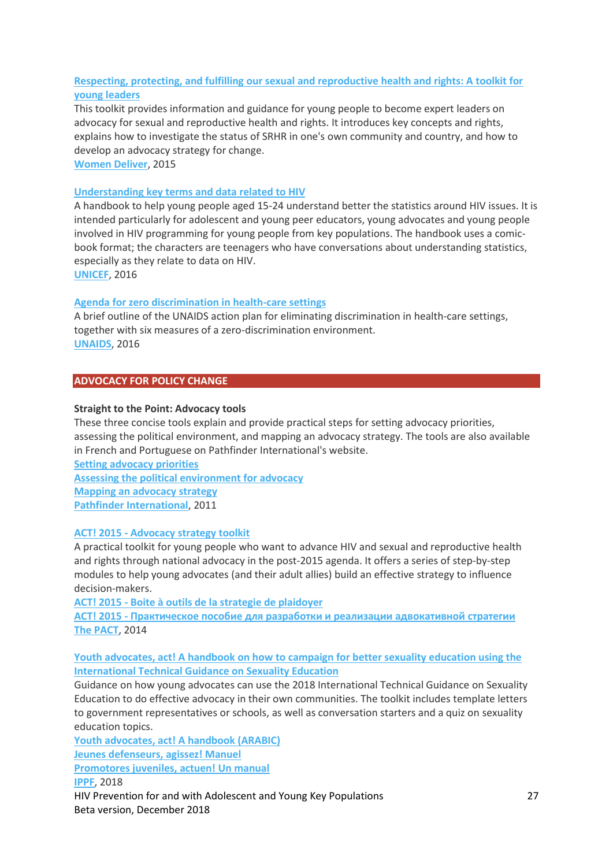# **[Respecting, protecting, and fulfilling our sexual and reproductive health and rights: A toolkit for](http://childrenandaids.org/sites/default/files/2018-11/Respecting%2C%20protecting%2C%20and%20fulfilling%20our%20sexual%20and%20reproductive%20health%20and%20rights%20-%20Toolkit.pdf)  [young leaders](http://childrenandaids.org/sites/default/files/2018-11/Respecting%2C%20protecting%2C%20and%20fulfilling%20our%20sexual%20and%20reproductive%20health%20and%20rights%20-%20Toolkit.pdf)**

This toolkit provides information and guidance for young people to become expert leaders on advocacy for sexual and reproductive health and rights. It introduces key concepts and rights, explains how to investigate the status of SRHR in one's own community and country, and how to develop an advocacy strategy for change.

**[Women Deliver](http://www.womendeliver.org/)**, 2015

### **[Understanding key terms and data related to HIV](http://childrenandaids.org/sites/default/files/2018-11/Understanding%20key%20terms%20and%20data%20related%20to%20HIV_0.pdf)**

A handbook to help young people aged 15-24 understand better the statistics around HIV issues. It is intended particularly for adolescent and young peer educators, young advocates and young people involved in HIV programming for young people from key populations. The handbook uses a comicbook format; the characters are teenagers who have conversations about understanding statistics, especially as they relate to data on HIV.

**[UNICEF](http://www.unicef.org/)**, 2016

### **[Agenda for zero discrimination in health-care settings](http://childrenandaids.org/sites/default/files/2018-11/Agenda%20for%20zero%20discrimination%20in%20health-care%20settings.pdf)**

A brief outline of the UNAIDS action plan for eliminating discrimination in health-care settings, together with six measures of a zero-discrimination environment. **[UNAIDS](http://www.unaids.org/)**, 2016

### **ADVOCACY FOR POLICY CHANGE**

#### **Straight to the Point: Advocacy tools**

These three concise tools explain and provide practical steps for setting advocacy priorities, assessing the political environment, and mapping an advocacy strategy. The tools are also available in French and Portuguese on Pathfinder International's website.

**[Setting advocacy priorities](http://childrenandaids.org/sites/default/files/2018-11/Straight%20to%20the%20Point%20-%20Setting%20advocacy%20priorities.pdf) [Assessing the political environment for advocacy](http://childrenandaids.org/sites/default/files/2018-11/Straight%20to%20the%20Point%20-%20Assessing%20the%20political%20environment%20for%20advocacy.pdf) [Mapping an advocacy strategy](http://childrenandaids.org/sites/default/files/2018-11/Straight%20to%20the%20Point%20-%20Mapping%20an%20advocacy%20strategy.pdf) [Pathfinder International](https://www.pathfinder.org/publication-series/straight-to-the-point-capacity-building-tools/)**, 2011

### **ACT! 2015 - [Advocacy strategy toolkit](http://childrenandaids.org/sites/default/files/2018-11/ACT%21%202015%20Advocacy%20strategy%20toolkit.pdf)**

A practical toolkit for young people who want to advance HIV and sexual and reproductive health and rights through national advocacy in the post-2015 agenda. It offers a series of step-by-step modules to help young advocates (and their adult allies) build an effective strategy to influence decision-makers.

**ACT! 2015 - [Boite à outils de la strategie de plaidoyer](http://childrenandaids.org/sites/default/files/2018-11/ACT%21%202015%20Boite%20%C3%A0%20outils%20de%20la%20strategie%20de%20plaidoyer.pdf)**

**ACT! 2015 - [Практическое пособие для разработки и реализации адвокативной стратегии](http://childrenandaids.org/sites/default/files/2018-11/ACT%21%202015%20%D0%9F%D1%80%D0%B0%D0%BA%D1%82%D0%B8%D1%87%D0%B5%D1%81%D0%BA%D0%BE%D0%B5%20%D0%BF%D0%BE%D1%81%D0%BE%D0%B1%D0%B8%D0%B5%20%D0%B4%D0%BB%D1%8F%20%D1%80%D0%B0%D0%B7%D1%80%D0%B0%D0%B1%D0%BE%D1%82%D0%BA%D0%B8%20%D0%B8%20%D1%80%D0%B5%D0%B0%D0%BB%D0%B8%D0%B7%D0%B0%D1%86%D0%B8%D0%B8%20%D0%B0%D0%B4%D0%B2%D0%BE%D0%BA%D0%B0%D1%82%D0%B8%D0%B2%D0%BD%D0%BE%D0%B9%20%D1%81%D1%82%D1%80%D0%B0%D1%82%D0%B5%D0%B3%D0%B8%D0%B8.pdf) [The PACT](https://www.theyouthpact.org/)**, 2014

### **[Youth advocates, act! A handbook on how to campaign for better sexuality education using the](http://childrenandaids.org/sites/default/files/2018-11/Youth%20advocates%2C%20act%21%20-%20A%20handbook.pdf)  [International Technical Guidance on Sexuality Education](http://childrenandaids.org/sites/default/files/2018-11/Youth%20advocates%2C%20act%21%20-%20A%20handbook.pdf)**

Guidance on how young advocates can use the 2018 International Technical Guidance on Sexuality Education to do effective advocacy in their own communities. The toolkit includes template letters to government representatives or schools, as well as conversation starters and a quiz on sexuality education topics.

HIV Prevention for and with Adolescent and Young Key Populations 27 Beta version, December 2018 **[Youth advocates, act! A handbook \(ARABIC\)](http://childrenandaids.org/sites/default/files/2018-11/Youth%20advocates%2C%20act%21%20-%20A%20handbook%20ARABIC.pdf) [Jeunes defenseurs, agissez! Manuel](http://childrenandaids.org/sites/default/files/2018-11/Jeunes%20defenseurs%2C%20agissez%21%20-%20Manuel.pdf) [Promotores juveniles, actuen! Un manual](http://childrenandaids.org/sites/default/files/2018-11/Promotores%20juveniles%2C%20actuen%21%20-%20Un%20manual.pdf) [IPPF](https://www.ippf.org/)**, 2018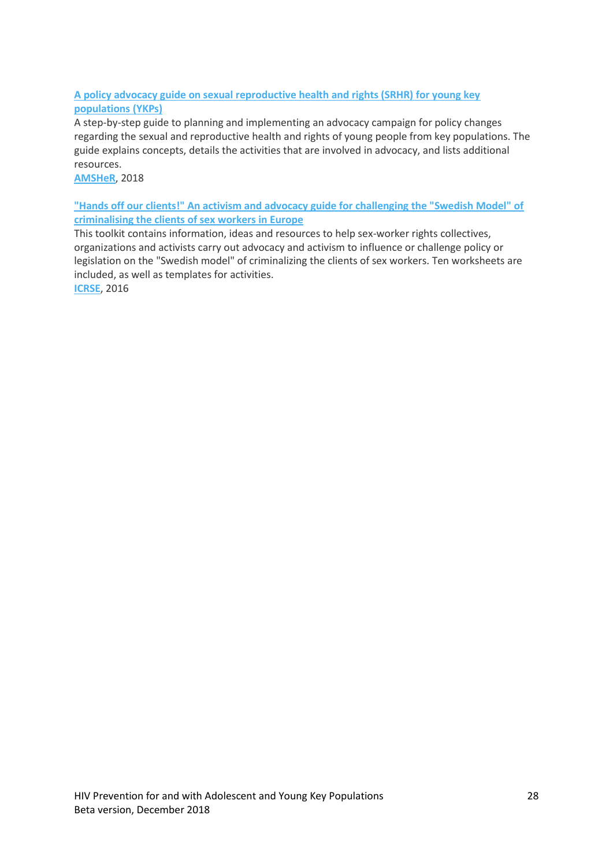# **[A policy advocacy guide on sexual reproductive health and rights \(SRHR\) for young key](http://childrenandaids.org/sites/default/files/2018-11/A%20policy%20advocacy%20guide%20on%20sexual%20and%20reproductive%20health%20and%20rights%20for%20young%20key%20populations.pdf)  [populations \(YKPs\)](http://childrenandaids.org/sites/default/files/2018-11/A%20policy%20advocacy%20guide%20on%20sexual%20and%20reproductive%20health%20and%20rights%20for%20young%20key%20populations.pdf)**

A step-by-step guide to planning and implementing an advocacy campaign for policy changes regarding the sexual and reproductive health and rights of young people from key populations. The guide explains concepts, details the activities that are involved in advocacy, and lists additional resources.

**[AMSHeR](https://www.amsher.org/)**, 2018

**["Hands off our clients!" An activism and advocacy guide for challenging the "Swedish Model" of](http://childrenandaids.org/sites/default/files/2018-11/Hands%20Off%20Our%20Clients%21%20An%20activism%20and%20advocacy%20guide%20for%20challenging%20the%20Swedish%20Model%20of%20criminalising%20the%20clients%20of%20sex%20workers%20in%20Europe.pdf)  [criminalising the clients of sex workers in Europe](http://childrenandaids.org/sites/default/files/2018-11/Hands%20Off%20Our%20Clients%21%20An%20activism%20and%20advocacy%20guide%20for%20challenging%20the%20Swedish%20Model%20of%20criminalising%20the%20clients%20of%20sex%20workers%20in%20Europe.pdf)**

This toolkit contains information, ideas and resources to help sex-worker rights collectives, organizations and activists carry out advocacy and activism to influence or challenge policy or legislation on the "Swedish model" of criminalizing the clients of sex workers. Ten worksheets are included, as well as templates for activities.

**[ICRSE](http://www.sexworkeurope.org/)**, 2016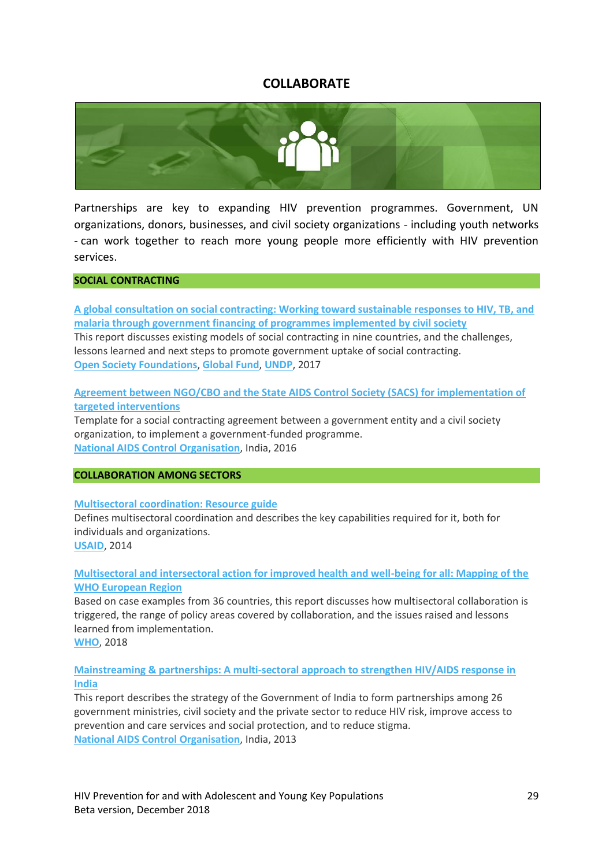# **COLLABORATE**

<span id="page-28-0"></span>

Partnerships are key to expanding HIV prevention programmes. Government, UN organizations, donors, businesses, and civil society organizations - including youth networks - can work together to reach more young people more efficiently with HIV prevention services.

# **SOCIAL CONTRACTING**

**[A global consultation on social contracting: Working toward sustainable responses to HIV, TB, and](http://childrenandaids.org/sites/default/files/2018-11/A%20global%20consultation%20on%20social%20contracting.pdf)  [malaria through government financing of programmes implemented by civil society](http://childrenandaids.org/sites/default/files/2018-11/A%20global%20consultation%20on%20social%20contracting.pdf)** This report discusses existing models of social contracting in nine countries, and the challenges, lessons learned and next steps to promote government uptake of social contracting. **[Open Society Foundations](https://www.opensocietyfoundations.org/)**, **[Global Fund](https://www.theglobalfund.org/en/)**, **[UNDP](http://www.undp.org/)**, 2017

# **[Agreement between NGO/CBO and the State AIDS Control Society \(SACS\) for implementation of](http://childrenandaids.org/sites/default/files/2018-11/Agreement%20between%20NGO-CBO%20and%20the%20State%20AIDS%20Control%20Society%20for%20implementation%20of%20targeted%20interventions.pdf)  [targeted interventions](http://childrenandaids.org/sites/default/files/2018-11/Agreement%20between%20NGO-CBO%20and%20the%20State%20AIDS%20Control%20Society%20for%20implementation%20of%20targeted%20interventions.pdf)**

Template for a social contracting agreement between a government entity and a civil society organization, to implement a government-funded programme. **[National AIDS Control Organisation](http://www.naco.gov.in/)**, India, 2016

### **COLLABORATION AMONG SECTORS**

### **[Multisectoral coordination: Resource guide](http://childrenandaids.org/sites/default/files/2018-11/Multisectoral%20coordination%20-%20Resource%20guide.pdf)**

Defines multisectoral coordination and describes the key capabilities required for it, both for individuals and organizations.

**[USAID](http://www.usaid.gov/)**, 2014

# **[Multisectoral and intersectoral action for improved health and well-being for all: Mapping of the](http://childrenandaids.org/sites/default/files/2018-11/Multisectoral%20and%20intersectoral%20action%20for%20improved%20health%20and%20well-being%20for%20all%20-%20Mapping%20of%20the%20WHO%20European%20Region.pdf)  [WHO European Region](http://childrenandaids.org/sites/default/files/2018-11/Multisectoral%20and%20intersectoral%20action%20for%20improved%20health%20and%20well-being%20for%20all%20-%20Mapping%20of%20the%20WHO%20European%20Region.pdf)**

Based on case examples from 36 countries, this report discusses how multisectoral collaboration is triggered, the range of policy areas covered by collaboration, and the issues raised and lessons learned from implementation.

**[WHO](http://www.who.int/)**, 2018

# **[Mainstreaming & partnerships: A multi-sectoral approach to strengthen HIV/AIDS response in](http://childrenandaids.org/sites/default/files/2018-11/Mainstreaming%20and%20Partnerships.pdf)  [India](http://childrenandaids.org/sites/default/files/2018-11/Mainstreaming%20and%20Partnerships.pdf)**

This report describes the strategy of the Government of India to form partnerships among 26 government ministries, civil society and the private sector to reduce HIV risk, improve access to prevention and care services and social protection, and to reduce stigma. **[National AIDS Control Organisation](http://www.naco.gov.in/)**, India, 2013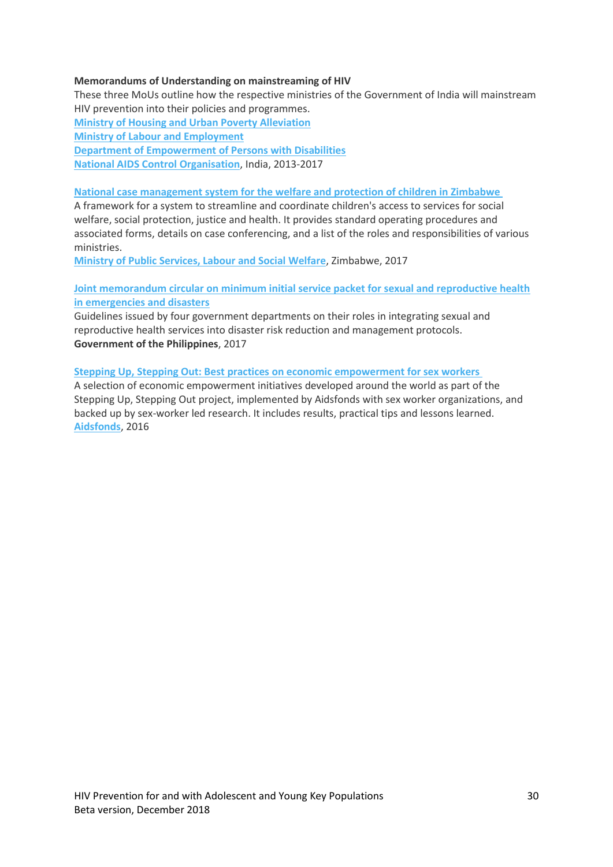# **Memorandums of Understanding on mainstreaming of HIV**

These three MoUs outline how the respective ministries of the Government of India will mainstream HIV prevention into their policies and programmes. **[Ministry of Housing and Urban Poverty Alleviation](http://childrenandaids.org/sites/default/files/2018-11/MoU%20Ministry%20of%20Housing%20and%20Urban%20Poverty%20Alleviation.pdf) [Ministry of Labour and Employment](http://childrenandaids.org/sites/default/files/2018-11/MoU%20Ministry%20of%20Labour%20and%20Employment.pdf) [Department of Empowerment of Persons with Disabilities](http://childrenandaids.org/sites/default/files/2018-11/MoU%20Department%20of%20Empowerment%20of%20Persons%20with%20%20Disabilities.pdf) [National AIDS Control Organisation](http://www.naco.gov.in/)**, India, 2013-2017

# **[National case management system for the welfare and protection of children in Zimbabwe](http://childrenandaids.org/sites/default/files/2018-11/National%20Case%20Management%20System%20for%20the%20Welfare%20and%20Protection%20of%20Children%20in%20Zimbabwe.pdf)**

A framework for a system to streamline and coordinate children's access to services for social welfare, social protection, justice and health. It provides standard operating procedures and associated forms, details on case conferencing, and a list of the roles and responsibilities of various ministries.

**[Ministry of Public Services, Labour and Social Welfare](http://www.mpslsw.gov.zw/)**, Zimbabwe, 2017

# **[Joint memorandum circular on minimum initial service packet for sexual and reproductive health](http://childrenandaids.org/sites/default/files/2018-11/Joint%20memorandum%20circular%20on%20minimum%20initial%20service%20package%20for%20sexual%20and%20reproductive%20health%20in%20emergencies%20and%20disasters.pdf)  [in emergencies and disasters](http://childrenandaids.org/sites/default/files/2018-11/Joint%20memorandum%20circular%20on%20minimum%20initial%20service%20package%20for%20sexual%20and%20reproductive%20health%20in%20emergencies%20and%20disasters.pdf)**

Guidelines issued by four government departments on their roles in integrating sexual and reproductive health services into disaster risk reduction and management protocols. **Government of the Philippines**, 2017

### **[Stepping Up, Stepping Out: Best practices on economic empowerment for sex workers](http://childrenandaids.org/sites/default/files/2018-11/Stepping%20Up%2C%20Stepping%20Out%20-%20Best%20practises%20on%20economic%20empowerment%20for%20sex%20workers.pdf)**

A selection of economic empowerment initiatives developed around the world as part of the Stepping Up, Stepping Out project, implemented by Aidsfonds with sex worker organizations, and backed up by sex-worker led research. It includes results, practical tips and lessons learned. **[Aidsfonds](http://www.aidsfonds.org/)**, 2016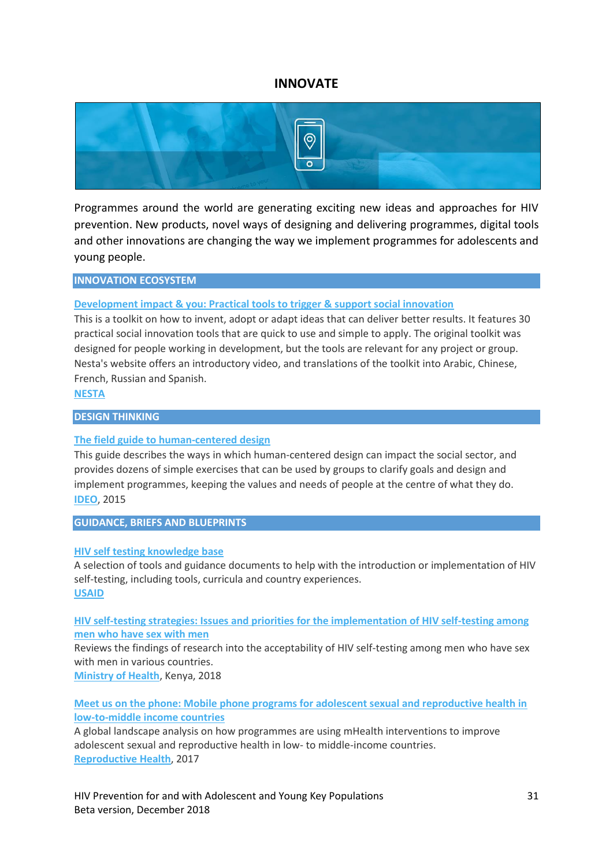# **INNOVATE**

<span id="page-30-0"></span>

Programmes around the world are generating exciting new ideas and approaches for HIV prevention. New products, novel ways of designing and delivering programmes, digital tools and other innovations are changing the way we implement programmes for adolescents and young people.

### **INNOVATION ECOSYSTEM**

### **[Development impact & you: Practical tools to trigger & support social innovation](http://childrenandaids.org/sites/default/files/2018-11/Development%20impact%20%26%20you%20-%20Practical%20tools%20to%20trigger%20%26%20support%20social%20innovation.pdf)**

This is a toolkit on how to invent, adopt or adapt ideas that can deliver better results. It features 30 practical social innovation tools that are quick to use and simple to apply. The original toolkit was designed for people working in development, but the tools are relevant for any project or group. Nesta's website offers an introductory video, and translations of the toolkit into Arabic, Chinese, French, Russian and Spanish.

**[NESTA](https://www.nesta.org.uk/toolkit/diy-toolkit/)**

#### **DESIGN THINKING**

#### **[The field guide to human-centered design](http://childrenandaids.org/sites/default/files/2018-11/The%20field%20guide%20to%20human-centered%20design.pdf)**

This guide describes the ways in which human-centered design can impact the social sector, and provides dozens of simple exercises that can be used by groups to clarify goals and design and implement programmes, keeping the values and needs of people at the centre of what they do. **[IDEO](https://www.ideo.com/post/design-kit)**, 2015

#### **GUIDANCE, BRIEFS AND BLUEPRINTS**

#### **[HIV self testing knowledge base](https://aidsfree.usaid.gov/resources/hts-kb/hiv-self-testing/all)**

A selection of tools and guidance documents to help with the introduction or implementation of HIV self-testing, including tools, curricula and country experiences. **[USAID](http://www.usaid.gov/)**

**[HIV self-testing strategies: Issues and priorities for the implementation of HIV self-testing among](http://childrenandaids.org/sites/default/files/2018-11/HIV%20self-testing%20strategies%20-%20Issues%20and%20priorities%20for%20the%20implementation%20of%20HIV%20self-testing%20among%20men%20who%20have%20sex%20with%20men.pdf)  [men who have sex with men](http://childrenandaids.org/sites/default/files/2018-11/HIV%20self-testing%20strategies%20-%20Issues%20and%20priorities%20for%20the%20implementation%20of%20HIV%20self-testing%20among%20men%20who%20have%20sex%20with%20men.pdf)**

Reviews the findings of research into the acceptability of HIV self-testing among men who have sex with men in various countries.

**[Ministry of Health](http://www.health.go.ke/)**, Kenya, 2018

**[Meet us on the phone: Mobile phone programs for adolescent sexual and reproductive health in](http://childrenandaids.org/sites/default/files/2018-11/Meet%20us%20on%20the%20phone%20-%20Mobile%20phone%20programs%20for%20adolescent%20sexual%20and%20reproductive%20health%20in%20low-to-middle%20income%20countries.pdf)  [low-to-middle income countries](http://childrenandaids.org/sites/default/files/2018-11/Meet%20us%20on%20the%20phone%20-%20Mobile%20phone%20programs%20for%20adolescent%20sexual%20and%20reproductive%20health%20in%20low-to-middle%20income%20countries.pdf)**

A global landscape analysis on how programmes are using mHealth interventions to improve adolescent sexual and reproductive health in low- to middle-income countries. **[Reproductive Health](https://reproductive-health-journal.biomedcentral.com/)**, 2017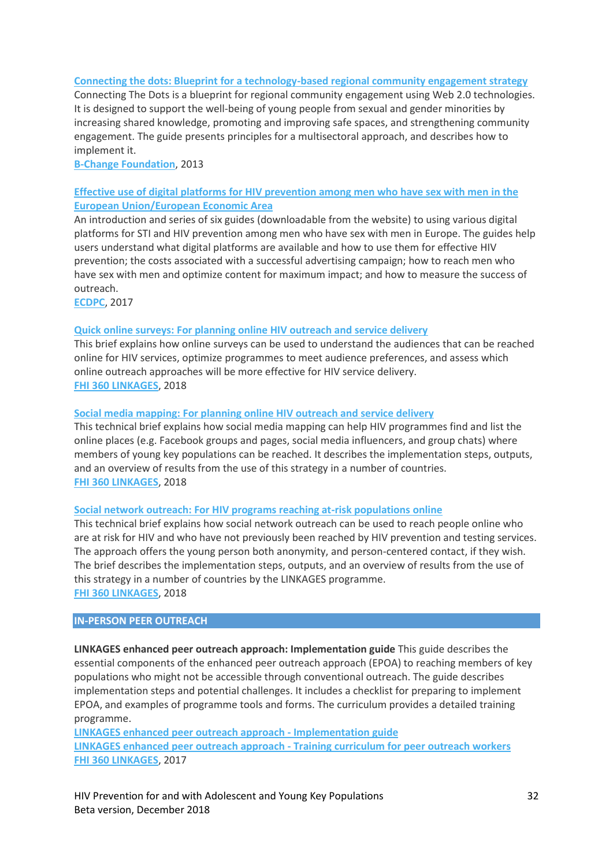### **[Connecting the dots: Blueprint for a technology-based regional community engagement strategy](http://childrenandaids.org/sites/default/files/2018-11/Connecting%20the%20dots%20-%20Blueprint%20for%20a%20technology-based%20regional%20community%20engagement%20strategy.pdf)**

Connecting The Dots is a blueprint for regional community engagement using Web 2.0 technologies. It is designed to support the well-being of young people from sexual and gender minorities by increasing shared knowledge, promoting and improving safe spaces, and strengthening community engagement. The guide presents principles for a multisectoral approach, and describes how to implement it.

**[B-Change Foundation](http://www.b-change.org/)**, 2013

# **[Effective use of digital platforms for HIV prevention among men who have sex with men in the](http://childrenandaids.org/sites/default/files/2018-11/Effective%20use%20of%20digital%20platforms%20for%20HIV%20prevention%20among%20men%20who%20have%20sex%20with%20men%20in%20the%20European%20Union%20%26%20European%20Economic%20Area%20-%20Introductory%20guide.pdf)  [European Union/European Economic Area](http://childrenandaids.org/sites/default/files/2018-11/Effective%20use%20of%20digital%20platforms%20for%20HIV%20prevention%20among%20men%20who%20have%20sex%20with%20men%20in%20the%20European%20Union%20%26%20European%20Economic%20Area%20-%20Introductory%20guide.pdf)**

An introduction and series of six guides (downloadable from the website) to using various digital platforms for STI and HIV prevention among men who have sex with men in Europe. The guides help users understand what digital platforms are available and how to use them for effective HIV prevention; the costs associated with a successful advertising campaign; how to reach men who have sex with men and optimize content for maximum impact; and how to measure the success of outreach.

**[ECDPC](https://ecdc.europa.eu/en/publications-data/effective-use-digital-platforms-hiv-prevention-among-men-who-have-sex-men)**, 2017

### **Quick online surveys: [For planning online HIV outreach and service delivery](http://childrenandaids.org/sites/default/files/2018-11/Quick%20online%20surveys%20-%20For%20planning%20online%20HIV%20outreach%20and%20service%20delivery.pdf)**

This brief explains how online surveys can be used to understand the audiences that can be reached online for HIV services, optimize programmes to meet audience preferences, and assess which online outreach approaches will be more effective for HIV service delivery. **[FHI 360 LINKAGES](https://www.fhi360.org/projects/linkages-across-continuum-hiv-services-key-populations-affected-hiv-linkages)**, 2018

### **Social media mapping: [For planning online HIV outreach and service delivery](http://childrenandaids.org/sites/default/files/2018-11/Social%20media%20mapping%20-%20For%20planning%20online%20HIV%20outreach%20and%20service%20delivery.pdf)**

This technical brief explains how social media mapping can help HIV programmes find and list the online places (e.g. Facebook groups and pages, social media influencers, and group chats) where members of young key populations can be reached. It describes the implementation steps, outputs, and an overview of results from the use of this strategy in a number of countries. **[FHI 360 LINKAGES](https://www.fhi360.org/projects/linkages-across-continuum-hiv-services-key-populations-affected-hiv-linkages)**, 2018

#### **Social network outreach: [For HIV programs reaching at-risk populations online](http://childrenandaids.org/sites/default/files/2018-11/Social%20network%20outreach%20-%20For%20HIV%20programs%20reaching%20at-risk%20populations%20online.pdf)**

This technical brief explains how social network outreach can be used to reach people online who are at risk for HIV and who have not previously been reached by HIV prevention and testing services. The approach offers the young person both anonymity, and person-centered contact, if they wish. The brief describes the implementation steps, outputs, and an overview of results from the use of this strategy in a number of countries by the LINKAGES programme. **[FHI 360 LINKAGES](https://www.fhi360.org/projects/linkages-across-continuum-hiv-services-key-populations-affected-hiv-linkages)**, 2018

#### **IN-PERSON PEER OUTREACH**

**LINKAGES enhanced peer outreach approach: Implementation guide** This guide describes the essential components of the enhanced peer outreach approach (EPOA) to reaching members of key populations who might not be accessible through conventional outreach. The guide describes implementation steps and potential challenges. It includes a checklist for preparing to implement EPOA, and examples of programme tools and forms. The curriculum provides a detailed training programme.

**[LINKAGES enhanced peer outreach approach](http://childrenandaids.org/sites/default/files/2018-11/LINKAGES%20enhanced%20peer%20outreach%20approach%20-%20Implementation%20guide.pdf) - Implementation guide LINKAGES enhanced peer outreach approach - [Training curriculum for peer outreach workers](http://childrenandaids.org/sites/default/files/2018-11/LINKAGES%20enhanced%20peer%20outreach%20approach%20-%20Training%20curriculum%20for%20peer%20outreach%20workers.pdf) [FHI 360 LINKAGES](https://www.fhi360.org/projects/linkages-across-continuum-hiv-services-key-populations-affected-hiv-linkages)**, 2017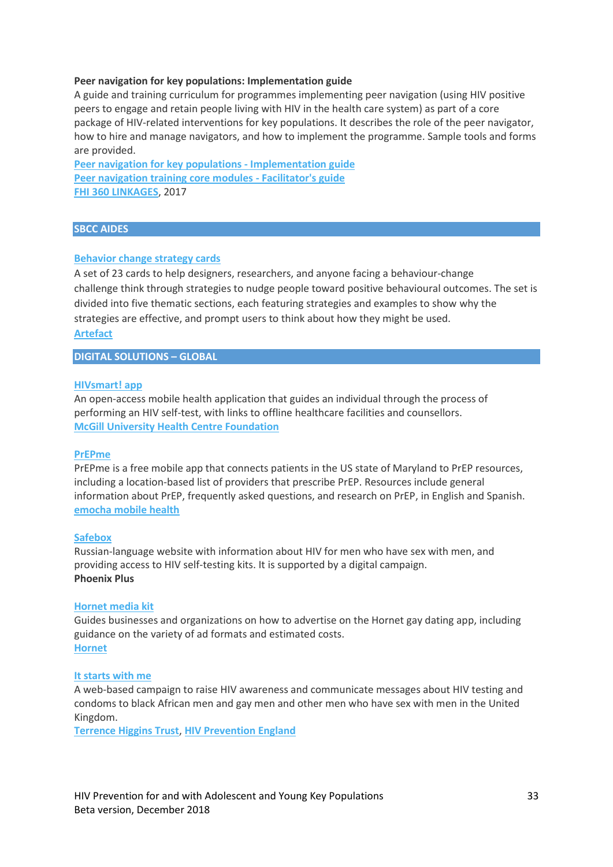### **Peer navigation for key populations: Implementation guide**

A guide and training curriculum for programmes implementing peer navigation (using HIV positive peers to engage and retain people living with HIV in the health care system) as part of a core package of HIV-related interventions for key populations. It describes the role of the peer navigator, how to hire and manage navigators, and how to implement the programme. Sample tools and forms are provided.

**[Peer navigation for key populations -](http://childrenandaids.org/sites/default/files/2018-11/Peer%20navigation%20for%20key%20populations%20-%20Implementation%20guide.pdf) Implementation guide [Peer navigation training core modules -](http://childrenandaids.org/sites/default/files/2018-11/Peer%20navigation%20training%20core%20modules%20-%20Facilitator%27s%20guide.pdf) Facilitator's guide [FHI 360 LINKAGES](https://www.fhi360.org/projects/linkages-across-continuum-hiv-services-key-populations-affected-hiv-linkages)**, 2017

### **SBCC AIDES**

### **[Behavior change strategy cards](http://childrenandaids.org/sites/default/files/2018-11/Behavior%20change%20strategy%20cards.pdf)**

A set of 23 cards to help designers, researchers, and anyone facing a behaviour-change challenge think through strategies to nudge people toward positive behavioural outcomes. The set is divided into five thematic sections, each featuring strategies and examples to show why the strategies are effective, and prompt users to think about how they might be used. **[Artefact](http://artefactgroup.com/)**

**DIGITAL SOLUTIONS – GLOBAL**

#### **[HIVsmart! app](https://www.muhcfoundation.com/current-projects/hiv-smart-app/)**

An open-access mobile health application that guides an individual through the process of performing an HIV self-test, with links to offline healthcare facilities and counsellors. **[McGill University Health Centre Foundation](https://www.muhcfoundation.com/)**

#### **[PrEPme](https://itunes.apple.com/gb/app/prepme-by-emocha/id1132206321?mt=8)**

PrEPme is a free mobile app that connects patients in the US state of Maryland to PrEP resources, including a location-based list of providers that prescribe PrEP. Resources include general information about PrEP, frequently asked questions, and research on PrEP, in English and Spanish. **[emocha mobile health](https://www.emocha.com/)**

#### **[Safebox](http://gaytest.info/)**

Russian-language website with information about HIV for men who have sex with men, and providing access to HIV self-testing kits. It is supported by a digital campaign. **Phoenix Plus**

#### **[Hornet media kit](http://childrenandaids.org/sites/default/files/2018-11/Hornet%20media%20kit.pdf)**

Guides businesses and organizations on how to advertise on the Hornet gay dating app, including guidance on the variety of ad formats and estimated costs. **[Hornet](https://hornet.com/)**

#### **[It starts with me](https://www.startswithme.org.uk/)**

A web-based campaign to raise HIV awareness and communicate messages about HIV testing and condoms to black African men and gay men and other men who have sex with men in the United Kingdom.

**[Terrence Higgins Trust](https://www.tht.org.uk/)**, **[HIV Prevention England](https://www.hivpreventionengland.org.uk/)**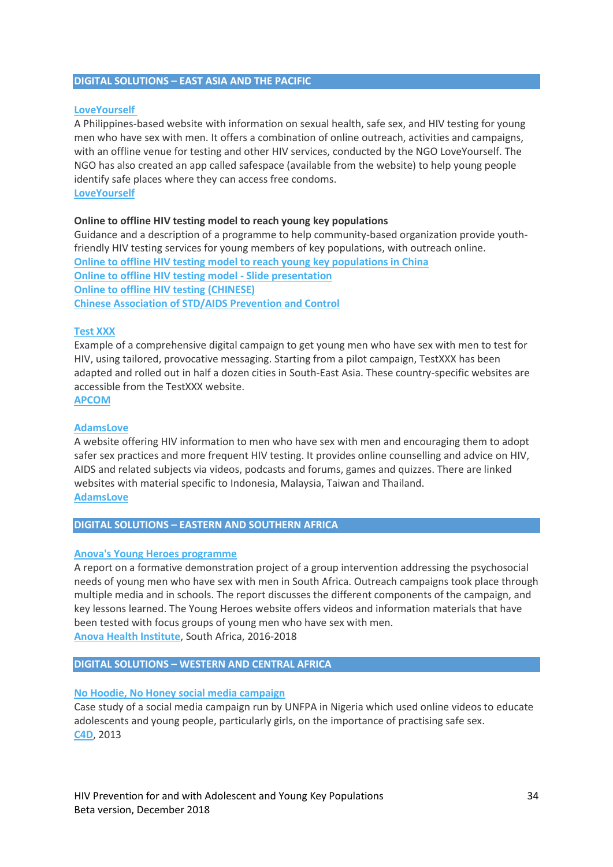### **DIGITAL SOLUTIONS – EAST ASIA AND THE PACIFIC**

### **[LoveYourself](http://www.loveyourself.ph/)**

A Philippines-based website with information on sexual health, safe sex, and HIV testing for young men who have sex with men. It offers a combination of online outreach, activities and campaigns, with an offline venue for testing and other HIV services, conducted by the NGO LoveYourself. The NGO has also created an app called safespace (available from the website) to help young people identify safe places where they can access free condoms. **[LoveYourself](http://www.loveyourself.ph/)**

### **Online to offline HIV testing model to reach young key populations**

Guidance and a description of a programme to help community-based organization provide youthfriendly HIV testing services for young members of key populations, with outreach online. **[Online to offline HIV testing model to reach young key populations in China](http://childrenandaids.org/sites/default/files/2018-11/Online%20to%20offline%20HIV%20testing%20model%20to%20reach%20young%20key%20populations%20in%20China.pdf) [Online to offline HIV testing model -](http://childrenandaids.org/sites/default/files/2018-11/Online%20to%20offline%20HIV%20testing%20model%20-%20Slide%20presentation.pdf) Slide presentation [Online to offline HIV testing \(CHINESE\)](http://childrenandaids.org/sites/default/files/2018-11/Online%20to%20offline%20HIV%20testing%20-%20CHINESE.pdf) [Chinese Association of STD/AIDS Prevention and Control](http://www.aids.org.cn/)**

### **[Test XXX](https://apcom.org/what-we-do/encouraging-testing/)**

Example of a comprehensive digital campaign to get young men who have sex with men to test for HIV, using tailored, provocative messaging. Starting from a pilot campaign, TestXXX has been adapted and rolled out in half a dozen cities in South-East Asia. These country-specific websites are accessible from the TestXXX website. **[APCOM](http://www.apcom.org/)**

# **[AdamsLove](http://www.adamslove.org/tw/en-index.php)**

A website offering HIV information to men who have sex with men and encouraging them to adopt safer sex practices and more frequent HIV testing. It provides online counselling and advice on HIV, AIDS and related subjects via videos, podcasts and forums, games and quizzes. There are linked websites with material specific to Indonesia, Malaysia, Taiwan and Thailand. **[AdamsLove](http://www.adamslove.org/)**

### **DIGITAL SOLUTIONS – EASTERN AND SOUTHERN AFRICA**

### **[Anova's Young Heroes programme](http://childrenandaids.org/sites/default/files/2018-11/Anova%27s%20Young%20Heroes%20programme.pdf)**

A report on a formative demonstration project of a group intervention addressing the psychosocial needs of young men who have sex with men in South Africa. Outreach campaigns took place through multiple media and in schools. The report discusses the different components of the campaign, and key lessons learned. The Young Heroes website offers videos and information materials that have been tested with focus groups of young men who have sex with men. **[Anova Health Institute](https://www.anovahealth.co.za/)**, South Africa, 2016-2018

### **DIGITAL SOLUTIONS – WESTERN AND CENTRAL AFRICA**

### **[No Hoodie, No Honey social media campaign](https://c4d.org/case_studies/no-hoodie-no-honey-social-media-campaign-united-nations-popu-lation-fund-unfpa-2013-present-nigeria)**

Case study of a social media campaign run by UNFPA in Nigeria which used online videos to educate adolescents and young people, particularly girls, on the importance of practising safe sex. **[C4D](https://c4d.org/)**, 2013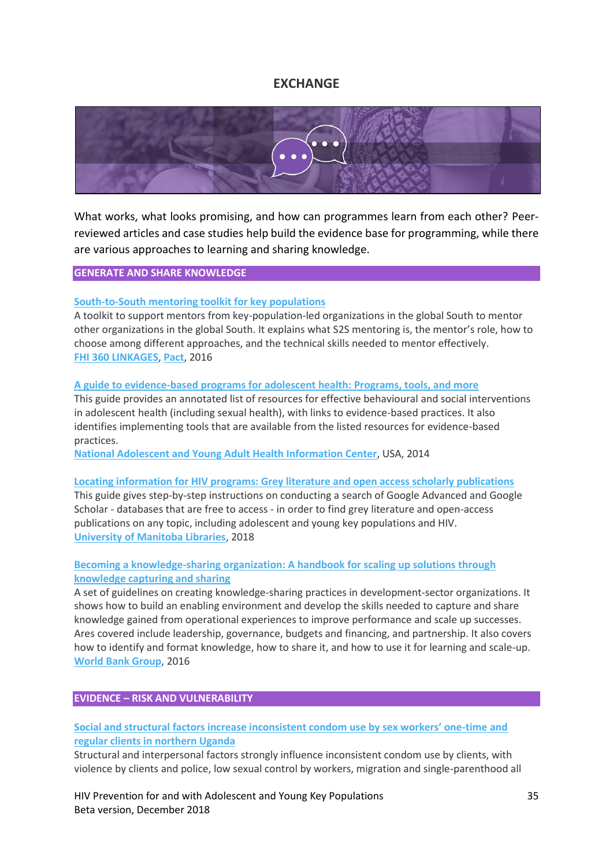# **EXCHANGE**

<span id="page-34-0"></span>

What works, what looks promising, and how can programmes learn from each other? Peerreviewed articles and case studies help build the evidence base for programming, while there are various approaches to learning and sharing knowledge.

### **GENERATE AND SHARE KNOWLEDGE**

### **[South-to-South mentoring toolkit for key populations](http://childrenandaids.org/sites/default/files/2018-11/South-to-South%20mentoring%20toolkit%20for%20key%20populations.pdf)**

A toolkit to support mentors from key-population-led organizations in the global South to mentor other organizations in the global South. It explains what S2S mentoring is, the mentor's role, how to choose among different approaches, and the technical skills needed to mentor effectively. **[FHI 360 LINKAGES](https://www.fhi360.org/projects/linkages-across-continuum-hiv-services-key-populations-affected-hiv-linkages)**, **[Pact](https://www.pactworld.org/)**, 2016

#### **[A guide to evidence-based programs for adolescent health: Programs, tools, and more](http://childrenandaids.org/sites/default/files/2018-11/A%20guide%20to%20evidence-based%20programs%20for%20adolescent%20health%20-%20Programs%2C%20tools%2C%20and%20more.pdf)**

This guide provides an annotated list of resources for effective behavioural and social interventions in adolescent health (including sexual health), with links to evidence-based practices. It also identifies implementing tools that are available from the listed resources for evidence-based practices.

**[National Adolescent and Young Adult Health Information Center](http://nahic.ucsf.edu/)**, USA, 2014

#### **[Locating information for HIV programs: Grey literature and open access scholarly publications](http://childrenandaids.org/sites/default/files/2018-11/Locating%20information%20for%20HIV%20programs%20-%20Grey%20literature%20and%20open%20access%20scholary%20publications.pdf)**

This guide gives step-by-step instructions on conducting a search of Google Advanced and Google Scholar - databases that are free to access - in order to find grey literature and open-access publications on any topic, including adolescent and young key populations and HIV. **[University of Manitoba Libraries](http://umanitoba.ca/libraries/)**, 2018

# **[Becoming a knowledge-sharing organization: A handbook for scaling up solutions through](http://childrenandaids.org/sites/default/files/2018-11/Becoming%20a%20knowledge-sharing%20organization%20-%20A%20handbook%20for%20scaling%20up%20solutions%20through%20knowledge%20capturing%20and%20sharing.pdf)  [knowledge capturing and sharing](http://childrenandaids.org/sites/default/files/2018-11/Becoming%20a%20knowledge-sharing%20organization%20-%20A%20handbook%20for%20scaling%20up%20solutions%20through%20knowledge%20capturing%20and%20sharing.pdf)**

A set of guidelines on creating knowledge-sharing practices in development-sector organizations. It shows how to build an enabling environment and develop the skills needed to capture and share knowledge gained from operational experiences to improve performance and scale up successes. Ares covered include leadership, governance, budgets and financing, and partnership. It also covers how to identify and format knowledge, how to share it, and how to use it for learning and scale-up. **[World Bank Group](http://www.worldbank.org/)**, 2016

### **EVIDENCE – RISK AND VULNERABILITY**

# **[Social and structural factors increase inconsistent condom use by sex workers' one](https://www.tandfonline.com/doi/abs/10.1080/09540121.2017.1394966?journalCode=caic20)-time and [regular clients in northern Uganda](https://www.tandfonline.com/doi/abs/10.1080/09540121.2017.1394966?journalCode=caic20)**

Structural and interpersonal factors strongly influence inconsistent condom use by clients, with violence by clients and police, low sexual control by workers, migration and single-parenthood all

HIV Prevention for and with Adolescent and Young Key Populations 35 Beta version, December 2018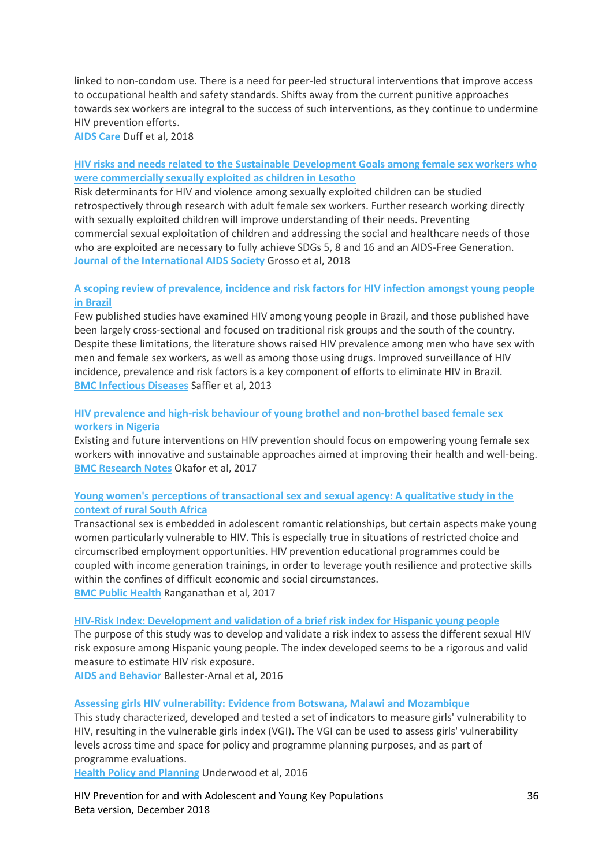linked to non-condom use. There is a need for peer-led structural interventions that improve access to occupational health and safety standards. Shifts away from the current punitive approaches towards sex workers are integral to the success of such interventions, as they continue to undermine HIV prevention efforts.

**[AIDS Care](https://www.tandfonline.com/toc/caic20/current)** Duff et al, 2018

# **[HIV risks and needs related to the Sustainable Development Goals among female sex workers who](http://childrenandaids.org/sites/default/files/2018-11/HIV%20risks%20and%20needs%20related%20to%20the%20SDGs%20among%20female%20sex%20workers%20commercially%20sexually%20exploited%20as%20children.pdf)  [were commercially sexually exploited as children in Lesotho](http://childrenandaids.org/sites/default/files/2018-11/HIV%20risks%20and%20needs%20related%20to%20the%20SDGs%20among%20female%20sex%20workers%20commercially%20sexually%20exploited%20as%20children.pdf)**

Risk determinants for HIV and violence among sexually exploited children can be studied retrospectively through research with adult female sex workers. Further research working directly with sexually exploited children will improve understanding of their needs. Preventing commercial sexual exploitation of children and addressing the social and healthcare needs of those who are exploited are necessary to fully achieve SDGs 5, 8 and 16 and an AIDS-Free Generation. **[Journal of the International AIDS Society](https://onlinelibrary.wiley.com/journal/17582652)** Grosso et al, 2018

# **[A scoping review of prevalence, incidence and risk factors for HIV infection amongst young people](http://childrenandaids.org/sites/default/files/2018-11/Scoping%20review%20of%20risk%20factors%20for%20HIV%20infection%20in%20young%20people%20in%20Brazil.pdf)  [in Brazil](http://childrenandaids.org/sites/default/files/2018-11/Scoping%20review%20of%20risk%20factors%20for%20HIV%20infection%20in%20young%20people%20in%20Brazil.pdf)**

Few published studies have examined HIV among young people in Brazil, and those published have been largely cross-sectional and focused on traditional risk groups and the south of the country. Despite these limitations, the literature shows raised HIV prevalence among men who have sex with men and female sex workers, as well as among those using drugs. Improved surveillance of HIV incidence, prevalence and risk factors is a key component of efforts to eliminate HIV in Brazil. **[BMC Infectious Diseases](https://bmcinfectdis.biomedcentral.com/)** Saffier et al, 2013

# **[HIV prevalence and high-risk behaviour of young brothel and non-brothel based female sex](http://childrenandaids.org/sites/default/files/2018-11/HIV%20prevalence%20of%20female%20sex%20workers%20in%20Nigeria.pdf)  [workers in Nigeria](http://childrenandaids.org/sites/default/files/2018-11/HIV%20prevalence%20of%20female%20sex%20workers%20in%20Nigeria.pdf)**

Existing and future interventions on HIV prevention should focus on empowering young female sex workers with innovative and sustainable approaches aimed at improving their health and well-being. **[BMC Research Notes](https://bmcresnotes.biomedcentral.com/)** Okafor et al, 2017

# **[Young women's perceptions of transactional sex and sexual agency: A qualitative study in the](http://childrenandaids.org/sites/default/files/2018-11/Young%20women%27s%20perceptions%20of%20transactional%20sex%20and%20sexual%20agency.pdf)  [context of rural South Africa](http://childrenandaids.org/sites/default/files/2018-11/Young%20women%27s%20perceptions%20of%20transactional%20sex%20and%20sexual%20agency.pdf)**

Transactional sex is embedded in adolescent romantic relationships, but certain aspects make young women particularly vulnerable to HIV. This is especially true in situations of restricted choice and circumscribed employment opportunities. HIV prevention educational programmes could be coupled with income generation trainings, in order to leverage youth resilience and protective skills within the confines of difficult economic and social circumstances. **[BMC Public Health](https://bmcpublichealth.biomedcentral.com/)** Ranganathan et al, 2017

#### **[HIV-Risk Index: Development and validation of a brief risk index for Hispanic young people](https://link.springer.com/article/10.1007%2Fs10461-016-1411-0)**

The purpose of this study was to develop and validate a risk index to assess the different sexual HIV risk exposure among Hispanic young people. The index developed seems to be a rigorous and valid measure to estimate HIV risk exposure.

**[AIDS and Behavior](https://link.springer.com/journal/10461)** Ballester-Arnal et al, 2016

### **[Assessing girls HIV vulnerability: Evidence from Botswana, Malawi and Mozambique](http://childrenandaids.org/sites/default/files/2018-11/Assessing%20girls%20HIV%20vulnerability%20-%20Botswana%2C%20Malawi%20and%20Mozambique.pdf)**

This study characterized, developed and tested a set of indicators to measure girls' vulnerability to HIV, resulting in the vulnerable girls index (VGI). The VGI can be used to assess girls' vulnerability levels across time and space for policy and programme planning purposes, and as part of programme evaluations.

**[Health Policy and Planning](https://academic.oup.com/heapol)** Underwood et al, 2016

HIV Prevention for and with Adolescent and Young Key Populations 36 Beta version, December 2018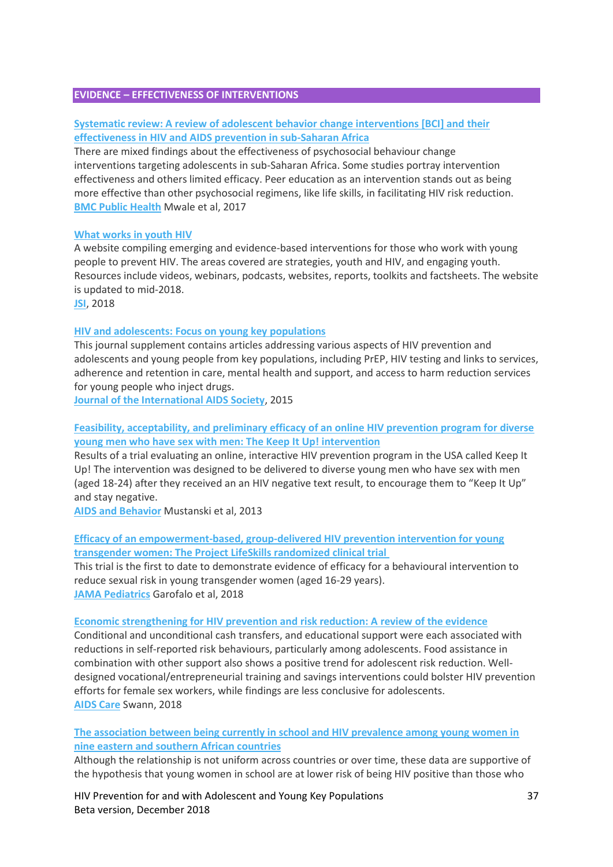### **EVIDENCE – EFFECTIVENESS OF INTERVENTIONS**

# **[Systematic review: A review of adolescent behavior change interventions \[BCI\] and their](http://childrenandaids.org/sites/default/files/2018-11/Adolescent%20behavior%20change%20interventions%20and%20their%20effectiveness%20in%20HIV%20prevention.pdf)  [effectiveness in HIV and AIDS prevention in sub-Saharan Africa](http://childrenandaids.org/sites/default/files/2018-11/Adolescent%20behavior%20change%20interventions%20and%20their%20effectiveness%20in%20HIV%20prevention.pdf)**

There are mixed findings about the effectiveness of psychosocial behaviour change interventions targeting adolescents in sub-Saharan Africa. Some studies portray intervention effectiveness and others limited efficacy. Peer education as an intervention stands out as being more effective than other psychosocial regimens, like life skills, in facilitating HIV risk reduction. **[BMC Public Health](https://bmcpublichealth.biomedcentral.com/)** Mwale et al, 2017

#### **[What works in youth HIV](https://www.whatworksinyouthhiv.org/)**

A website compiling emerging and evidence-based interventions for those who work with young people to prevent HIV. The areas covered are strategies, youth and HIV, and engaging youth. Resources include videos, webinars, podcasts, websites, reports, toolkits and factsheets. The website is updated to mid-2018.

**[JSI](https://www.jsi.com/)**, 2018

#### **[HIV and adolescents: Focus on young key populations](http://childrenandaids.org/sites/default/files/2018-11/HIV%20and%20adolescents%20-%20Focus%20on%20young%20key%20populations.pdf)**

This journal supplement contains articles addressing various aspects of HIV prevention and adolescents and young people from key populations, including PrEP, HIV testing and links to services, adherence and retention in care, mental health and support, and access to harm reduction services for young people who inject drugs.

**[Journal of the International AIDS Society](https://onlinelibrary.wiley.com/journal/17582652)**, 2015

# **[Feasibility, acceptability, and preliminary efficacy of an online HIV prevention program for diverse](http://childrenandaids.org/sites/default/files/2018-12/The%20Keep%20It%20Up%21%20Intervention.pdf)  [young men who have sex with men: The Keep It Up! intervention](http://childrenandaids.org/sites/default/files/2018-12/The%20Keep%20It%20Up%21%20Intervention.pdf)**

Results of a trial evaluating an online, interactive HIV prevention program in the USA called Keep It Up! The intervention was designed to be delivered to diverse young men who have sex with men (aged 18-24) after they received an an HIV negative text result, to encourage them to "Keep It Up" and stay negative.

**[AIDS and Behavior](https://link.springer.com/journal/10461)** Mustanski et al, 2013

# **[Efficacy of an empowerment-based, group-delivered HIV prevention intervention for young](http://childrenandaids.org/sites/default/files/2018-12/The%20Project%20LifeSkills.pdf)  [transgender women: The Project LifeSkills randomized clinical trial](http://childrenandaids.org/sites/default/files/2018-12/The%20Project%20LifeSkills.pdf)**

This trial is the first to date to demonstrate evidence of efficacy for a behavioural intervention to reduce sexual risk in young transgender women (aged 16-29 years). **[JAMA Pediatrics](https://jamanetwork.com/journals/jamapediatrics)** Garofalo et al, 2018

#### **[Economic strengthening for HIV prevention and risk reduction: A](http://childrenandaids.org/sites/default/files/2018-12/Economic%20strengthening%20for%20HIV%20prevention%20and%20risk%20reduction.pdf) review of the evidence**

Conditional and unconditional cash transfers, and educational support were each associated with reductions in self-reported risk behaviours, particularly among adolescents. Food assistance in combination with other support also shows a positive trend for adolescent risk reduction. Welldesigned vocational/entrepreneurial training and savings interventions could bolster HIV prevention efforts for female sex workers, while findings are less conclusive for adolescents. **[AIDS Care](https://www.tandfonline.com/toc/caic20/current)** Swann, 2018

# **[The association between being currently in school and HIV prevalence among young women in](http://childrenandaids.org/sites/default/files/2018-11/Association%20between%20being%20in%20school%20and%20HIV%20prevalence%20among%20young%20women.pdf)  [nine eastern and southern African countries](http://childrenandaids.org/sites/default/files/2018-11/Association%20between%20being%20in%20school%20and%20HIV%20prevalence%20among%20young%20women.pdf)**

Although the relationship is not uniform across countries or over time, these data are supportive of the hypothesis that young women in school are at lower risk of being HIV positive than those who

HIV Prevention for and with Adolescent and Young Key Populations 37 Beta version, December 2018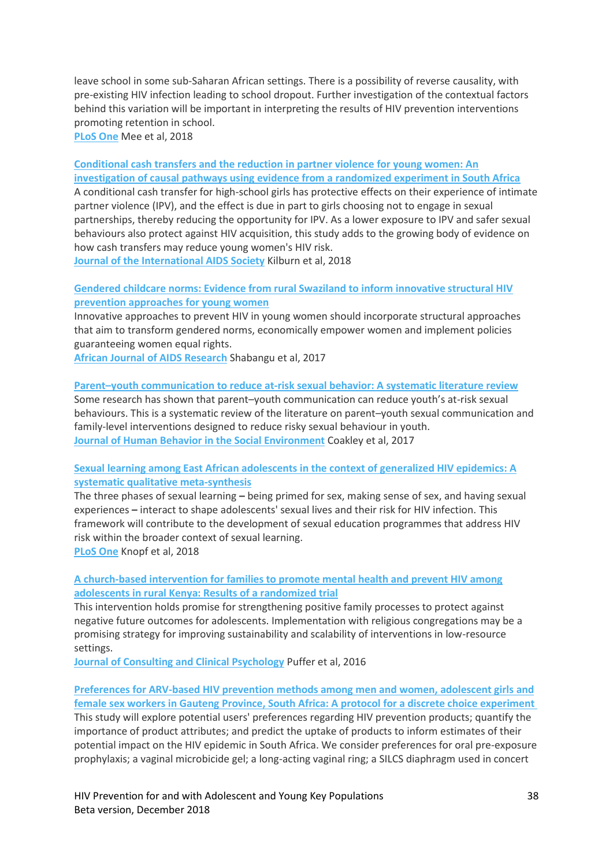leave school in some sub-Saharan African settings. There is a possibility of reverse causality, with pre-existing HIV infection leading to school dropout. Further investigation of the contextual factors behind this variation will be important in interpreting the results of HIV prevention interventions promoting retention in school.

**[PLoS One](https://journals.plos.org/plosone/)** Mee et al, 2018

**[Conditional cash transfers and the reduction in partner violence for young women: An](http://childrenandaids.org/sites/default/files/2018-11/Conditional%20cash%20transfers%20and%20the%20reduction%20in%20partner%20violence%20for%20young%20women.pdf)  [investigation of causal pathways using evidence from a randomized experiment in South Africa](http://childrenandaids.org/sites/default/files/2018-11/Conditional%20cash%20transfers%20and%20the%20reduction%20in%20partner%20violence%20for%20young%20women.pdf)**

A conditional cash transfer for high-school girls has protective effects on their experience of intimate partner violence (IPV), and the effect is due in part to girls choosing not to engage in sexual partnerships, thereby reducing the opportunity for IPV. As a lower exposure to IPV and safer sexual behaviours also protect against HIV acquisition, this study adds to the growing body of evidence on how cash transfers may reduce young women's HIV risk.

**Journal [of the International AIDS Society](https://onlinelibrary.wiley.com/journal/17582652)** Kilburn et al, 2018

# **[Gendered childcare norms: Evidence from rural Swaziland to inform innovative structural HIV](http://childrenandaids.org/sites/default/files/2018-12/Gendered%20childcare%20norms.pdf)  [prevention approaches for young women](http://childrenandaids.org/sites/default/files/2018-12/Gendered%20childcare%20norms.pdf)**

Innovative approaches to prevent HIV in young women should incorporate structural approaches that aim to transform gendered norms, economically empower women and implement policies guaranteeing women equal rights.

**[African Journal of AIDS Research](https://www.tandfonline.com/toc/raar20/current)** Shabangu et al, 2017

### **Parent–[youth communication to reduce at-risk sexual behavior: A systematic literature review](https://www.tandfonline.com/doi/abs/10.1080/10911359.2017.1313149?journalCode=whum20)**

Some research has shown that parent–youth communication can reduce youth's at-risk sexual behaviours. This is a systematic review of the literature on parent–youth sexual communication and family-level interventions designed to reduce risky sexual behaviour in youth. **[Journal of Human Behavior in the Social Environment](https://www.tandfonline.com/toc/whum20/current)** Coakley et al, 2017

**[Sexual learning among East African adolescents in the context of generalized HIV epidemics: A](http://childrenandaids.org/sites/default/files/2018-11/Sexual%20learning%20among%20East%20African%20adolescents%20in%20the%20context%20of%20generalized%20HIV%20epidemics.pdf)  [systematic qualitative meta-synthesis](http://childrenandaids.org/sites/default/files/2018-11/Sexual%20learning%20among%20East%20African%20adolescents%20in%20the%20context%20of%20generalized%20HIV%20epidemics.pdf)**

The three phases of sexual learning **–** being primed for sex, making sense of sex, and having sexual experiences **–** interact to shape adolescents' sexual lives and their risk for HIV infection. This framework will contribute to the development of sexual education programmes that address HIV risk within the broader context of sexual learning.

**[PLoS One](https://journals.plos.org/plosone/)** Knopf et al, 2018

# **[A church-based intervention for families to promote mental health and prevent HIV among](http://childrenandaids.org/sites/default/files/2018-11/Church-based%20intervention%20for%20families%20to%20promote%20mental%20health%20and%20prevent%20HIV%20among%20adolescents.pdf)  [adolescents in rural Kenya: Results of a randomized trial](http://childrenandaids.org/sites/default/files/2018-11/Church-based%20intervention%20for%20families%20to%20promote%20mental%20health%20and%20prevent%20HIV%20among%20adolescents.pdf)**

This intervention holds promise for strengthening positive family processes to protect against negative future outcomes for adolescents. Implementation with religious congregations may be a promising strategy for improving sustainability and scalability of interventions in low-resource settings.

**[Journal of Consulting and Clinical Psychology](http://psycnet.apa.org/PsycARTICLES/journal/ccp/86/11)** Puffer et al, 2016

**[Preferences for ARV-based HIV prevention methods among men and women, adolescent girls and](http://childrenandaids.org/sites/default/files/2018-11/Preferences%20for%20ARV-based%20HIV%20prevention%20methods%20-%20Protocol%20for%20an%20experiment.pdf)  [female sex workers in Gauteng Province, South Africa: A protocol for a discrete choice experiment](http://childrenandaids.org/sites/default/files/2018-11/Preferences%20for%20ARV-based%20HIV%20prevention%20methods%20-%20Protocol%20for%20an%20experiment.pdf)** This study will explore potential users' preferences regarding HIV prevention products; quantify the importance of product attributes; and predict the uptake of products to inform estimates of their potential impact on the HIV epidemic in South Africa. We consider preferences for oral pre-exposure prophylaxis; a vaginal microbicide gel; a long-acting vaginal ring; a SILCS diaphragm used in concert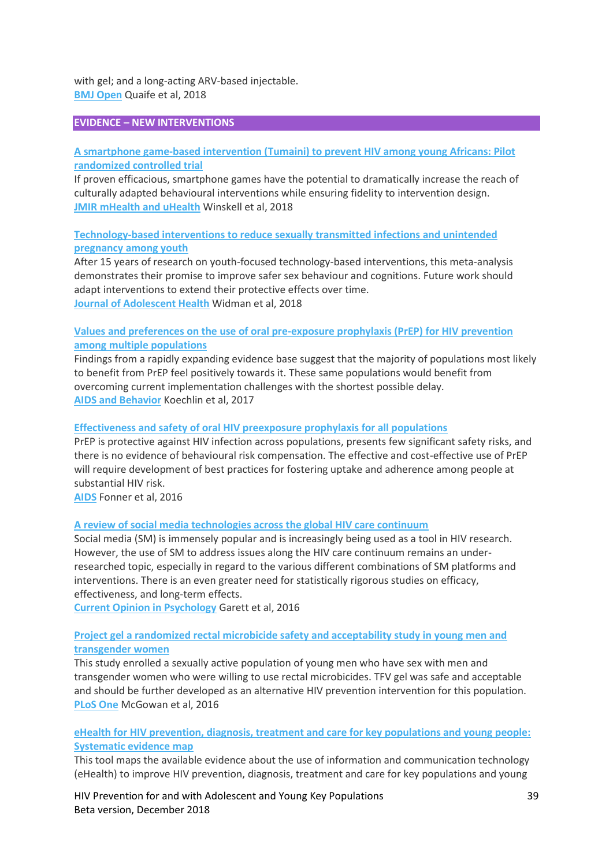with gel; and a long-acting ARV-based injectable. **[BMJ Open](https://bmjopen.bmj.com/)** Quaife et al, 2018

### **EVIDENCE – NEW INTERVENTIONS**

# **[A smartphone game-based intervention \(Tumaini\) to prevent HIV among young Africans: Pilot](http://childrenandaids.org/sites/default/files/2018-11/A%20smartphone%20game-based%20intervention%20-Tumaini.pdf)  [randomized controlled trial](http://childrenandaids.org/sites/default/files/2018-11/A%20smartphone%20game-based%20intervention%20-Tumaini.pdf)**

If proven efficacious, smartphone games have the potential to dramatically increase the reach of culturally adapted behavioural interventions while ensuring fidelity to intervention design. **[JMIR mHealth and uHealth](https://mhealth.jmir.org/)** Winskell et al, 2018

# **[Technology-based interventions to reduce sexually transmitted infections and unintended](https://www.jahonline.org/article/S1054-139X(18)30089-2/abstract)  [pregnancy among youth](https://www.jahonline.org/article/S1054-139X(18)30089-2/abstract)**

After 15 years of research on youth-focused technology-based interventions, this meta-analysis demonstrates their promise to improve safer sex behaviour and cognitions. Future work should adapt interventions to extend their protective effects over time. **[Journal of Adolescent Health](https://www.jahonline.org/)** Widman et al, 2018

# **[Values and preferences on the use of oral pre-exposure prophylaxis \(PrEP\) for HIV prevention](http://childrenandaids.org/sites/default/files/2018-11/Values%20and%20preferences%20on%20the%20use%20of%20PrEP%20among%20multiple%20populations.pdf)  [among multiple populations](http://childrenandaids.org/sites/default/files/2018-11/Values%20and%20preferences%20on%20the%20use%20of%20PrEP%20among%20multiple%20populations.pdf)**

Findings from a rapidly expanding evidence base suggest that the majority of populations most likely to benefit from PrEP feel positively towards it. These same populations would benefit from overcoming current implementation challenges with the shortest possible delay. **[AIDS and Behavior](https://link.springer.com/journal/10461)** Koechlin et al, 2017

### **[Effectiveness and safety of oral HIV preexposure prophylaxis for all populations](http://childrenandaids.org/sites/default/files/2018-11/Effectiveness%20and%20safety%20of%20oral%20HIV%20preexposure%20prophylaxis%20for%20all%20populations.pdf)**

PrEP is protective against HIV infection across populations, presents few significant safety risks, and there is no evidence of behavioural risk compensation. The effective and cost-effective use of PrEP will require development of best practices for fostering uptake and adherence among people at substantial HIV risk.

**[AIDS](https://journals.lww.com/aidsonline/pages/default.aspx)** Fonner et al, 2016

### **[A review of social media technologies across the global HIV care continuum](http://childrenandaids.org/sites/default/files/2018-11/A%20review%20of%20social%20media%20technologies%20across%20the%20global%20HIV%20care%20continuum.pdf)**

Social media (SM) is immensely popular and is increasingly being used as a tool in HIV research. However, the use of SM to address issues along the HIV care continuum remains an underresearched topic, especially in regard to the various different combinations of SM platforms and interventions. There is an even greater need for statistically rigorous studies on efficacy, effectiveness, and long-term effects.

**[Current Opinion in Psychology](https://www.journals.elsevier.com/current-opinion-in-psychology)** Garett et al, 2016

### **[Project gel a randomized rectal microbicide safety and acceptability study in young men and](http://childrenandaids.org/sites/default/files/2018-11/Randomized%20rectal%20microbicide%20safety%20and%20acceptability%20study%20in%20young%20men%20and%20transgender%20women.PDF)  [transgender women](http://childrenandaids.org/sites/default/files/2018-11/Randomized%20rectal%20microbicide%20safety%20and%20acceptability%20study%20in%20young%20men%20and%20transgender%20women.PDF)**

This study enrolled a sexually active population of young men who have sex with men and transgender women who were willing to use rectal microbicides. TFV gel was safe and acceptable and should be further developed as an alternative HIV prevention intervention for this population. **[PLoS One](https://journals.plos.org/plosone/)** McGowan et al, 2016

### **[eHealth for HIV prevention, diagnosis, treatment and care for key populations and young people:](http://evidencemap.aidsalliance.org/map.html)  [Systematic evidence map](http://evidencemap.aidsalliance.org/map.html)**

This tool maps the available evidence about the use of information and communication technology (eHealth) to improve HIV prevention, diagnosis, treatment and care for key populations and young

HIV Prevention for and with Adolescent and Young Key Populations 39 Beta version, December 2018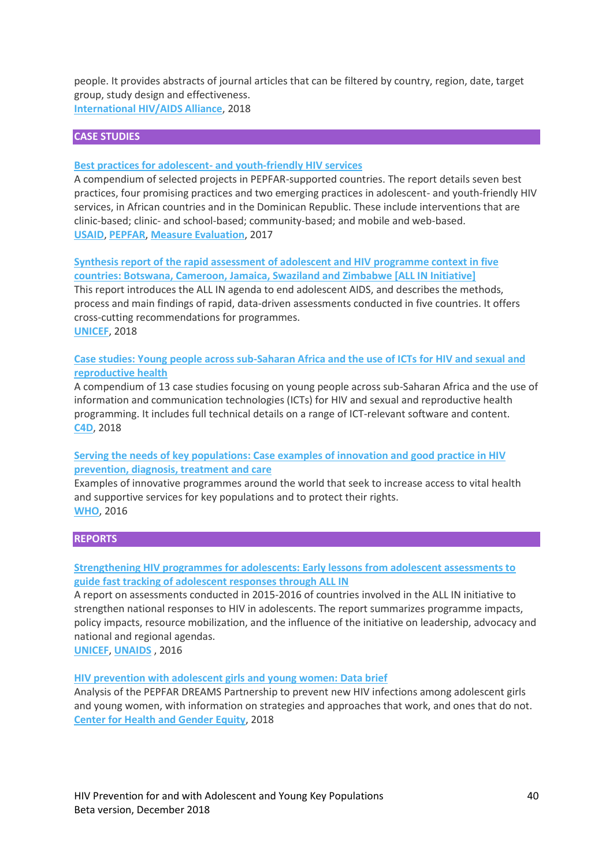people. It provides abstracts of journal articles that can be filtered by country, region, date, target group, study design and effectiveness. **[International HIV/AIDS Alliance](http://www.aidsalliance.org/)**, 2018

### **CASE STUDIES**

#### **Best practices for adolescent- [and youth-friendly HIV services](http://childrenandaids.org/sites/default/files/2018-11/Best%20practices%20for%20adolescent%20and%20youth-friendly%20HIV%20services.pdf)**

A compendium of selected projects in PEPFAR-supported countries. The report details seven best practices, four promising practices and two emerging practices in adolescent- and youth-friendly HIV services, in African countries and in the Dominican Republic. These include interventions that are clinic-based; clinic- and school-based; community-based; and mobile and web-based. **[USAID](http://www.usaid.gov/)**, **[PEPFAR](https://www.pepfar.gov/)**, **[Measure Evaluation](https://www.measureevaluation.org/)**, 2017

**[Synthesis report of the rapid assessment of adolescent and HIV](http://childrenandaids.org/sites/default/files/2018-11/Synthesis%20report%20of%20the%20rapid%20assessment%20of%20adolescent%20and%20HIV%20programme%20context%20in%20five%20countries.pdf) programme context in five [countries: Botswana, Cameroon, Jamaica, Swaziland and Zimbabwe \[ALL IN Initiative\]](http://childrenandaids.org/sites/default/files/2018-11/Synthesis%20report%20of%20the%20rapid%20assessment%20of%20adolescent%20and%20HIV%20programme%20context%20in%20five%20countries.pdf)**

This report introduces the ALL IN agenda to end adolescent AIDS, and describes the methods, process and main findings of rapid, data-driven assessments conducted in five countries. It offers cross-cutting recommendations for programmes. **[UNICEF](http://www.unicef.org/)**, 2018

**[Case studies: Young people across sub-Saharan Africa and the use of ICTs for HIV and sexual and](https://c4d.org/unaids)  [reproductive health](https://c4d.org/unaids)**

A compendium of 13 case studies focusing on young people across sub-Saharan Africa and the use of information and communication technologies (ICTs) for HIV and sexual and reproductive health programming. It includes full technical details on a range of ICT-relevant software and content. **[C4D](http://www.c4d.org/)**, 2018

### **[Serving the needs of key populations: Case examples of innovation and good practice in HIV](http://childrenandaids.org/sites/default/files/2018-11/Serving%20the%20needs%20of%20key%20populations.pdf)  [prevention, diagnosis, treatment and care](http://childrenandaids.org/sites/default/files/2018-11/Serving%20the%20needs%20of%20key%20populations.pdf)**

Examples of innovative programmes around the world that seek to increase access to vital health and supportive services for key populations and to protect their rights. **[WHO](http://www.who.org/)**, 2016

#### **REPORTS**

## **[Strengthening HIV programmes for adolescents: Early lessons from adolescent assessments to](http://childrenandaids.org/sites/default/files/2018-11/Strengthening%20HIV%20programmes%20for%20adolescents.pdf)  [guide fast tracking of adolescent responses through ALL IN](http://childrenandaids.org/sites/default/files/2018-11/Strengthening%20HIV%20programmes%20for%20adolescents.pdf)**

A report on assessments conducted in 2015-2016 of countries involved in the ALL IN initiative to strengthen national responses to HIV in adolescents. The report summarizes programme impacts, policy impacts, resource mobilization, and the influence of the initiative on leadership, advocacy and national and regional agendas.

**[UNICEF](http://www.unicef.org/)**, **[UNAIDS](http://www.unaids.org/)** , 2016

#### **[HIV prevention with adolescent girls and young women: Data brief](http://childrenandaids.org/sites/default/files/2018-11/HIV%20prevention%20with%20adolescent%20girls%20and%20young%20women%20-%20Data%20brief.pdf)**

Analysis of the PEPFAR DREAMS Partnership to prevent new HIV infections among adolescent girls and young women, with information on strategies and approaches that work, and ones that do not. **[Center for Health and Gender Equity](http://www.genderhealth.org/)**, 2018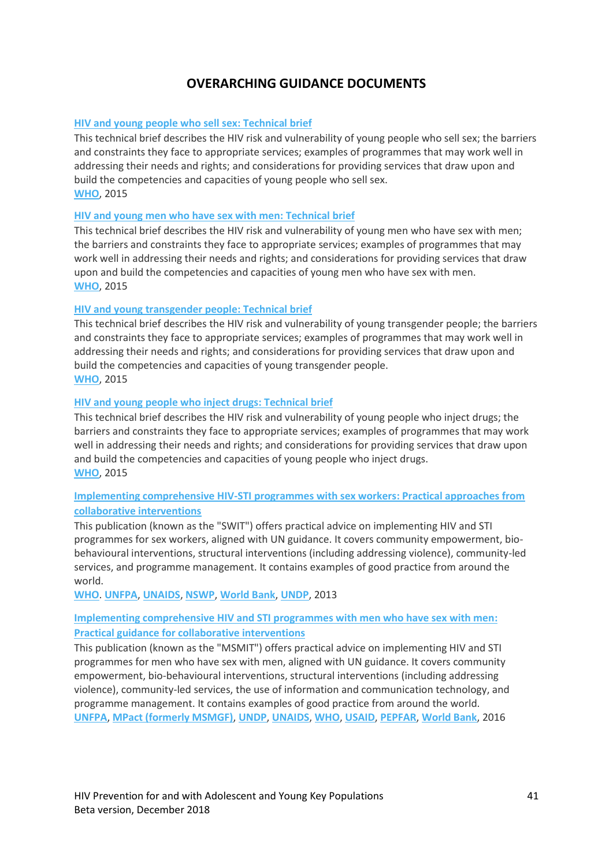# **OVERARCHING GUIDANCE DOCUMENTS**

# <span id="page-40-0"></span>**[HIV and young people who sell sex:](http://childrenandaids.org/sites/default/files/2018-11/HIV%20and%20young%20people%20who%20sell%20sex%20-%20Technical%20brief.pdf) Technical brief**

This technical brief describes the HIV risk and vulnerability of young people who sell sex; the barriers and constraints they face to appropriate services; examples of programmes that may work well in addressing their needs and rights; and considerations for providing services that draw upon and build the competencies and capacities of young people who sell sex. **[WHO](http://childrenandaids.org/who.int)**, 2015

### **[HIV and young men who have sex with men:](http://childrenandaids.org/sites/default/files/2018-11/HIV%20and%20young%20men%20who%20have%20sex%20with%20men%20-%20Technical%20brief.pdf) Technical brief**

This technical brief describes the HIV risk and vulnerability of young men who have sex with men; the barriers and constraints they face to appropriate services; examples of programmes that may work well in addressing their needs and rights; and considerations for providing services that draw upon and build the competencies and capacities of young men who have sex with men. **[WHO](http://childrenandaids.org/who.int)**, 2015

# **[HIV and young transgender people:](http://childrenandaids.org/sites/default/files/2018-11/HIV%20and%20young%20transgender%20people%20-%20Technical%20brief.pdf) Technical brief**

This technical brief describes the HIV risk and vulnerability of young transgender people; the barriers and constraints they face to appropriate services; examples of programmes that may work well in addressing their needs and rights; and considerations for providing services that draw upon and build the competencies and capacities of young transgender people. **[WHO](http://childrenandaids.org/who.int)**, 2015

# **HIV and [young people who inject drugs:](http://childrenandaids.org/sites/default/files/2018-11/HIV%20and%20young%20people%20who%20inject%20drugs%20-%20Technical%20brief.pdf) Technical brief**

This technical brief describes the HIV risk and vulnerability of young people who inject drugs; the barriers and constraints they face to appropriate services; examples of programmes that may work well in addressing their needs and rights; and considerations for providing services that draw upon and build the competencies and capacities of young people who inject drugs. **[WHO](http://childrenandaids.org/who.int)**, 2015

# **[Implementing comprehensive HIV-STI programmes with sex workers:](http://childrenandaids.org/sites/default/files/2018-11/Implementing%20comprehensive%20HIV-STI%20programmes%20with%20sex%20workers%20-%20Practical%20approaches%20from%20collaborative%20interventions.pdf) Practical approaches from [collaborative interventions](http://childrenandaids.org/sites/default/files/2018-11/Implementing%20comprehensive%20HIV-STI%20programmes%20with%20sex%20workers%20-%20Practical%20approaches%20from%20collaborative%20interventions.pdf)**

This publication (known as the "SWIT") offers practical advice on implementing HIV and STI programmes for sex workers, aligned with UN guidance. It covers community empowerment, biobehavioural interventions, structural interventions (including addressing violence), community-led services, and programme management. It contains examples of good practice from around the world.

**[WHO](http://childrenandaids.org/who.int)**. **[UNFPA](http://childrenandaids.org/unfpa.org)**, **[UNAIDS](http://childrenandaids.org/unaids.org)**, **[NSWP](http://childrenandaids.org/nswp.org)**, **[World Bank](http://childrenandaids.org/worldbank.org)**, **[UNDP](http://childrenandaids.org/undp.org)**, 2013

# **[Implementing comprehensive HIV and STI programmes with men who have sex with men:](http://childrenandaids.org/sites/default/files/2018-11/Implementing%20comprehensive%20HIV%20and%20STI%20programmes%20with%20%20men%20who%20have%20sex%20with%20men%20-%20Practical%20guidance%20for%20collaborative%20interventions_1.pdf) [Practical guidance for collaborative interventions](http://childrenandaids.org/sites/default/files/2018-11/Implementing%20comprehensive%20HIV%20and%20STI%20programmes%20with%20%20men%20who%20have%20sex%20with%20men%20-%20Practical%20guidance%20for%20collaborative%20interventions_1.pdf)**

This publication (known as the "MSMIT") offers practical advice on implementing HIV and STI programmes for men who have sex with men, aligned with UN guidance. It covers community empowerment, bio-behavioural interventions, structural interventions (including addressing violence), community-led services, the use of information and communication technology, and programme management. It contains examples of good practice from around the world. **[UNFPA](http://childrenandaids.org/unfpa.org)**, **[MPact \(formerly MSMGF\)](https://mpactglobal.org/)**, **[UNDP](http://childrenandaids.org/undp.org)**, **[UNAIDS](http://childrenandaids.org/unaids.org)**, **[WHO](http://childrenandaids.org/who.int)**, **[USAID](http://childrenandaids.org/usaid.gov)**, **[PEPFAR](http://childrenandaids.org/pepfar.gov)**, **[World Bank](http://childrenandaids.org/worldbank.org)**, 2016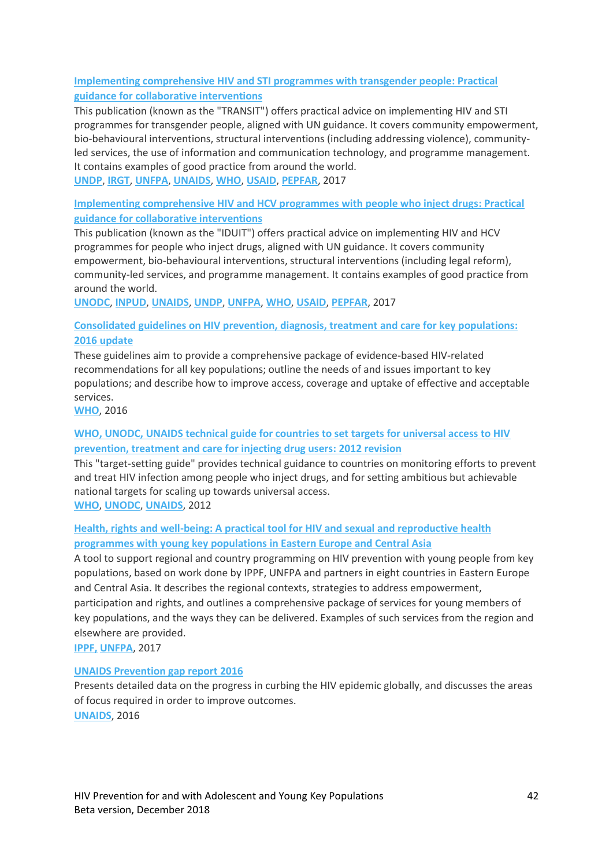# **[Implementing comprehensive HIV and STI programmes with transgender people:](http://childrenandaids.org/sites/default/files/2018-11/Implementing%20comprehensive%20HIV%20and%20STI%20programmes%20with%20transgender%20people%20-%20Practical%20guidance%20for%20collaborative%20interventions.pdf) Practical [guidance for collaborative interventions](http://childrenandaids.org/sites/default/files/2018-11/Implementing%20comprehensive%20HIV%20and%20STI%20programmes%20with%20transgender%20people%20-%20Practical%20guidance%20for%20collaborative%20interventions.pdf)**

This publication (known as the "TRANSIT") offers practical advice on implementing HIV and STI programmes for transgender people, aligned with UN guidance. It covers community empowerment, bio-behavioural interventions, structural interventions (including addressing violence), communityled services, the use of information and communication technology, and programme management. It contains examples of good practice from around the world.

**[UNDP](http://childrenandaids.org/undp.org)**, **[IRGT](http://transglobalactivism.org/)**, **[UNFPA](http://childrenandaids.org/unfpa.org)**, **[UNAIDS](http://childrenandaids.org/unaids.org)**, **[WHO](http://childrenandaids.org/who.int)**, **[USAID](http://childrenandaids.org/usaid.gov)**, **[PEPFAR](https://www.pepfar.gov/)**, 2017

# **[Implementing comprehensive HIV and HCV programmes with people who inject drugs:](http://childrenandaids.org/sites/default/files/2018-11/Implementing%20comprehensive%20HIV%20and%20HCV%20programmes%20with%20people%20who%20inject%20drugs%20-%20Practical%20guidance%20for%20collaborative%20interventions.pdf) Practical [guidance for collaborative interventions](http://childrenandaids.org/sites/default/files/2018-11/Implementing%20comprehensive%20HIV%20and%20HCV%20programmes%20with%20people%20who%20inject%20drugs%20-%20Practical%20guidance%20for%20collaborative%20interventions.pdf)**

This publication (known as the "IDUIT") offers practical advice on implementing HIV and HCV programmes for people who inject drugs, aligned with UN guidance. It covers community empowerment, bio-behavioural interventions, structural interventions (including legal reform), community-led services, and programme management. It contains examples of good practice from around the world.

**[UNODC](http://childrenandaids.org/unodc.org)**, **[INPUD](http://www.inpud.net/)**, **[UNAIDS](http://childrenandaids.org/unaids.org)**, **[UNDP](http://childrenandaids.org/undp.org)**, **[UNFPA](http://childrenandaids.org/unfpa.org)**, **[WHO](http://childrenandaids.org/who.int)**, **[USAID](http://childrenandaids.org/usaid.gov)**, **[PEPFAR](http://childrenandaids.org/pepfar.gov)**, 2017

# **[Consolidated guidelines on HIV prevention, diagnosis, treatment and care for key populations:](http://childrenandaids.org/sites/default/files/2018-11/Consolidated%20guidelines%20on%20HIV%20prevention%2C%20diagnosis%2C%20treatment%20and%20care%20for%20key%20populations%20-%202016%20update.pdf) [2016 update](http://childrenandaids.org/sites/default/files/2018-11/Consolidated%20guidelines%20on%20HIV%20prevention%2C%20diagnosis%2C%20treatment%20and%20care%20for%20key%20populations%20-%202016%20update.pdf)**

These guidelines aim to provide a comprehensive package of evidence-based HIV-related recommendations for all key populations; outline the needs of and issues important to key populations; and describe how to improve access, coverage and uptake of effective and acceptable services.

**[WHO](http://childrenandaids.org/who.int)**, 2016

# **[WHO, UNODC, UNAIDS technical guide for countries to set targets for universal access to HIV](http://childrenandaids.org/sites/default/files/2018-11/WHO%2C%20UNODC%2C%20UNAIDS%20technical%20guide%20for%20countries%20to%20set%20targets%20for%20universal%20access%20to%20HIV%20prevention%2C%20treatment%20and%20care%20for%20injecting%20drug%20users%20%E2%80%93%202012%20revision.pdf)  [prevention, treatment and care for injecting drug users:](http://childrenandaids.org/sites/default/files/2018-11/WHO%2C%20UNODC%2C%20UNAIDS%20technical%20guide%20for%20countries%20to%20set%20targets%20for%20universal%20access%20to%20HIV%20prevention%2C%20treatment%20and%20care%20for%20injecting%20drug%20users%20%E2%80%93%202012%20revision.pdf) 2012 revision**

This "target-setting guide" provides technical guidance to countries on monitoring efforts to prevent and treat HIV infection among people who inject drugs, and for setting ambitious but achievable national targets for scaling up towards universal access.

**[WHO](http://childrenandaids.org/who.int)**, **[UNODC](http://childrenandaids.org/unodc.org)**, **[UNAIDS](http://childrenandaids.org/unaids.org)**, 2012

# **Health, rights and well-being: [A practical tool for HIV and sexual and reproductive health](http://childrenandaids.org/sites/default/files/2018-11/Health%2C%20rights%20and%20well-being%20-%20A%20practical%20tool%20for%20HIV%20and%20sexual%20and%20reproductive%20health%20programmes%20with%20young%20key%20populations%20in%20Eastern%20Europe%20and%20Central%20Asia.pdf)  [programmes with young key populations in Eastern Europe and Central Asia](http://childrenandaids.org/sites/default/files/2018-11/Health%2C%20rights%20and%20well-being%20-%20A%20practical%20tool%20for%20HIV%20and%20sexual%20and%20reproductive%20health%20programmes%20with%20young%20key%20populations%20in%20Eastern%20Europe%20and%20Central%20Asia.pdf)**

A tool to support regional and country programming on HIV prevention with young people from key populations, based on work done by IPPF, UNFPA and partners in eight countries in Eastern Europe and Central Asia. It describes the regional contexts, strategies to address empowerment, participation and rights, and outlines a comprehensive package of services for young members of key populations, and the ways they can be delivered. Examples of such services from the region and elsewhere are provided.

**[IPPF,](http://childrenandaids.org/ippf.org) [UNFPA](http://childrenandaids.org/unfpa.org)**, 2017

# **[UNAIDS Prevention gap report 2016](http://childrenandaids.org/sites/default/files/2018-11/UNAIDS%20Prevention%20gap%20report%202016.pdf)**

Presents detailed data on the progress in curbing the HIV epidemic globally, and discusses the areas of focus required in order to improve outcomes. **[UNAIDS](http://childrenandaids.org/unaids.org)**, 2016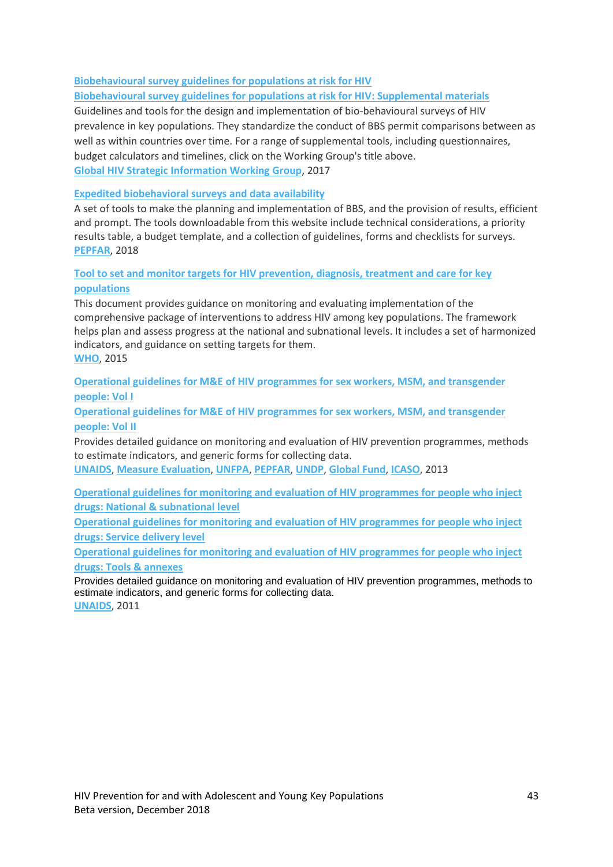# **[Biobehavioural survey guidelines for populations at risk for HIV](http://childrenandaids.org/sites/default/files/2018-11/Biobehavioural%20survey%20guidelines%20for%20populations%20at%20risk%20for%20HIV.pdf)**

# **[Biobehavioural survey guidelines for populations at risk for HIV:](http://childrenandaids.org/sites/default/files/2018-11/Biobehavioural%20survey%20guidelines%20for%20populations%20at%20risk%20for%20HIV%20-%20Supplemental%20materials.pdf) Supplemental materials**

Guidelines and tools for the design and implementation of bio-behavioural surveys of HIV prevalence in key populations. They standardize the conduct of BBS permit comparisons between as well as within countries over time. For a range of supplemental tools, including questionnaires, budget calculators and timelines, click on the Working Group's title above. **[Global HIV Strategic Information Working Group](http://www.who.int/hiv/pub/guidelines/biobehavioral-hiv-survey/en/)**, 2017

### **[Expedited biobehavioral surveys and data availability](https://www.pepfarsolutions.org/tools-2/2018/7/5/expedited-biobehavioral-surveys-and-data-availability)**

A set of tools to make the planning and implementation of BBS, and the provision of results, efficient and prompt. The tools downloadable from this website include technical considerations, a priority results table, a budget template, and a collection of guidelines, forms and checklists for surveys. **[PEPFAR](https://www.pepfar.gov/)**, 2018

# **[Tool to set and monitor targets for HIV prevention, diagnosis, treatment and care for key](http://childrenandaids.org/sites/default/files/2018-11/Tool%20to%20set%20and%20monitor%20targets%20for%20HIV%20prevention%2C%20diagnosis%2C%20treatment%20and%20care%20for%20key%20populations.pdf)  [populations](http://childrenandaids.org/sites/default/files/2018-11/Tool%20to%20set%20and%20monitor%20targets%20for%20HIV%20prevention%2C%20diagnosis%2C%20treatment%20and%20care%20for%20key%20populations.pdf)**

This document provides guidance on monitoring and evaluating implementation of the comprehensive package of interventions to address HIV among key populations. The framework helps plan and assess progress at the national and subnational levels. It includes a set of harmonized indicators, and guidance on setting targets for them. **[WHO](http://childrenandaids.org/who.int)**, 2015

**[Operational guidelines for M&E of HIV programmes for sex workers, MSM, and transgender](http://childrenandaids.org/sites/default/files/2018-11/Operational%20guidelines%20for%20M%26E%20of%20HIV%20programmes%20for%20sex%20workers%2C%20MSM%2C%20and%20transgender%20people%20-%20Vol%20I.pdf)  [people:](http://childrenandaids.org/sites/default/files/2018-11/Operational%20guidelines%20for%20M%26E%20of%20HIV%20programmes%20for%20sex%20workers%2C%20MSM%2C%20and%20transgender%20people%20-%20Vol%20I.pdf) Vol I**

**[Operational guidelines for M&E of HIV programmes for sex workers, MSM, and transgender](http://childrenandaids.org/sites/default/files/2018-11/Operational%20guidelines%20for%20M%26E%20of%20HIV%20programmes%20for%20sex%20workers%2C%20MSM%2C%20and%20transgender%20people%20-%20Vol%20II.pdf)  [people:](http://childrenandaids.org/sites/default/files/2018-11/Operational%20guidelines%20for%20M%26E%20of%20HIV%20programmes%20for%20sex%20workers%2C%20MSM%2C%20and%20transgender%20people%20-%20Vol%20II.pdf) Vol II**

Provides detailed guidance on monitoring and evaluation of HIV prevention programmes, methods to estimate indicators, and generic forms for collecting data.

**[UNAIDS](http://childrenandaids.org/unaids.org)**, **[Measure Evaluation](https://www.measureevaluation.org/)**, **[UNFPA](http://childrenandaids.org/unfpa.org)**, **[PEPFAR](http://childrenandaids.org/pepfar.gov)**, **[UNDP](http://childrenandaids.org/undp.org)**, **[Global Fund](http://childrenandaids.org/globalfund.org)**, **[ICASO](http://childrenandaids.org/icaso.org)**, 2013

**[Operational guidelines for monitoring and evaluation of HIV programmes for people who inject](http://childrenandaids.org/sites/default/files/2018-11/Operational%20guidelines%20for%20monitoring%20and%20evaluation%20of%20HIV%20programmes%20for%20people%20who%20inject%20drugs%20-%20National%20%26%20subnational%20level.pdf)  drugs: [National & subnational level](http://childrenandaids.org/sites/default/files/2018-11/Operational%20guidelines%20for%20monitoring%20and%20evaluation%20of%20HIV%20programmes%20for%20people%20who%20inject%20drugs%20-%20National%20%26%20subnational%20level.pdf)**

**[Operational guidelines for monitoring and evaluation of HIV programmes for people who inject](http://childrenandaids.org/sites/default/files/2018-11/Operational%20guidelines%20for%20monitoring%20and%20evaluation%20of%20HIV%20programmes%20for%20people%20who%20inject%20drugs%20-%20Service%20delivery%20level.pdf)  drugs: [Service delivery level](http://childrenandaids.org/sites/default/files/2018-11/Operational%20guidelines%20for%20monitoring%20and%20evaluation%20of%20HIV%20programmes%20for%20people%20who%20inject%20drugs%20-%20Service%20delivery%20level.pdf)**

**[Operational guidelines for monitoring and evaluation of HIV programmes for people who inject](http://childrenandaids.org/sites/default/files/2018-11/Operational%20guidelines%20for%20monitoring%20and%20evaluation%20of%20HIV%20programmes%20for%20people%20who%20inject%20drugs%20-%20Tools%20%26%20annexes.pdf)  drugs: [Tools & annexes](http://childrenandaids.org/sites/default/files/2018-11/Operational%20guidelines%20for%20monitoring%20and%20evaluation%20of%20HIV%20programmes%20for%20people%20who%20inject%20drugs%20-%20Tools%20%26%20annexes.pdf)**

Provides detailed guidance on monitoring and evaluation of HIV prevention programmes, methods to estimate indicators, and generic forms for collecting data.

**[UNAIDS](http://childrenandaids.org/unaids.org)**, 2011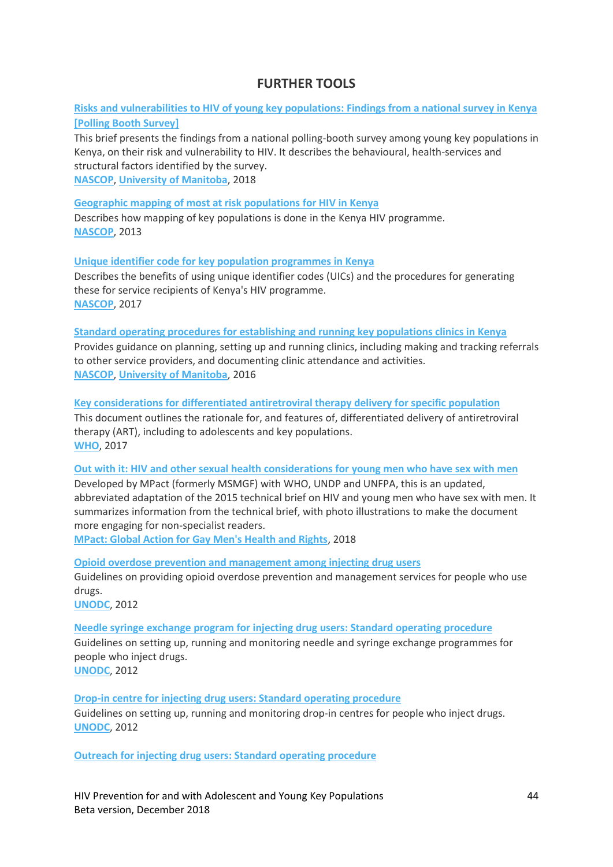# **FURTHER TOOLS**

<span id="page-43-0"></span>**Risks [and vulnerabilities to HIV of young key populations:](http://childrenandaids.org/sites/default/files/2018-11/Risk%20and%20vulnerabilities%20to%20HIV%20of%20young%20key%20populations%20-%20Findings%20from%20a%20national%20survey%20in%20Kenya%20%28Polling%20Booth%20Survey%29.pdf) Findings from a national survey in Kenya [\[Polling Booth Survey\]](http://childrenandaids.org/sites/default/files/2018-11/Risk%20and%20vulnerabilities%20to%20HIV%20of%20young%20key%20populations%20-%20Findings%20from%20a%20national%20survey%20in%20Kenya%20%28Polling%20Booth%20Survey%29.pdf)**

This brief presents the findings from a national polling-booth survey among young key populations in Kenya, on their risk and vulnerability to HIV. It describes the behavioural, health-services and structural factors identified by the survey. **[NASCOP](http://nascop.or.ke/)**, **[University of Manitoba](http://phdaf.org/)**, 2018

**[Geographic mapping of most at risk populations for HIV in Kenya](http://childrenandaids.org/sites/default/files/2018-11/Geographic%20mapping%20of%20most%20at%20risk%20populations%20for%20HIV%20in%20Kenya.pdf)**

Describes how mapping of key populations is done in the Kenya HIV programme. **[NASCOP](http://nascop.or.ke/)**, 2013

**[Unique identifier code for key population programmes](http://childrenandaids.org/sites/default/files/2018-11/Unique%20Identifier%20code%20for%20Key%20Population%20Programmes%20in%20Kenya.pdf) in Kenya**

Describes the benefits of using unique identifier codes (UICs) and the procedures for generating these for service recipients of Kenya's HIV programme. **[NASCOP](http://nascop.or.ke/)**, 2017

**Standard operating procedures for [establishing and running key populations clinics in Kenya](http://childrenandaids.org/sites/default/files/2018-11/STANDARD%20OPERATING%20PROCEDURES%20for%20Establishing%20and%20Running%20Key%20Populations%20Clinics%20in%20Kenya.pdf)**

Provides guidance on planning, setting up and running clinics, including making and tracking referrals to other service providers, and documenting clinic attendance and activities. **[NASCOP](http://nascop.or.ke/)**, **[University of Manitoba](http://phdaf.org/)**, 2016

**[Key considerations for differentiated antiretroviral therapy delivery for specific population](http://childrenandaids.org/sites/default/files/2018-11/KEY%20CONSIDERATIONS%20FOR%20DIFFERENTIATED%20ANTIRETROVIRAL%20THERAPY%20DELIVERY%20FOR%20SPECIFIC%20POPULATION.pdf)** This document outlines the rationale for, and features of, differentiated delivery of antiretroviral therapy (ART), including to adolescents and key populations. **[WHO](http://www.who.int/hiv/pub/arv/hiv-differentiated-care-models-key-populations/en/)**, 2017

**Out with it: HIV [and other sexual health considerations for young men who have sex with men](http://childrenandaids.org/sites/default/files/2018-11/OUT%20WITH%20IT%20-%20HIV%20and%20Other%20Sexual%20Health%20Considerations%20for%20Young%20Men%20Who%20Have%20Sex%20with%20Men.pdf)** Developed by MPact (formerly MSMGF) with WHO, UNDP and UNFPA, this is an updated, abbreviated adaptation of the 2015 technical brief on HIV and young men who have sex with men. It summarizes information from the technical brief, with photo illustrations to make the document more engaging for non-specialist readers.

**[MPact: Global Action for Gay Men's Health and Rights](https://mpactglobal.org/)**, 2018

**Opioid overdose prevention and [management](http://childrenandaids.org/sites/default/files/2018-11/Opioid-overdose-prevention-and-management-among-injecting-drug-users.pdf) among injecting drug users** Guidelines on providing opioid overdose prevention and management services for people who use drugs.

**[UNODC](http://unodc.org/)**, 2012

**Needle syringe exchange program for injecting drug [users: Standard operating procedure](http://childrenandaids.org/sites/default/files/2018-11/Needle-syringe-exchange-program-for-injecting-drug-users.pdf)**

Guidelines on setting up, running and monitoring needle and syringe exchange programmes for people who inject drugs.

**[UNODC](http://childrenandaids.org/unodc.org)**, 2012

**Drop-in centre for injecting drug [users: Standard operating procedure](http://childrenandaids.org/sites/default/files/2018-11/Drop-in-centre-for-injecting-drug-user.pdf)** Guidelines on setting up, running and monitoring drop-in centres for people who inject drugs. **[UNODC](http://unodc.org/)**, 2012

**Outreach for injecting drug [users: Standard operating procedure](http://childrenandaids.org/sites/default/files/2018-11/Outreach-for-injecting-drug-users.pdf)**

HIV Prevention for and with Adolescent and Young Key Populations 44 Beta version, December 2018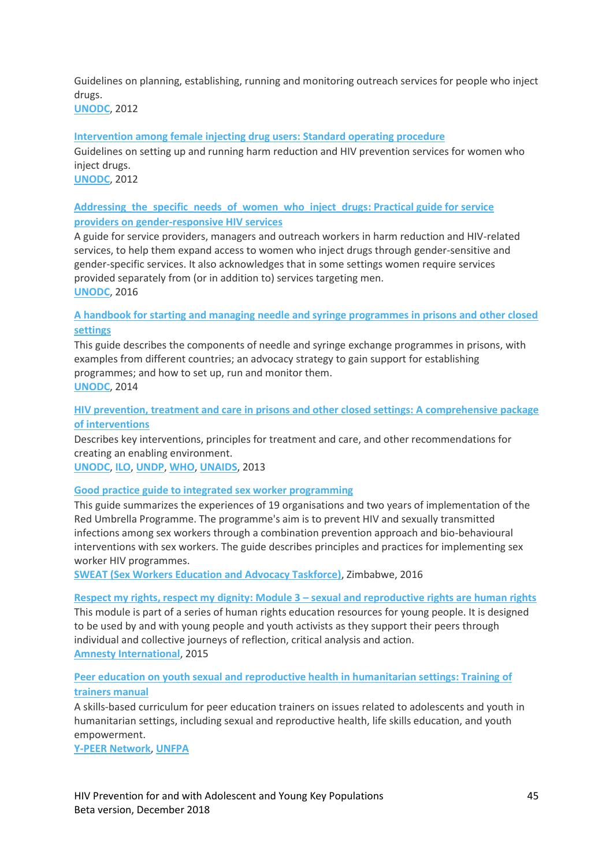Guidelines on planning, establishing, running and monitoring outreach services for people who inject drugs.

**[UNODC](http://unodc.org/)**, 2012

# **[Intervention among female injecting drug users:](http://childrenandaids.org/sites/default/files/2018-12/Intervention%20among%20female%20injecting%20drug%20users%20-%20Standard%20operating%20procedure.pdf) Standard operating procedure**

Guidelines on setting up and running harm reduction and HIV prevention services for women who inject drugs.

# **[UNODC](http://unodc.org/)**, 2012

# **[Addressing\\_the\\_specific\\_needs\\_of\\_women\\_who\\_inject\\_drugs: Practical guide for service](http://childrenandaids.org/sites/default/files/2018-11/Addressing_the_specific_needs_of_women_who_inject_drugs.pdf)  [providers on gender-responsive HIV services](http://childrenandaids.org/sites/default/files/2018-11/Addressing_the_specific_needs_of_women_who_inject_drugs.pdf)**

A guide for service providers, managers and outreach workers in harm reduction and HIV-related services, to help them expand access to women who inject drugs through gender-sensitive and gender-specific services. It also acknowledges that in some settings women require services provided separately from (or in addition to) services targeting men. **[UNODC](http://unodc.org/)**, 2016

# **[A handbook for starting and managing needle and syringe programmes in prisons and other closed](http://childrenandaids.org/sites/default/files/2018-11/A%20handbook%20for%20starting%20and%20managing%20needle%20and%20syringe%20programmes%20in%20prisons%20and%20other%20closed%20settings.pdf)  [settings](http://childrenandaids.org/sites/default/files/2018-11/A%20handbook%20for%20starting%20and%20managing%20needle%20and%20syringe%20programmes%20in%20prisons%20and%20other%20closed%20settings.pdf)**

This guide describes the components of needle and syringe exchange programmes in prisons, with examples from different countries; an advocacy strategy to gain support for establishing programmes; and how to set up, run and monitor them. **[UNODC](http://unodc.org/)**, 2014

# **HIV [prevention, treatment and care in prisons and other closed settings: A comprehensive](http://childrenandaids.org/sites/default/files/2018-11/HIV_comprehensive_package_prison_2013.pdf) package [of interventions](http://childrenandaids.org/sites/default/files/2018-11/HIV_comprehensive_package_prison_2013.pdf)**

Describes key interventions, principles for treatment and care, and other recommendations for creating an enabling environment.

**[UNODC](http://unodc.org/)**, **[ILO](http://ilo.org/)**, **[UNDP](http://undp.org/)**, **[WHO](http://who.int/)**, **[UNAIDS](http://unaids.org/)**, 2013

# **[Good practice guide to integrated sex worker programming](http://childrenandaids.org/sites/default/files/2018-11/Good%20practice%20guide%20to%20integrated%20sex%20worker%20programming.pdf)**

This guide summarizes the experiences of 19 organisations and two years of implementation of the Red Umbrella Programme. The programme's aim is to prevent HIV and sexually transmitted infections among sex workers through a combination prevention approach and bio-behavioural interventions with sex workers. The guide describes principles and practices for implementing sex worker HIV programmes.

**[SWEAT \(Sex Workers Education and Advocacy Taskforce\)](http://www.sweat.org.za/)**, Zimbabwe, 2016

### **[Respect my rights, respect my dignity: Module 3](http://childrenandaids.org/sites/default/files/2018-11/Respect%20my%20rights%2C%20respect%20my%20dignity.PDF) – sexual and reproductive rights are human rights**

This module is part of a series of human rights education resources for young people. It is designed to be used by and with young people and youth activists as they support their peers through individual and collective journeys of reflection, critical analysis and action. **[Amnesty International](http://amnesty.org/)**, 2015

# **[Peer education on youth sexual and reproductive health in humanitarian settings: Training of](http://childrenandaids.org/sites/default/files/2018-11/Peer%20education%20on%20youth%20sexual%20and%20reproductive%20health%20in%20humanitarian%20settings.pdf)  [trainers manual](http://childrenandaids.org/sites/default/files/2018-11/Peer%20education%20on%20youth%20sexual%20and%20reproductive%20health%20in%20humanitarian%20settings.pdf)**

A skills-based curriculum for peer education trainers on issues related to adolescents and youth in humanitarian settings, including sexual and reproductive health, life skills education, and youth empowerment.

**[Y-PEER Network](http://y-peer.org/)**, **[UNFPA](http://unfpa.org/)**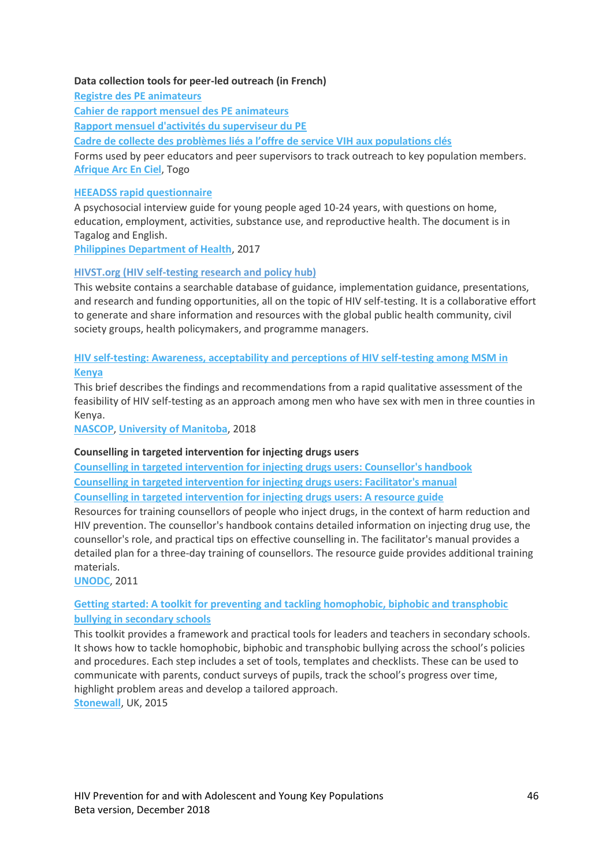### **Data collection tools for peer-led outreach (in French)**

**[Registre des PE animateurs](http://childrenandaids.org/sites/default/files/2018-12/Registre%20des%20PE%20animateurs.doc) [Cahier de rapport mensuel des PE animateurs](http://childrenandaids.org/sites/default/files/2018-12/Cahier%20de%20rapport%20mensuel%20des%20PE%20animateurs.pdf) [Rapport mensuel d'activités du superviseur du PE](http://childrenandaids.org/sites/default/files/2018-12/Rapport%20mensuel%20d%27activit%C3%A9s%20du%20superviseur%20du%20PE.pdf) [Cadre de collecte des problèmes liés a l'offre de service VIH](http://childrenandaids.org/sites/default/files/2018-12/Cadre%20de%20collecte%20des%20probl%C3%A8mes%20li%C3%A9s%20a%20l%E2%80%99offre%20de%20service%20VIH%20aux%20populations%20cl%C3%A9s.doc) aux populations clés** Forms used by peer educators and peer supervisors to track outreach to key population members.

#### **[HEEADSS rapid questionnaire](http://childrenandaids.org/sites/default/files/2018-12/HEEADSS%20rapid%20questionnaire.pdf)**

**[Afrique Arc En Ciel](https://www.afrique-arcenciel.org/)**, Togo

A psychosocial interview guide for young people aged 10-24 years, with questions on home, education, employment, activities, substance use, and reproductive health. The document is in Tagalog and English.

**[Philippines Department of Health](https://www.doh.gov.ph/)**, 2017

### **[HIVST.org \(HIV self-testing research and policy hub\)](http://hivst.org/)**

This website contains a searchable database of guidance, implementation guidance, presentations, and research and funding opportunities, all on the topic of HIV self-testing. It is a collaborative effort to generate and share information and resources with the global public health community, civil society groups, health policymakers, and programme managers.

# **HIV self-testing: [Awareness, acceptability and perceptions of HIV self-testing among MSM in](http://childrenandaids.org/sites/default/files/2018-12/HIV%20self-testing%20-%20Awareness%2C%20acceptability%20and%20perceptions%20of%20HIV%20self-testing%20among%20MSM%20in%20Kenya.pdf)**

**[Kenya](http://childrenandaids.org/sites/default/files/2018-12/HIV%20self-testing%20-%20Awareness%2C%20acceptability%20and%20perceptions%20of%20HIV%20self-testing%20among%20MSM%20in%20Kenya.pdf)**

This brief describes the findings and recommendations from a rapid qualitative assessment of the feasibility of HIV self-testing as an approach among men who have sex with men in three counties in Kenya.

**[NASCOP](http://www.nascop.or.ke/)**, **[University of Manitoba](http://www.phdaf.org/)**, 2018

### **Counselling in targeted intervention for injecting drugs users**

**[Counselling in targeted intervention for injecting drugs users:](http://childrenandaids.org/sites/default/files/2018-12/Counselling%20in%20targeted%20intervention%20for%20injecting%20drugs%20users%20-%20Counsellor%27s%20handbook.pdf) Counsellor's handbook [Counselling in targeted intervention for injecting drugs users:](http://childrenandaids.org/sites/default/files/2018-12/Counselling%20in%20targeted%20intervention%20for%20injecting%20drugs%20users%20-%20Facilitator%27s%20manual.pdf) Facilitator's manual [Counselling in targeted intervention for injecting drugs users:](http://childrenandaids.org/sites/default/files/2018-12/Counselling%20in%20targeted%20intervention%20for%20injecting%20drugs%20users%20-%20A%20resource%20guide.pdf) A resource guide**

Resources for training counsellors of people who inject drugs, in the context of harm reduction and HIV prevention. The counsellor's handbook contains detailed information on injecting drug use, the counsellor's role, and practical tips on effective counselling in. The facilitator's manual provides a detailed plan for a three-day training of counsellors. The resource guide provides additional training materials.

**[UNODC](http://unodc.org/)**, 2011

# **Getting started: [A toolkit for preventing and tackling homophobic, biphobic and transphobic](http://childrenandaids.org/sites/default/files/2018-12/Getting%20started%20-%20A%20toolkit%20for%20preventing%20and%20tackling%20homophobic%2C%20biphobic%20and%20transphobic%20bullying%20in%20secondary%20schools.pdf)  [bullying in secondary schools](http://childrenandaids.org/sites/default/files/2018-12/Getting%20started%20-%20A%20toolkit%20for%20preventing%20and%20tackling%20homophobic%2C%20biphobic%20and%20transphobic%20bullying%20in%20secondary%20schools.pdf)**

This toolkit provides a framework and practical tools for leaders and teachers in secondary schools. It shows how to tackle homophobic, biphobic and transphobic bullying across the school's policies and procedures. Each step includes a set of tools, templates and checklists. These can be used to communicate with parents, conduct surveys of pupils, track the school's progress over time, highlight problem areas and develop a tailored approach. **[Stonewall](https://www.stonewall.org.uk/)**, UK, 2015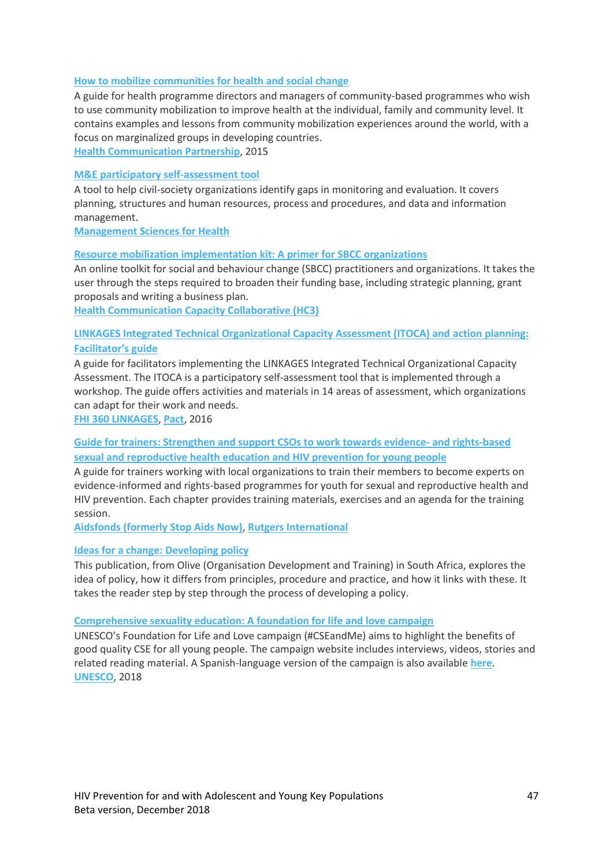### **[How to mobilize communities for health and social change](http://childrenandaids.org/sites/default/files/2018-12/How%20to%20mobilize%20communities%20for%20health%20and%20social%20change.pdf)**

A guide for health programme directors and managers of community-based programmes who wish to use community mobilization to improve health at the individual, family and community level. It contains examples and lessons from community mobilization experiences around the world, with a focus on marginalized groups in developing countries.

**[Health Communication Partnership](https://ccp.jhu.edu/tag/health-communication-partnership/)**, 2015

# **[M&E participatory self-assessment tool](http://childrenandaids.org/sites/default/files/2018-11/M%26E%20participatory%20self-assessment%20tool.pdf)**

A tool to help civil-society organizations identify gaps in monitoring and evaluation. It covers planning, structures and human resources, process and procedures, and data and information management.

**[Management Sciences for Health](http://msh.org/)**

### **[Resource mobilization implementation kit: A primer for SBCC organizations](https://sbccimplementationkits.org/resource-mobilization/?utm_source=HC3%20Mailing%20List&utm_campaign=30b4ac6f95-Resource_Mobilization_I_Kit_is_Live9_28_2015&utm_medium=email&utm_term=0_4b733d489e-30b4ac6f95-83416341)**

An online toolkit for social and behaviour change (SBCC) practitioners and organizations. It takes the user through the steps required to broaden their funding base, including strategic planning, grant proposals and writing a business plan.

**[Health Communication Capacity Collaborative \(HC3\)](https://healthcommcapacity.org/)**

# **[LINKAGES Integrated Technical Organizational Capacity Assessment \(ITOCA\) and action planning:](http://childrenandaids.org/sites/default/files/2018-11/LINKAGES%20Integrated%20Technical%20Organizational%20Capacity%20Assessment%20%28ITOCA%29%20and%20Action%20Planning.pdf)  [Facilitator's](http://childrenandaids.org/sites/default/files/2018-11/LINKAGES%20Integrated%20Technical%20Organizational%20Capacity%20Assessment%20%28ITOCA%29%20and%20Action%20Planning.pdf) guide**

A guide for facilitators implementing the LINKAGES Integrated Technical Organizational Capacity Assessment. The ITOCA is a participatory self-assessment tool that is implemented through a workshop. The guide offers activities and materials in 14 areas of assessment, which organizations can adapt for their work and needs.

**[FHI 360 LINKAGES](https://fhi360.org/projects/linkages-across-continuum-hiv-services-key-populations-affected-hiv-linkages)**, **[Pact](https://www.pactworld.org/)**, 2016

# **[Guide for trainers: Strengthen and support CSOs to work towards evidence-](http://childrenandaids.org/sites/default/files/2018-11/Strengthen%20and%20support%20CSOs%20to%20work%20towards%20evidence-%20and%20rights-based%20sexual%20and%20reproductive%20health%20education%20and%20HIV%20prevention%20for%20young%20people.pdf) and rights-based [sexual and reproductive health education and HIV prevention for young people](http://childrenandaids.org/sites/default/files/2018-11/Strengthen%20and%20support%20CSOs%20to%20work%20towards%20evidence-%20and%20rights-based%20sexual%20and%20reproductive%20health%20education%20and%20HIV%20prevention%20for%20young%20people.pdf)**

A guide for trainers working with local organizations to train their members to become experts on evidence-informed and rights-based programmes for youth for sexual and reproductive health and HIV prevention. Each chapter provides training materials, exercises and an agenda for the training session.

**[Aidsfonds \(formerly Stop Aids Now\)](http://www.aidsfonds.org/)**, **[Rutgers International](https://www.rutgers.international/)**

### **[Ideas for a change: Developing policy](http://childrenandaids.org/sites/default/files/2018-11/Ideas%20for%20a%20change%20-%20Developing%20policy.pdf)**

This publication, from Olive (Organisation Development and Training) in South Africa, explores the idea of policy, how it differs from principles, procedure and practice, and how it links with these. It takes the reader step by step through the process of developing a policy.

### **[Comprehensive sexuality education: A foundation for life and love campaign](https://en.unesco.org/themes/education-health-and-well-being/cse-campaign)**

UNESCO's Foundation for Life and Love campaign (#CSEandMe) aims to highlight the benefits of good quality CSE for all young people. The campaign website includes interviews, videos, stories and related reading material. A Spanish-language version of the campaign is also available **[here](https://es.unesco.org/themes/educacion-salud-y-bienestar/campana-eis)**. **[UNESCO](https://en.unesco.org/)**, 2018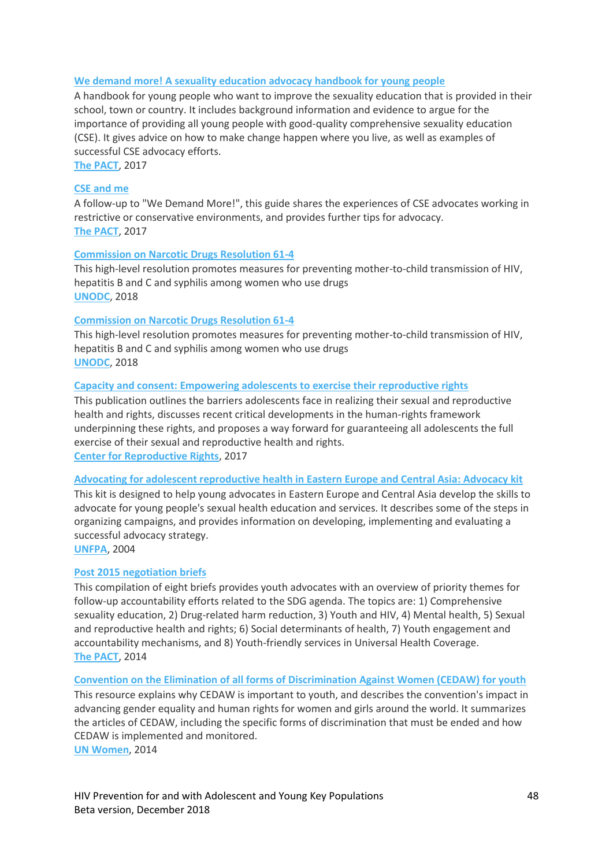### **[We demand more! A sexuality education advocacy handbook for young people](http://childrenandaids.org/sites/default/files/2018-11/We%20demand%20more%21%20A%20sexuality%20education%20advocacy%20handbook%20for%20young%20people.pdf)**

A handbook for young people who want to improve the sexuality education that is provided in their school, town or country. It includes background information and evidence to argue for the importance of providing all young people with good-quality comprehensive sexuality education (CSE). It gives advice on how to make change happen where you live, as well as examples of successful CSE advocacy efforts.

**[The PACT](https://www.theyouthpact.org/)**, 2017

### **[CSE and me](http://childrenandaids.org/sites/default/files/2018-11/CSE%20and%20me.pdf)**

A follow-up to "We Demand More!", this guide shares the experiences of CSE advocates working in restrictive or conservative environments, and provides further tips for advocacy. **[The PACT](https://www.theyouthpact.org/)**, 2017

### **[Commission on Narcotic Drugs Resolution 61-4](http://childrenandaids.org/sites/default/files/2018-11/Commission%20on%20Narcotic%20Drugs%20Resolution%2061-4.pdf)**

This high-level resolution promotes measures for preventing mother-to-child transmission of HIV, hepatitis B and C and syphilis among women who use drugs **[UNODC](http://www.unodc.org/)**, 2018

### **[Commission on Narcotic Drugs Resolution 61-4](http://childrenandaids.org/sites/default/files/2018-11/Commission%20on%20Narcotic%20Drugs%20Resolution%2061-4.pdf)**

This high-level resolution promotes measures for preventing mother-to-child transmission of HIV, hepatitis B and C and syphilis among women who use drugs **[UNODC](http://www.unodc.org/)**, 2018

### **Capacity and consent: [Empowering adolescents to exercise their reproductive rights](http://childrenandaids.org/sites/default/files/2018-11/Capacity%20and%20consent%20-%20Empowering%20adolescents%20to%20exercise%20their%20reproductive%20rights.pdf)**

This publication outlines the barriers adolescents face in realizing their sexual and reproductive health and rights, discusses recent critical developments in the human-rights framework underpinning these rights, and proposes a way forward for guaranteeing all adolescents the full exercise of their sexual and reproductive health and rights. **[Center for Reproductive Rights](https://www.reproductiverights.org/)**, 2017

#### **[Advocating for adolescent reproductive health in Eastern Europe and Central Asia:](http://childrenandaids.org/sites/default/files/2018-12/Advocating%20for%20adolescent%20reproductive%20health%20in%20Eastern%20Europe%20and%20Central%20Asia%20-%20Advocacy%20kit.pdf) Advocacy kit**

This kit is designed to help young advocates in Eastern Europe and Central Asia develop the skills to advocate for young people's sexual health education and services. It describes some of the steps in organizing campaigns, and provides information on developing, implementing and evaluating a successful advocacy strategy.

**[UNFPA](http://unfpa.org/)**, 2004

#### **[Post 2015 negotiation briefs](http://childrenandaids.org/sites/default/files/2018-11/Post%202015%20negotiation%20briefs.pdf)**

This compilation of eight briefs provides youth advocates with an overview of priority themes for follow-up accountability efforts related to the SDG agenda. The topics are: 1) Comprehensive sexuality education, 2) Drug-related harm reduction, 3) Youth and HIV, 4) Mental health, 5) Sexual and reproductive health and rights; 6) Social determinants of health, 7) Youth engagement and accountability mechanisms, and 8) Youth-friendly services in Universal Health Coverage. **[The PACT](https://www.theyouthpact.org/)**, 2014

**[Convention on the Elimination of all forms of Discrimination](http://childrenandaids.org/sites/default/files/2018-11/Convention%20on%20the%20Elimination%20of%20all%20forms%20of%20Discrimination%20Against%20Women%20%28CEDAW%29%20for%20youth.pdf) Against Women (CEDAW) for youth** This resource explains why CEDAW is important to youth, and describes the convention's impact in advancing gender equality and human rights for women and girls around the world. It summarizes the articles of CEDAW, including the specific forms of discrimination that must be ended and how CEDAW is implemented and monitored. **[UN Women](http://www.unwomen.org/en)**, 2014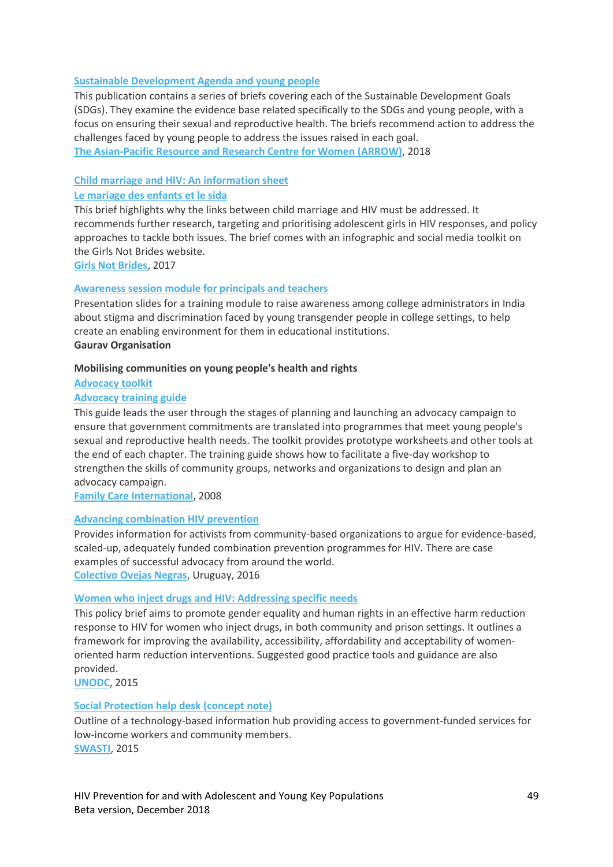# **[Sustainable Development Agenda and young people](http://childrenandaids.org/sites/default/files/2018-11/Sustainable%20Development%20Agenda%20and%20young%20people.pdf)**

This publication contains a series of briefs covering each of the Sustainable Development Goals (SDGs). They examine the evidence base related specifically to the SDGs and young people, with a focus on ensuring their sexual and reproductive health. The briefs recommend action to address the challenges faced by young people to address the issues raised in each goal. **The Asian-Pacific [Resource and Research Centre for Women \(ARROW\)](http://www.arrow.org.my/)**, 2018

# **[Child marriage and HIV:](http://childrenandaids.org/sites/default/files/2018-11/Child%20marriage%20and%20HIV%20-%20An%20information%20sheet.pdf) An information sheet**

# **[Le mariage des enfants et le sida](http://childrenandaids.org/sites/default/files/2018-11/Le%20mariage%20des%20enfants%20et%20le%20sida%20-%20Spanish.pdf)**

This brief highlights why the links between child marriage and HIV must be addressed. It recommends further research, targeting and prioritising adolescent girls in HIV responses, and policy approaches to tackle both issues. The brief comes with an infographic and social media toolkit on the Girls Not Brides website.

**[Girls Not Brides](https://www.girlsnotbrides.org/resource-centre/child-marriage-and-hiv-a-relationship-ignored-for-too-long/)**, 2017

# **[Awareness session module for principals and teachers](http://childrenandaids.org/sites/default/files/2018-11/Awareness%20session%20module%20for%20principals%20and%20teachers.pdf)**

Presentation slides for a training module to raise awareness among college administrators in India about stigma and discrimination faced by young transgender people in college settings, to help create an enabling environment for them in educational institutions. **Gaurav Organisation**

# **Mobilising communities on young people's health and rights**

**[Advocacy toolkit](http://childrenandaids.org/sites/default/files/2018-12/Advocacy%20toolkit.pdf)**

# **[Advocacy training guide](http://childrenandaids.org/sites/default/files/2018-12/Advocacy%20training%20guide.pdf)**

This guide leads the user through the stages of planning and launching an advocacy campaign to ensure that government commitments are translated into programmes that meet young people's sexual and reproductive health needs. The toolkit provides prototype worksheets and other tools at the end of each chapter. The training guide shows how to facilitate a five-day workshop to strengthen the skills of community groups, networks and organizations to design and plan an advocacy campaign.

**[Family Care International](http://www.familycareintl.org/en/home)**, 2008

# **[Advancing combination HIV prevention](http://childrenandaids.org/sites/default/files/2018-11/Advancing%20combination%20HIV%20prevention.pdf)**

Provides information for activists from community-based organizations to argue for evidence-based, scaled-up, adequately funded combination prevention programmes for HIV. There are case examples of successful advocacy from around the world. **[Colectivo Ovejas Negras](http://ovejasnegras.org/es/)**, Uruguay, 2016

### **[Women who inject drugs and HIV:](http://childrenandaids.org/sites/default/files/2018-11/Women%20who%20inject%20drugs%20and%20HIV%20-%20%20Addressing%20specific%20needs.pdf) Addressing specific needs**

This policy brief aims to promote gender equality and human rights in an effective harm reduction response to HIV for women who inject drugs, in both community and prison settings. It outlines a framework for improving the availability, accessibility, affordability and acceptability of womenoriented harm reduction interventions. Suggested good practice tools and guidance are also provided.

**[UNODC](http://www.unodc.org/)**, 2015

# **[Social Protection help desk \(concept note\)](http://childrenandaids.org/sites/default/files/2018-11/Social%20Protection%20help%20desk%20%28concept%20note%29.pdf)**

Outline of a technology-based information hub providing access to government-funded services for low-income workers and community members. **[SWASTI](http://www.swasti.org/)**, 2015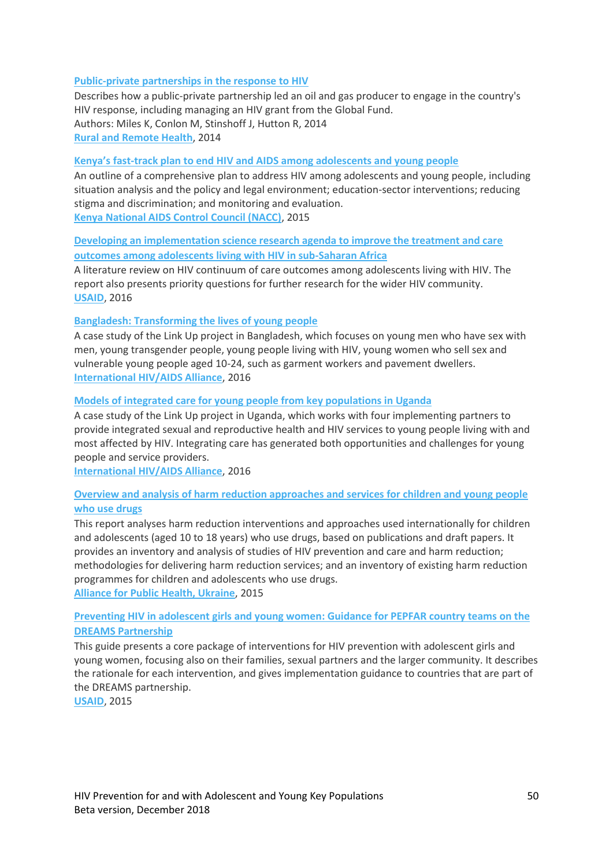### **[Public-private partnerships in the response to HIV](http://childrenandaids.org/sites/default/files/2018-11/Public-private%20partnerships%20in%20the%20response%20to%20HIV.pdf)**

Describes how a public-private partnership led an oil and gas producer to engage in the country's HIV response, including managing an HIV grant from the Global Fund. Authors: Miles K, Conlon M, Stinshoff J, Hutton R, 2014 **[Rural and Remote Health](https://www.rrh.org.au/)**, 2014

### **Kenya's fast[-track plan to end HIV and AIDS among adolescents and young people](http://childrenandaids.org/sites/default/files/2018-11/Kenya%E2%80%99s%20fast-track%20plan%20to%20end%20HIV%20and%20AIDS%20among%20adolescents%20and%20young%20people.pdf)**

An outline of a comprehensive plan to address HIV among adolescents and young people, including situation analysis and the policy and legal environment; education-sector interventions; reducing stigma and discrimination; and monitoring and evaluation. **[Kenya National AIDS Control Council \(NACC\)](https://nacc.or.ke/)**, 2015

# **[Developing an implementation science research agenda to improve the treatment and care](http://childrenandaids.org/sites/default/files/2018-11/Developing%20an%20implementation%20science%20research%20agenda%20to%20improve%20the%20treatment%20and%20care%20outcomes%20among%20adolescents%20living%20with%20HIV%20in%20sub-Saharan%20Africa.pdf)  [outcomes among adolescents living with HIV in sub-Saharan Africa](http://childrenandaids.org/sites/default/files/2018-11/Developing%20an%20implementation%20science%20research%20agenda%20to%20improve%20the%20treatment%20and%20care%20outcomes%20among%20adolescents%20living%20with%20HIV%20in%20sub-Saharan%20Africa.pdf)**

A literature review on HIV continuum of care outcomes among adolescents living with HIV. The report also presents priority questions for further research for the wider HIV community. **[USAID](http://www.usaid.gov/)**, 2016

### **Bangladesh: [Transforming the lives of young people](http://childrenandaids.org/sites/default/files/2018-11/Bangladesh%20-%20Transforming%20the%20lives%20of%20young%20people.pdf)**

A case study of the Link Up project in Bangladesh, which focuses on young men who have sex with men, young transgender people, young people living with HIV, young women who sell sex and vulnerable young people aged 10-24, such as garment workers and pavement dwellers. **[International HIV/AIDS Alliance](http://www.aidsalliance.org/our-impact/link-up)**, 2016

### **[Models of integrated care for young people from key populations in Uganda](http://childrenandaids.org/sites/default/files/2018-11/Models%20of%20integrated%20care%20for%20young%20people%20from%20key%20populations%20in%20Uganda.pdf)**

A case study of the Link Up project in Uganda, which works with four implementing partners to provide integrated sexual and reproductive health and HIV services to young people living with and most affected by HIV. Integrating care has generated both opportunities and challenges for young people and service providers.

**[International HIV/AIDS Alliance](http://www.aidsalliance.org/our-impact/link-up)**, 2016

# **[Overview and analysis of harm reduction approaches and services for children and young people](http://childrenandaids.org/sites/default/files/2018-11/Overview%20and%20analysis%20of%20harm%20reduction%20approaches%20and%20services%20for%20children%20and%20young%20people%20who%20use%20drugs.pdf)  [who use drugs](http://childrenandaids.org/sites/default/files/2018-11/Overview%20and%20analysis%20of%20harm%20reduction%20approaches%20and%20services%20for%20children%20and%20young%20people%20who%20use%20drugs.pdf)**

This report analyses harm reduction interventions and approaches used internationally for children and adolescents (aged 10 to 18 years) who use drugs, based on publications and draft papers. It provides an inventory and analysis of studies of HIV prevention and care and harm reduction; methodologies for delivering harm reduction services; and an inventory of existing harm reduction programmes for children and adolescents who use drugs. **[Alliance for Public Health, Ukraine](https://www.aidsalliance.org/about/where-we-work/79-alliance-for-public-health-aph)**, 2015

# **[Preventing HIV in adolescent girls and young women:](http://childrenandaids.org/sites/default/files/2018-11/Preventing%20HIV%20in%20adolescent%20girls%20and%20young%20women%20-%20Guidance%20for%20PEPFAR%20country%20teams%20on%20the%20DREAMS%20Partnership.pdf) Guidance for PEPFAR country teams on the [DREAMS Partnership](http://childrenandaids.org/sites/default/files/2018-11/Preventing%20HIV%20in%20adolescent%20girls%20and%20young%20women%20-%20Guidance%20for%20PEPFAR%20country%20teams%20on%20the%20DREAMS%20Partnership.pdf)**

This guide presents a core package of interventions for HIV prevention with adolescent girls and young women, focusing also on their families, sexual partners and the larger community. It describes the rationale for each intervention, and gives implementation guidance to countries that are part of the DREAMS partnership.

**[USAID](http://www.usaid.gov/)**, 2015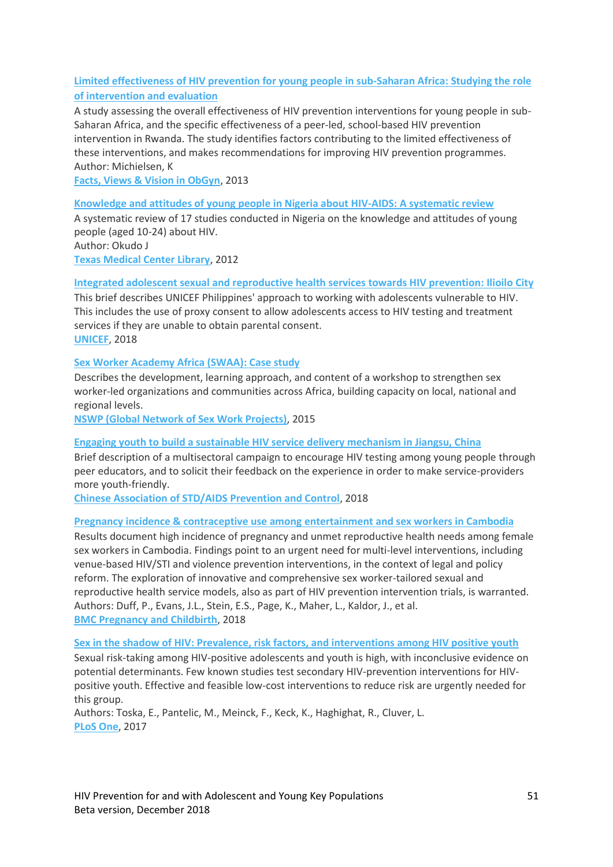# **[Limited effectiveness of HIV prevention for young people in sub-Saharan Africa:](http://childrenandaids.org/sites/default/files/2018-11/Limited%20effectiveness%20of%20HIV%20prevention%20for%20young%20people%20in%20sub-Saharan%20Africa%20-%20Studying%20the%20role%20of%20intervention%20and%20evaluation.pdf) Studying the role [of intervention and evaluation](http://childrenandaids.org/sites/default/files/2018-11/Limited%20effectiveness%20of%20HIV%20prevention%20for%20young%20people%20in%20sub-Saharan%20Africa%20-%20Studying%20the%20role%20of%20intervention%20and%20evaluation.pdf)**

A study assessing the overall effectiveness of HIV prevention interventions for young people in sub-Saharan Africa, and the specific effectiveness of a peer-led, school-based HIV prevention intervention in Rwanda. The study identifies factors contributing to the limited effectiveness of these interventions, and makes recommendations for improving HIV prevention programmes. Author: Michielsen, K

**[Facts, Views & Vision in ObGyn](http://www.fvvo.be/)**, 2013

### **[Knowledge and attitudes of young people in Nigeria about HIV-AIDS:](http://childrenandaids.org/sites/default/files/2018-11/Knowledge%20and%20attitudes%20of%20young%20people%20in%20Nigeria%20about%20HIV-AIDS%20-%20A%20systematic%20review.pdf) A systematic review**

A systematic review of 17 studies conducted in Nigeria on the knowledge and attitudes of young people (aged 10-24) about HIV. Author: Okudo J **[Texas Medical Center Library](https://library.tmc.edu/resources/)**, 2012

### **[Integrated adolescent sexual and reproductive health services towards HIV prevention:](http://childrenandaids.org/sites/default/files/2018-11/Integrated%20adolescent%20sexual%20and%20reproductive%20health%20services%20towards%20HIV%20prevention%20-%20Ilioilo%20City.pdf) Ilioilo City**

This brief describes UNICEF Philippines' approach to working with adolescents vulnerable to HIV. This includes the use of proxy consent to allow adolescents access to HIV testing and treatment services if they are unable to obtain parental consent. **[UNICEF](http://www.unicef.org/)**, 2018

### **[Sex Worker Academy Africa \(SWAA\): Case study](http://childrenandaids.org/sites/default/files/2018-11/Sex%20Worker%20Academy%20Africa%20%28SWAA%29%20-%20Case%20study.pdf)**

Describes the development, learning approach, and content of a workshop to strengthen sex worker-led organizations and communities across Africa, building capacity on local, national and regional levels.

**[NSWP \(Global Network of Sex Work Projects\)](http://www.nswp.org/)**, 2015

#### **[Engaging youth to build a sustainable HIV service delivery mechanism in Jiangsu, China](http://childrenandaids.org/sites/default/files/2018-11/Engaging%20youth%20to%20build%20a%20sustainable%20HIV%20service%20delivery%20mechanism%20in%20Jiangsu%2C%20China.pdf)**

Brief description of a multisectoral campaign to encourage HIV testing among young people through peer educators, and to solicit their feedback on the experience in order to make service-providers more youth-friendly.

**[Chinese Association of STD/AIDS Prevention and Control](http://www.aids.org.cn/)**, 2018

#### **[Pregnancy incidence & contraceptive use among entertainment and sex workers in Cambodia](http://childrenandaids.org/sites/default/files/2018-11/Pregnancy%20incidence%20%26%20contraceptive%20use%20among%20entertainment%20and%20sex%20workers%20in%20Cambodia.pdf)**

Results document high incidence of pregnancy and unmet reproductive health needs among female sex workers in Cambodia. Findings point to an urgent need for multi-level interventions, including venue-based HIV/STI and violence prevention interventions, in the context of legal and policy reform. The exploration of innovative and comprehensive sex worker-tailored sexual and reproductive health service models, also as part of HIV prevention intervention trials, is warranted. Authors: Duff, P., Evans, J.L., Stein, E.S., Page, K., Maher, L., Kaldor, J., et al. **[BMC Pregnancy and Childbirth](https://bmcpregnancychildbirth.biomedcentral.com/)**, 2018

#### **Sex in the shadow of HIV: [Prevalence, risk factors, and interventions among HIV positive youth](http://childrenandaids.org/sites/default/files/2018-11/Sex%20in%20the%20shadow%20of%20HIV%20-%20Prevalence%2C%20risk%20factors%2C%20and%20interventions%20among%20HIV%20positive%20youth.pdf)**

Sexual risk-taking among HIV-positive adolescents and youth is high, with inconclusive evidence on potential determinants. Few known studies test secondary HIV-prevention interventions for HIVpositive youth. Effective and feasible low-cost interventions to reduce risk are urgently needed for this group.

Authors: Toska, E., Pantelic, M., Meinck, F., Keck, K., Haghighat, R., Cluver, L. **[PLoS One](https://journals.plos.org/plosone/)**, 2017